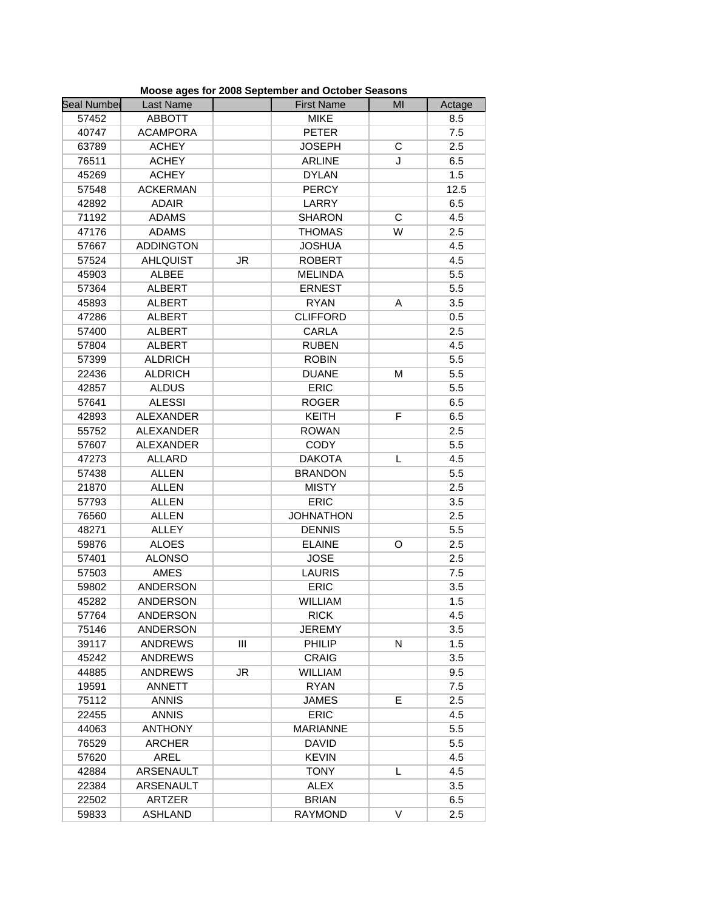| <b>Seal Numbel</b> | Last Name        |    | <b>First Name</b> | MI |               |
|--------------------|------------------|----|-------------------|----|---------------|
| 57452              | <b>ABBOTT</b>    |    | <b>MIKE</b>       |    | Actage<br>8.5 |
| 40747              | <b>ACAMPORA</b>  |    | <b>PETER</b>      |    | 7.5           |
|                    |                  |    |                   |    |               |
| 63789              | <b>ACHEY</b>     |    | <b>JOSEPH</b>     | С  | 2.5           |
| 76511              | <b>ACHEY</b>     |    | <b>ARLINE</b>     | J  | 6.5           |
| 45269              | <b>ACHEY</b>     |    | <b>DYLAN</b>      |    | 1.5           |
| 57548              | <b>ACKERMAN</b>  |    | <b>PERCY</b>      |    | 12.5          |
| 42892              | <b>ADAIR</b>     |    | LARRY             |    | 6.5           |
| 71192              | <b>ADAMS</b>     |    | <b>SHARON</b>     | С  | 4.5           |
| 47176              | <b>ADAMS</b>     |    | <b>THOMAS</b>     | W  | 2.5           |
| 57667              | <b>ADDINGTON</b> |    | <b>JOSHUA</b>     |    | 4.5           |
| 57524              | <b>AHLQUIST</b>  | JR | <b>ROBERT</b>     |    | 4.5           |
| 45903              | <b>ALBEE</b>     |    | <b>MELINDA</b>    |    | 5.5           |
| 57364              | <b>ALBERT</b>    |    | <b>ERNEST</b>     |    | 5.5           |
| 45893              | <b>ALBERT</b>    |    | <b>RYAN</b>       | A  | 3.5           |
| 47286              | <b>ALBERT</b>    |    | <b>CLIFFORD</b>   |    | 0.5           |
| 57400              | <b>ALBERT</b>    |    | <b>CARLA</b>      |    | 2.5           |
| 57804              | <b>ALBERT</b>    |    | <b>RUBEN</b>      |    | 4.5           |
| 57399              | <b>ALDRICH</b>   |    | <b>ROBIN</b>      |    | 5.5           |
| 22436              | <b>ALDRICH</b>   |    | <b>DUANE</b>      | M  | 5.5           |
| 42857              | <b>ALDUS</b>     |    | <b>ERIC</b>       |    | 5.5           |
| 57641              | <b>ALESSI</b>    |    | <b>ROGER</b>      |    | 6.5           |
| 42893              | <b>ALEXANDER</b> |    | <b>KEITH</b>      | F  | 6.5           |
| 55752              | <b>ALEXANDER</b> |    | <b>ROWAN</b>      |    | 2.5           |
| 57607              | <b>ALEXANDER</b> |    | <b>CODY</b>       |    | 5.5           |
| 47273              | <b>ALLARD</b>    |    | <b>DAKOTA</b>     | L  | 4.5           |
| 57438              | <b>ALLEN</b>     |    | <b>BRANDON</b>    |    | 5.5           |
| 21870              | <b>ALLEN</b>     |    | <b>MISTY</b>      |    | 2.5           |
| 57793              | <b>ALLEN</b>     |    | <b>ERIC</b>       |    | 3.5           |
| 76560              | <b>ALLEN</b>     |    | <b>JOHNATHON</b>  |    | 2.5           |
| 48271              | <b>ALLEY</b>     |    | <b>DENNIS</b>     |    | 5.5           |
| 59876              | <b>ALOES</b>     |    | <b>ELAINE</b>     | O  | 2.5           |
| 57401              | <b>ALONSO</b>    |    | <b>JOSE</b>       |    | 2.5           |
| 57503              | <b>AMES</b>      |    | <b>LAURIS</b>     |    | 7.5           |
| 59802              | <b>ANDERSON</b>  |    | ERIC              |    | 3.5           |
| 45282              | <b>ANDERSON</b>  |    | <b>WILLIAM</b>    |    | 1.5           |
| 57764              | ANDERSON         |    | <b>RICK</b>       |    | 4.5           |
| 75146              | <b>ANDERSON</b>  |    | <b>JEREMY</b>     |    | 3.5           |
| 39117              | <b>ANDREWS</b>   | Ш  | PHILIP            | N  | 1.5           |
| 45242              | <b>ANDREWS</b>   |    | <b>CRAIG</b>      |    | 3.5           |
|                    |                  |    |                   |    |               |
| 44885              | <b>ANDREWS</b>   | JR | <b>WILLIAM</b>    |    | 9.5           |
| 19591              | ANNETT           |    | <b>RYAN</b>       |    | 7.5           |
| 75112              | <b>ANNIS</b>     |    | <b>JAMES</b>      | E  | 2.5           |
| 22455              | <b>ANNIS</b>     |    | <b>ERIC</b>       |    | 4.5           |
| 44063              | <b>ANTHONY</b>   |    | <b>MARIANNE</b>   |    | 5.5           |
| 76529              | <b>ARCHER</b>    |    | <b>DAVID</b>      |    | 5.5           |
| 57620              | AREL             |    | <b>KEVIN</b>      |    | 4.5           |
| 42884              | ARSENAULT        |    | <b>TONY</b>       | L  | 4.5           |
| 22384              | ARSENAULT        |    | <b>ALEX</b>       |    | 3.5           |
| 22502              | ARTZER           |    | <b>BRIAN</b>      |    | 6.5           |
| 59833              | <b>ASHLAND</b>   |    | <b>RAYMOND</b>    | V  | 2.5           |

**Moose ages for 2008 September and October Seasons**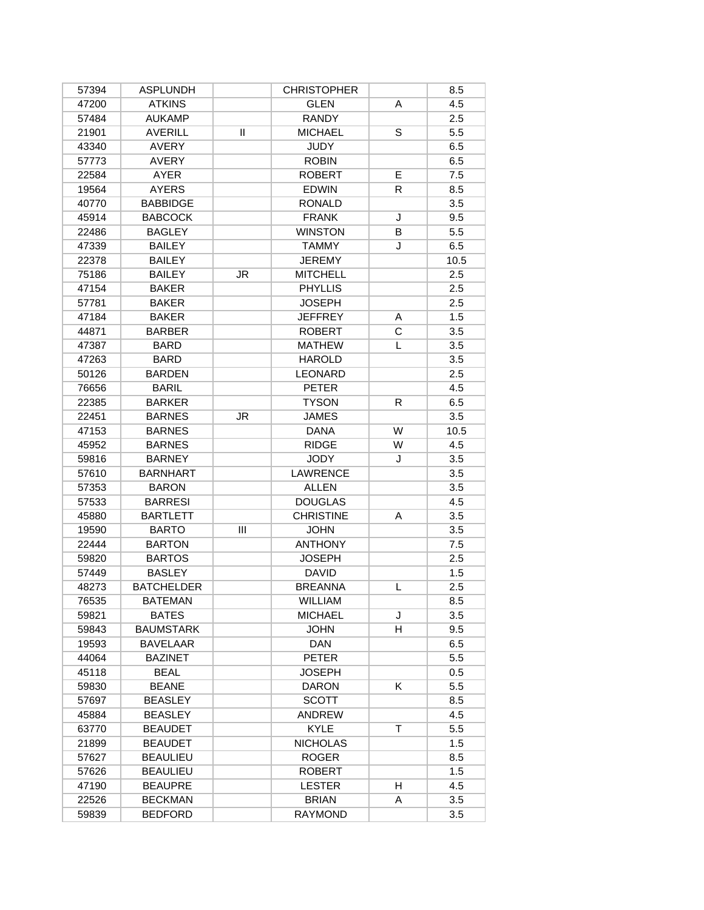| 57394 | <b>ASPLUNDH</b>   |           | <b>CHRISTOPHER</b> |    | 8.5  |
|-------|-------------------|-----------|--------------------|----|------|
| 47200 | <b>ATKINS</b>     |           | <b>GLEN</b>        | A  | 4.5  |
| 57484 | <b>AUKAMP</b>     |           | <b>RANDY</b>       |    | 2.5  |
| 21901 | <b>AVERILL</b>    | Ш         | <b>MICHAEL</b>     | S  | 5.5  |
| 43340 | <b>AVERY</b>      |           | <b>JUDY</b>        |    | 6.5  |
| 57773 | <b>AVERY</b>      |           | <b>ROBIN</b>       |    | 6.5  |
| 22584 | AYER              |           | <b>ROBERT</b>      | E  | 7.5  |
| 19564 | <b>AYERS</b>      |           | <b>EDWIN</b>       | R. | 8.5  |
| 40770 | <b>BABBIDGE</b>   |           | <b>RONALD</b>      |    | 3.5  |
| 45914 | <b>BABCOCK</b>    |           | <b>FRANK</b>       | J  | 9.5  |
| 22486 | <b>BAGLEY</b>     |           | <b>WINSTON</b>     | B  | 5.5  |
| 47339 | <b>BAILEY</b>     |           | <b>TAMMY</b>       | J  | 6.5  |
| 22378 | <b>BAILEY</b>     |           | <b>JEREMY</b>      |    | 10.5 |
| 75186 | <b>BAILEY</b>     | <b>JR</b> | <b>MITCHELL</b>    |    | 2.5  |
| 47154 | <b>BAKER</b>      |           | <b>PHYLLIS</b>     |    | 2.5  |
| 57781 | <b>BAKER</b>      |           | <b>JOSEPH</b>      |    | 2.5  |
| 47184 | <b>BAKER</b>      |           | <b>JEFFREY</b>     | A  | 1.5  |
| 44871 | <b>BARBER</b>     |           | <b>ROBERT</b>      | C  | 3.5  |
| 47387 | <b>BARD</b>       |           | <b>MATHEW</b>      | L  | 3.5  |
| 47263 | <b>BARD</b>       |           | <b>HAROLD</b>      |    | 3.5  |
| 50126 | <b>BARDEN</b>     |           | <b>LEONARD</b>     |    | 2.5  |
| 76656 | <b>BARIL</b>      |           | <b>PETER</b>       |    | 4.5  |
| 22385 | <b>BARKER</b>     |           | <b>TYSON</b>       | R  | 6.5  |
| 22451 | <b>BARNES</b>     | <b>JR</b> | <b>JAMES</b>       |    | 3.5  |
| 47153 | <b>BARNES</b>     |           | <b>DANA</b>        | W  | 10.5 |
| 45952 | <b>BARNES</b>     |           | <b>RIDGE</b>       | W  | 4.5  |
| 59816 | <b>BARNEY</b>     |           | <b>JODY</b>        | J  | 3.5  |
| 57610 | <b>BARNHART</b>   |           | <b>LAWRENCE</b>    |    | 3.5  |
| 57353 | <b>BARON</b>      |           | <b>ALLEN</b>       |    | 3.5  |
| 57533 | <b>BARRESI</b>    |           | <b>DOUGLAS</b>     |    | 4.5  |
| 45880 | <b>BARTLETT</b>   |           | <b>CHRISTINE</b>   | A  | 3.5  |
| 19590 | <b>BARTO</b>      | Ш         | <b>JOHN</b>        |    | 3.5  |
| 22444 | <b>BARTON</b>     |           | <b>ANTHONY</b>     |    | 7.5  |
| 59820 | <b>BARTOS</b>     |           | <b>JOSEPH</b>      |    | 2.5  |
| 57449 | <b>BASLEY</b>     |           | <b>DAVID</b>       |    | 1.5  |
| 48273 | <b>BATCHELDER</b> |           | <b>BREANNA</b>     | L  | 2.5  |
| 76535 | <b>BATEMAN</b>    |           | WILLIAM            |    | 8.5  |
| 59821 | <b>BATES</b>      |           | <b>MICHAEL</b>     | J  | 3.5  |
| 59843 | <b>BAUMSTARK</b>  |           | <b>JOHN</b>        | H  | 9.5  |
| 19593 | <b>BAVELAAR</b>   |           | DAN                |    | 6.5  |
| 44064 | <b>BAZINET</b>    |           | <b>PETER</b>       |    | 5.5  |
| 45118 | <b>BEAL</b>       |           | <b>JOSEPH</b>      |    | 0.5  |
| 59830 | <b>BEANE</b>      |           | <b>DARON</b>       | K  | 5.5  |
| 57697 | <b>BEASLEY</b>    |           | <b>SCOTT</b>       |    | 8.5  |
| 45884 | <b>BEASLEY</b>    |           | ANDREW             |    | 4.5  |
| 63770 | <b>BEAUDET</b>    |           | <b>KYLE</b>        | T. | 5.5  |
| 21899 | <b>BEAUDET</b>    |           | <b>NICHOLAS</b>    |    | 1.5  |
| 57627 | <b>BEAULIEU</b>   |           | <b>ROGER</b>       |    | 8.5  |
| 57626 | <b>BEAULIEU</b>   |           | <b>ROBERT</b>      |    | 1.5  |
| 47190 | <b>BEAUPRE</b>    |           | <b>LESTER</b>      | H  | 4.5  |
| 22526 | <b>BECKMAN</b>    |           | <b>BRIAN</b>       | A  | 3.5  |
| 59839 | <b>BEDFORD</b>    |           | <b>RAYMOND</b>     |    | 3.5  |
|       |                   |           |                    |    |      |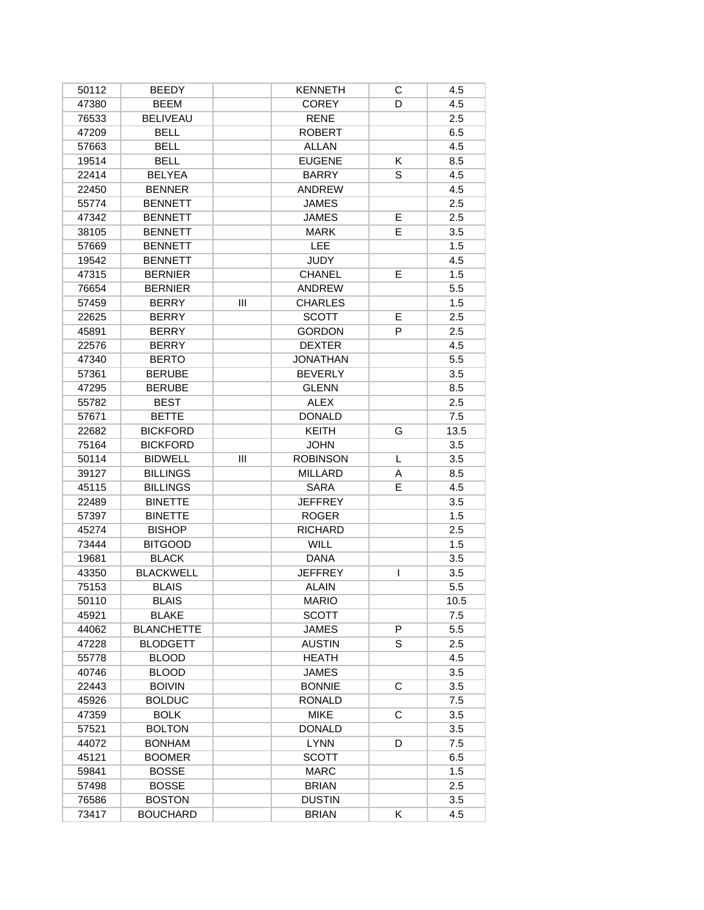| 50112          | <b>BEEDY</b>      |     | <b>KENNETH</b>  | С              | 4.5  |
|----------------|-------------------|-----|-----------------|----------------|------|
| 47380          | <b>BEEM</b>       |     | <b>COREY</b>    | D              | 4.5  |
| 76533          | <b>BELIVEAU</b>   |     | <b>RENE</b>     |                | 2.5  |
| 47209          | <b>BELL</b>       |     | <b>ROBERT</b>   |                | 6.5  |
| 57663          | <b>BELL</b>       |     | <b>ALLAN</b>    |                | 4.5  |
| 19514          | <b>BELL</b>       |     | <b>EUGENE</b>   | K              | 8.5  |
| 22414          | <b>BELYEA</b>     |     | <b>BARRY</b>    | S              | 4.5  |
| 22450          | <b>BENNER</b>     |     | <b>ANDREW</b>   |                | 4.5  |
| 55774          | <b>BENNETT</b>    |     | <b>JAMES</b>    |                | 2.5  |
| 47342          | <b>BENNETT</b>    |     | <b>JAMES</b>    | E              | 2.5  |
| 38105          | <b>BENNETT</b>    |     | <b>MARK</b>     | E              | 3.5  |
| 57669          | <b>BENNETT</b>    |     | LEE             |                | 1.5  |
| 19542          | <b>BENNETT</b>    |     | <b>JUDY</b>     |                | 4.5  |
| 47315          | <b>BERNIER</b>    |     | <b>CHANEL</b>   | E              | 1.5  |
| 76654          | <b>BERNIER</b>    |     | <b>ANDREW</b>   |                | 5.5  |
| 57459          | <b>BERRY</b>      | III | <b>CHARLES</b>  |                | 1.5  |
| 22625          | <b>BERRY</b>      |     | <b>SCOTT</b>    | Е              | 2.5  |
| 45891          | <b>BERRY</b>      |     | <b>GORDON</b>   | P              | 2.5  |
| 22576          | <b>BERRY</b>      |     | <b>DEXTER</b>   |                | 4.5  |
| 47340          | <b>BERTO</b>      |     | <b>JONATHAN</b> |                | 5.5  |
| 57361          | <b>BERUBE</b>     |     | <b>BEVERLY</b>  |                | 3.5  |
| 47295          | <b>BERUBE</b>     |     | <b>GLENN</b>    |                | 8.5  |
| 55782          | <b>BEST</b>       |     | <b>ALEX</b>     |                | 2.5  |
| 57671          | <b>BETTE</b>      |     | <b>DONALD</b>   |                | 7.5  |
| 22682          | <b>BICKFORD</b>   |     | <b>KEITH</b>    | G              | 13.5 |
| 75164          | <b>BICKFORD</b>   |     | <b>JOHN</b>     |                | 3.5  |
| 50114          | <b>BIDWELL</b>    | III | <b>ROBINSON</b> | L              | 3.5  |
| 39127          | <b>BILLINGS</b>   |     | <b>MILLARD</b>  | Α              | 8.5  |
| 45115          | <b>BILLINGS</b>   |     | <b>SARA</b>     | E              | 4.5  |
| 22489          | <b>BINETTE</b>    |     | <b>JEFFREY</b>  |                | 3.5  |
| 57397          | <b>BINETTE</b>    |     | <b>ROGER</b>    |                | 1.5  |
| 45274          | <b>BISHOP</b>     |     | <b>RICHARD</b>  |                | 2.5  |
| 73444          | <b>BITGOOD</b>    |     | <b>WILL</b>     |                | 1.5  |
| 19681          | <b>BLACK</b>      |     | <b>DANA</b>     |                | 3.5  |
| 43350          | <b>BLACKWELL</b>  |     | <b>JEFFREY</b>  | T              | 3.5  |
| 75153          | <b>BLAIS</b>      |     | <b>ALAIN</b>    |                | 5.5  |
|                |                   |     | <b>MARIO</b>    |                |      |
| 50110<br>45921 | <b>BLAIS</b>      |     |                 |                | 10.5 |
|                | <b>BLAKE</b>      |     | <b>SCOTT</b>    |                | 7.5  |
| 44062          | <b>BLANCHETTE</b> |     | <b>JAMES</b>    | P              | 5.5  |
| 47228          | <b>BLODGETT</b>   |     | <b>AUSTIN</b>   | S              | 2.5  |
| 55778          | <b>BLOOD</b>      |     | <b>HEATH</b>    |                | 4.5  |
| 40746          | <b>BLOOD</b>      |     | <b>JAMES</b>    |                | 3.5  |
| 22443          | <b>BOIVIN</b>     |     | <b>BONNIE</b>   | $\overline{C}$ | 3.5  |
| 45926          | <b>BOLDUC</b>     |     | <b>RONALD</b>   |                | 7.5  |
| 47359          | <b>BOLK</b>       |     | <b>MIKE</b>     | C              | 3.5  |
| 57521          | <b>BOLTON</b>     |     | <b>DONALD</b>   |                | 3.5  |
| 44072          | <b>BONHAM</b>     |     | <b>LYNN</b>     | D              | 7.5  |
| 45121          | <b>BOOMER</b>     |     | <b>SCOTT</b>    |                | 6.5  |
| 59841          | <b>BOSSE</b>      |     | <b>MARC</b>     |                | 1.5  |
| 57498          | <b>BOSSE</b>      |     | <b>BRIAN</b>    |                | 2.5  |
| 76586          | <b>BOSTON</b>     |     | <b>DUSTIN</b>   |                | 3.5  |
| 73417          | <b>BOUCHARD</b>   |     | <b>BRIAN</b>    | Κ              | 4.5  |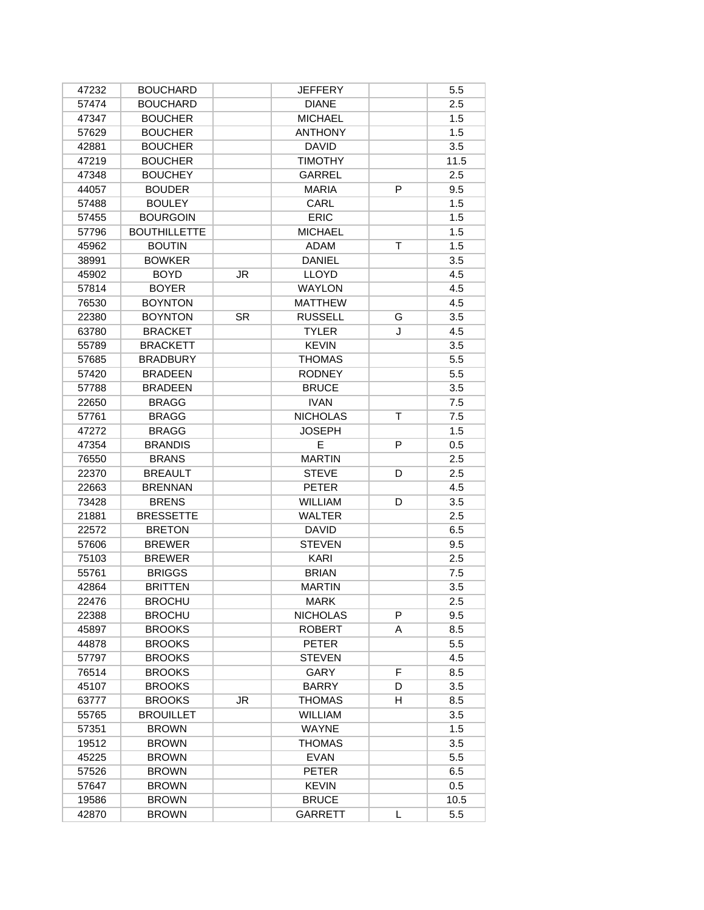| 47232 | <b>BOUCHARD</b>     |           | JEFFERY         |   | 5.5  |
|-------|---------------------|-----------|-----------------|---|------|
| 57474 | <b>BOUCHARD</b>     |           | <b>DIANE</b>    |   | 2.5  |
| 47347 | <b>BOUCHER</b>      |           | <b>MICHAEL</b>  |   | 1.5  |
| 57629 | <b>BOUCHER</b>      |           | <b>ANTHONY</b>  |   | 1.5  |
| 42881 | <b>BOUCHER</b>      |           | <b>DAVID</b>    |   | 3.5  |
| 47219 | <b>BOUCHER</b>      |           | <b>TIMOTHY</b>  |   | 11.5 |
| 47348 | <b>BOUCHEY</b>      |           | <b>GARREL</b>   |   | 2.5  |
| 44057 | <b>BOUDER</b>       |           | <b>MARIA</b>    | P | 9.5  |
| 57488 | <b>BOULEY</b>       |           | CARL            |   | 1.5  |
| 57455 | <b>BOURGOIN</b>     |           | <b>ERIC</b>     |   | 1.5  |
| 57796 | <b>BOUTHILLETTE</b> |           | <b>MICHAEL</b>  |   | 1.5  |
| 45962 | <b>BOUTIN</b>       |           | <b>ADAM</b>     | т | 1.5  |
| 38991 | <b>BOWKER</b>       |           | <b>DANIEL</b>   |   | 3.5  |
| 45902 | <b>BOYD</b>         | JR.       | <b>LLOYD</b>    |   | 4.5  |
| 57814 | <b>BOYER</b>        |           | <b>WAYLON</b>   |   | 4.5  |
| 76530 | <b>BOYNTON</b>      |           | <b>MATTHEW</b>  |   | 4.5  |
| 22380 | <b>BOYNTON</b>      | <b>SR</b> | <b>RUSSELL</b>  | G | 3.5  |
| 63780 | <b>BRACKET</b>      |           | <b>TYLER</b>    | J | 4.5  |
| 55789 | <b>BRACKETT</b>     |           | <b>KEVIN</b>    |   | 3.5  |
| 57685 | <b>BRADBURY</b>     |           | <b>THOMAS</b>   |   | 5.5  |
| 57420 | <b>BRADEEN</b>      |           | <b>RODNEY</b>   |   | 5.5  |
| 57788 | <b>BRADEEN</b>      |           | <b>BRUCE</b>    |   | 3.5  |
| 22650 | <b>BRAGG</b>        |           | <b>IVAN</b>     |   | 7.5  |
| 57761 | <b>BRAGG</b>        |           | <b>NICHOLAS</b> | T | 7.5  |
| 47272 | <b>BRAGG</b>        |           | <b>JOSEPH</b>   |   | 1.5  |
| 47354 | <b>BRANDIS</b>      |           | E               | P | 0.5  |
| 76550 | <b>BRANS</b>        |           | <b>MARTIN</b>   |   | 2.5  |
| 22370 | <b>BREAULT</b>      |           | <b>STEVE</b>    | D | 2.5  |
| 22663 | <b>BRENNAN</b>      |           | <b>PETER</b>    |   | 4.5  |
| 73428 | <b>BRENS</b>        |           | <b>WILLIAM</b>  | D | 3.5  |
| 21881 | <b>BRESSETTE</b>    |           | <b>WALTER</b>   |   | 2.5  |
| 22572 | <b>BRETON</b>       |           | <b>DAVID</b>    |   | 6.5  |
| 57606 | <b>BREWER</b>       |           | <b>STEVEN</b>   |   | 9.5  |
| 75103 | <b>BREWER</b>       |           | KARI            |   | 2.5  |
| 55761 | <b>BRIGGS</b>       |           | <b>BRIAN</b>    |   | 7.5  |
| 42864 | <b>BRITTEN</b>      |           | <b>MARTIN</b>   |   | 3.5  |
|       |                     |           |                 |   |      |
| 22476 | <b>BROCHU</b>       |           | <b>MARK</b>     | P | 2.5  |
| 22388 | <b>BROCHU</b>       |           | <b>NICHOLAS</b> |   | 9.5  |
| 45897 | <b>BROOKS</b>       |           | <b>ROBERT</b>   | A | 8.5  |
| 44878 | <b>BROOKS</b>       |           | <b>PETER</b>    |   | 5.5  |
| 57797 | <b>BROOKS</b>       |           | <b>STEVEN</b>   |   | 4.5  |
| 76514 | <b>BROOKS</b>       |           | GARY            | F | 8.5  |
| 45107 | <b>BROOKS</b>       |           | <b>BARRY</b>    | D | 3.5  |
| 63777 | <b>BROOKS</b>       | JR.       | <b>THOMAS</b>   | H | 8.5  |
| 55765 | <b>BROUILLET</b>    |           | <b>WILLIAM</b>  |   | 3.5  |
| 57351 | <b>BROWN</b>        |           | <b>WAYNE</b>    |   | 1.5  |
| 19512 | <b>BROWN</b>        |           | <b>THOMAS</b>   |   | 3.5  |
| 45225 | <b>BROWN</b>        |           | <b>EVAN</b>     |   | 5.5  |
| 57526 | <b>BROWN</b>        |           | <b>PETER</b>    |   | 6.5  |
| 57647 | <b>BROWN</b>        |           | <b>KEVIN</b>    |   | 0.5  |
| 19586 | <b>BROWN</b>        |           | <b>BRUCE</b>    |   | 10.5 |
| 42870 | <b>BROWN</b>        |           | GARRETT         | L | 5.5  |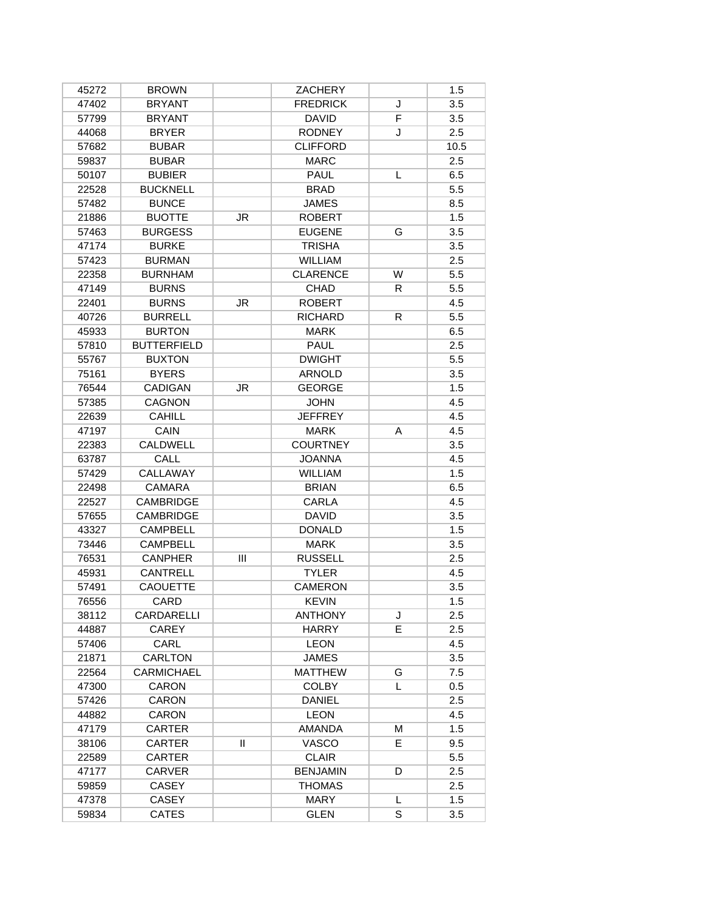| 45272          | <b>BROWN</b>       |              | ZACHERY         |    | 1.5        |
|----------------|--------------------|--------------|-----------------|----|------------|
| 47402          | <b>BRYANT</b>      |              | <b>FREDRICK</b> | J  | 3.5        |
| 57799          | <b>BRYANT</b>      |              | <b>DAVID</b>    | F  | 3.5        |
| 44068          | <b>BRYER</b>       |              | <b>RODNEY</b>   | J  | 2.5        |
| 57682          | <b>BUBAR</b>       |              | <b>CLIFFORD</b> |    | 10.5       |
| 59837          | <b>BUBAR</b>       |              | <b>MARC</b>     |    | 2.5        |
| 50107          | <b>BUBIER</b>      |              | PAUL            | L  | 6.5        |
| 22528          | <b>BUCKNELL</b>    |              | <b>BRAD</b>     |    | 5.5        |
| 57482          | <b>BUNCE</b>       |              | <b>JAMES</b>    |    | 8.5        |
| 21886          | <b>BUOTTE</b>      | JR           | <b>ROBERT</b>   |    | 1.5        |
| 57463          | <b>BURGESS</b>     |              | <b>EUGENE</b>   | G  | 3.5        |
| 47174          | <b>BURKE</b>       |              | <b>TRISHA</b>   |    | 3.5        |
| 57423          | <b>BURMAN</b>      |              | <b>WILLIAM</b>  |    | 2.5        |
| 22358          | <b>BURNHAM</b>     |              | <b>CLARENCE</b> | W  | 5.5        |
| 47149          | <b>BURNS</b>       |              | CHAD            | R  | 5.5        |
| 22401          | <b>BURNS</b>       | JR           | <b>ROBERT</b>   |    | 4.5        |
| 40726          | <b>BURRELL</b>     |              | <b>RICHARD</b>  | R  | 5.5        |
| 45933          | <b>BURTON</b>      |              | <b>MARK</b>     |    | 6.5        |
| 57810          | <b>BUTTERFIELD</b> |              | <b>PAUL</b>     |    | 2.5        |
| 55767          | <b>BUXTON</b>      |              | <b>DWIGHT</b>   |    | 5.5        |
| 75161          | <b>BYERS</b>       |              | <b>ARNOLD</b>   |    | 3.5        |
| 76544          | <b>CADIGAN</b>     | JR           | <b>GEORGE</b>   |    | 1.5        |
| 57385          | <b>CAGNON</b>      |              | <b>JOHN</b>     |    | 4.5        |
| 22639          | <b>CAHILL</b>      |              | <b>JEFFREY</b>  |    | 4.5        |
| 47197          | CAIN               |              | <b>MARK</b>     | Α  | 4.5        |
| 22383          | CALDWELL           |              | <b>COURTNEY</b> |    | 3.5        |
| 63787          | <b>CALL</b>        |              | <b>JOANNA</b>   |    | 4.5        |
| 57429          | CALLAWAY           |              | <b>WILLIAM</b>  |    | 1.5        |
| 22498          | <b>CAMARA</b>      |              | <b>BRIAN</b>    |    | 6.5        |
| 22527          | <b>CAMBRIDGE</b>   |              | <b>CARLA</b>    |    | 4.5        |
| 57655          | <b>CAMBRIDGE</b>   |              | <b>DAVID</b>    |    | 3.5        |
| 43327          | <b>CAMPBELL</b>    |              | <b>DONALD</b>   |    | 1.5        |
| 73446          | <b>CAMPBELL</b>    |              | <b>MARK</b>     |    | 3.5        |
| 76531          | <b>CANPHER</b>     | Ш            | <b>RUSSELL</b>  |    | 2.5        |
| 45931          | <b>CANTRELL</b>    |              | <b>TYLER</b>    |    | 4.5        |
| 57491          | <b>CAOUETTE</b>    |              | <b>CAMERON</b>  |    | 3.5        |
| 76556          | CARD               |              | <b>KEVIN</b>    |    | 1.5        |
| 38112          | CARDARELLI         |              | <b>ANTHONY</b>  | J  | 2.5        |
| 44887          | <b>CAREY</b>       |              | <b>HARRY</b>    | E  | 2.5        |
| 57406          | CARL               |              | <b>LEON</b>     |    | 4.5        |
|                | <b>CARLTON</b>     |              | <b>JAMES</b>    |    | 3.5        |
| 21871<br>22564 | CARMICHAEL         |              | <b>MATTHEW</b>  | G  | 7.5        |
| 47300          | CARON              |              | <b>COLBY</b>    | L  | 0.5        |
| 57426          | CARON              |              | <b>DANIEL</b>   |    | 2.5        |
| 44882          | CARON              |              | <b>LEON</b>     |    | 4.5        |
| 47179          | <b>CARTER</b>      |              | <b>AMANDA</b>   | M  | 1.5        |
|                | <b>CARTER</b>      | $\mathbf{H}$ | VASCO           | E. | 9.5        |
| 38106          |                    |              |                 |    |            |
| 22589          | <b>CARTER</b>      |              | <b>CLAIR</b>    |    | 5.5        |
| 47177          | <b>CARVER</b>      |              | <b>BENJAMIN</b> | D  | 2.5        |
| 59859          | <b>CASEY</b>       |              | <b>THOMAS</b>   |    | 2.5<br>1.5 |
| 47378          | <b>CASEY</b>       |              | <b>MARY</b>     | L  |            |
| 59834          | <b>CATES</b>       |              | <b>GLEN</b>     | S  | 3.5        |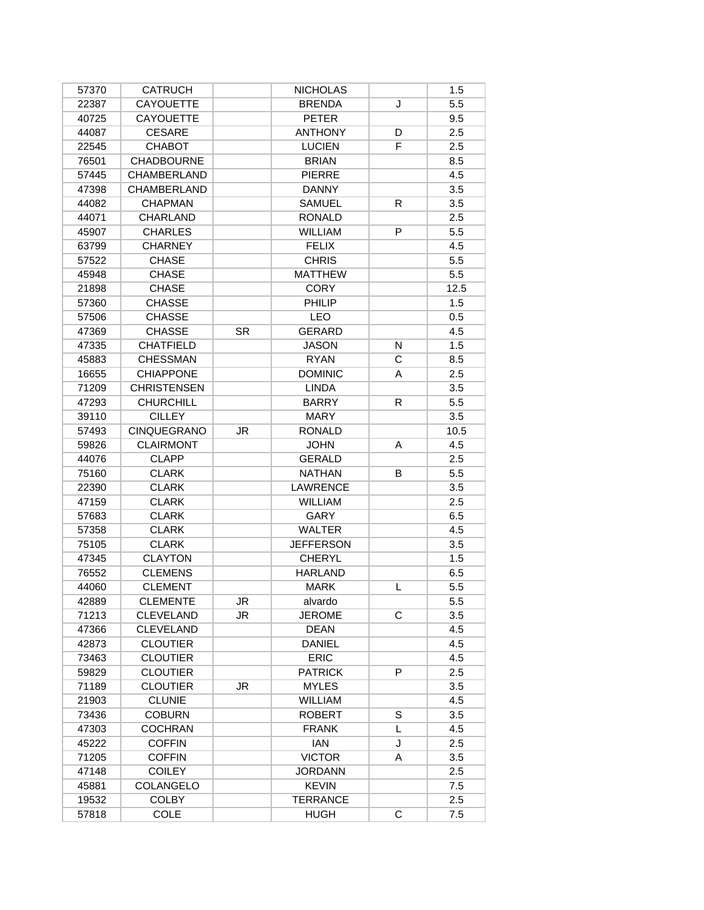| 57370          | <b>CATRUCH</b>     |           | <b>NICHOLAS</b>  |    | 1.5  |
|----------------|--------------------|-----------|------------------|----|------|
| 22387          | <b>CAYOUETTE</b>   |           | <b>BRENDA</b>    | J  | 5.5  |
| 40725          | <b>CAYOUETTE</b>   |           | <b>PETER</b>     |    | 9.5  |
| 44087          | <b>CESARE</b>      |           | <b>ANTHONY</b>   | D  | 2.5  |
| 22545          | <b>CHABOT</b>      |           | <b>LUCIEN</b>    | F. | 2.5  |
| 76501          | <b>CHADBOURNE</b>  |           | <b>BRIAN</b>     |    | 8.5  |
| 57445          | <b>CHAMBERLAND</b> |           | <b>PIERRE</b>    |    | 4.5  |
| 47398          | <b>CHAMBERLAND</b> |           | <b>DANNY</b>     |    | 3.5  |
| 44082          | <b>CHAPMAN</b>     |           | <b>SAMUEL</b>    | R  | 3.5  |
| 44071          | <b>CHARLAND</b>    |           | <b>RONALD</b>    |    | 2.5  |
| 45907          | <b>CHARLES</b>     |           | <b>WILLIAM</b>   | P  | 5.5  |
| 63799          | <b>CHARNEY</b>     |           | <b>FELIX</b>     |    | 4.5  |
| 57522          | <b>CHASE</b>       |           | <b>CHRIS</b>     |    | 5.5  |
| 45948          | <b>CHASE</b>       |           | <b>MATTHEW</b>   |    | 5.5  |
| 21898          | <b>CHASE</b>       |           | <b>CORY</b>      |    | 12.5 |
| 57360          | <b>CHASSE</b>      |           | PHILIP           |    | 1.5  |
| 57506          | <b>CHASSE</b>      |           | LEO              |    | 0.5  |
| 47369          | <b>CHASSE</b>      | <b>SR</b> | <b>GERARD</b>    |    | 4.5  |
| 47335          | <b>CHATFIELD</b>   |           | <b>JASON</b>     | N  | 1.5  |
| 45883          | <b>CHESSMAN</b>    |           | <b>RYAN</b>      | C  | 8.5  |
| 16655          | <b>CHIAPPONE</b>   |           | <b>DOMINIC</b>   | A  | 2.5  |
| 71209          | <b>CHRISTENSEN</b> |           | <b>LINDA</b>     |    | 3.5  |
| 47293          | <b>CHURCHILL</b>   |           | <b>BARRY</b>     | R  | 5.5  |
| 39110          | <b>CILLEY</b>      |           | <b>MARY</b>      |    | 3.5  |
| 57493          | <b>CINQUEGRANO</b> | JR        | <b>RONALD</b>    |    | 10.5 |
| 59826          | <b>CLAIRMONT</b>   |           | <b>JOHN</b>      | A  | 4.5  |
| 44076          | <b>CLAPP</b>       |           | <b>GERALD</b>    |    | 2.5  |
| 75160          | <b>CLARK</b>       |           | <b>NATHAN</b>    | B  | 5.5  |
| 22390          | <b>CLARK</b>       |           | <b>LAWRENCE</b>  |    | 3.5  |
| 47159          | <b>CLARK</b>       |           | <b>WILLIAM</b>   |    | 2.5  |
| 57683          | <b>CLARK</b>       |           | GARY             |    | 6.5  |
| 57358          | <b>CLARK</b>       |           | <b>WALTER</b>    |    | 4.5  |
| 75105          | <b>CLARK</b>       |           | <b>JEFFERSON</b> |    | 3.5  |
| 47345          | <b>CLAYTON</b>     |           | <b>CHERYL</b>    |    | 1.5  |
| 76552          | <b>CLEMENS</b>     |           | <b>HARLAND</b>   |    | 6.5  |
| 44060          | <b>CLEMENT</b>     |           | <b>MARK</b>      | L  | 5.5  |
| 42889          | <b>CLEMENTE</b>    | JR        | alvardo          |    | 5.5  |
| 71213          | <b>CLEVELAND</b>   | JR        | <b>JEROME</b>    | С  | 3.5  |
| 47366          | <b>CLEVELAND</b>   |           | <b>DEAN</b>      |    | 4.5  |
| 42873          | <b>CLOUTIER</b>    |           | <b>DANIEL</b>    |    | 4.5  |
| 73463          | <b>CLOUTIER</b>    |           | <b>ERIC</b>      |    | 4.5  |
| 59829          | <b>CLOUTIER</b>    |           | <b>PATRICK</b>   | P  | 2.5  |
| 71189          | <b>CLOUTIER</b>    | JR.       | <b>MYLES</b>     |    | 3.5  |
|                | <b>CLUNIE</b>      |           | <b>WILLIAM</b>   |    | 4.5  |
| 21903<br>73436 | <b>COBURN</b>      |           | <b>ROBERT</b>    | S  | 3.5  |
| 47303          | <b>COCHRAN</b>     |           | <b>FRANK</b>     | L  | 4.5  |
| 45222          | <b>COFFIN</b>      |           | <b>IAN</b>       | J  | 2.5  |
| 71205          | <b>COFFIN</b>      |           | <b>VICTOR</b>    | A  | 3.5  |
| 47148          | <b>COILEY</b>      |           | <b>JORDANN</b>   |    | 2.5  |
|                | COLANGELO          |           | <b>KEVIN</b>     |    | 7.5  |
| 45881          |                    |           |                  |    |      |
| 19532          | <b>COLBY</b>       |           | <b>TERRANCE</b>  |    | 2.5  |
| 57818          | <b>COLE</b>        |           | <b>HUGH</b>      | C  | 7.5  |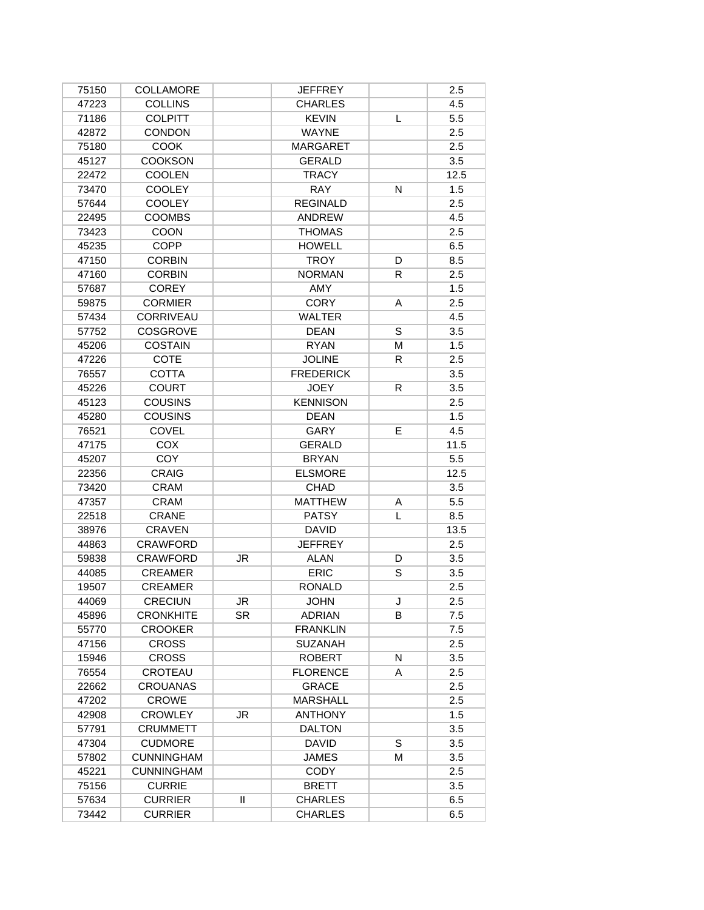| 75150 | COLLAMORE         |     | <b>JEFFREY</b>   |    | 2.5  |
|-------|-------------------|-----|------------------|----|------|
| 47223 | <b>COLLINS</b>    |     | <b>CHARLES</b>   |    | 4.5  |
| 71186 | <b>COLPITT</b>    |     | <b>KEVIN</b>     | L  | 5.5  |
| 42872 | <b>CONDON</b>     |     | <b>WAYNE</b>     |    | 2.5  |
| 75180 | <b>COOK</b>       |     | MARGARET         |    | 2.5  |
| 45127 | <b>COOKSON</b>    |     | <b>GERALD</b>    |    | 3.5  |
| 22472 | <b>COOLEN</b>     |     | <b>TRACY</b>     |    | 12.5 |
| 73470 | <b>COOLEY</b>     |     | <b>RAY</b>       | N  | 1.5  |
| 57644 | <b>COOLEY</b>     |     | <b>REGINALD</b>  |    | 2.5  |
| 22495 | <b>COOMBS</b>     |     | <b>ANDREW</b>    |    | 4.5  |
| 73423 | <b>COON</b>       |     | <b>THOMAS</b>    |    | 2.5  |
| 45235 | <b>COPP</b>       |     | <b>HOWELL</b>    |    | 6.5  |
| 47150 | <b>CORBIN</b>     |     | <b>TROY</b>      | D  | 8.5  |
| 47160 | <b>CORBIN</b>     |     | <b>NORMAN</b>    | R  | 2.5  |
| 57687 | <b>COREY</b>      |     | AMY              |    | 1.5  |
| 59875 | <b>CORMIER</b>    |     | <b>CORY</b>      | A  | 2.5  |
| 57434 | <b>CORRIVEAU</b>  |     | <b>WALTER</b>    |    | 4.5  |
| 57752 | <b>COSGROVE</b>   |     | <b>DEAN</b>      | S  | 3.5  |
| 45206 | <b>COSTAIN</b>    |     | <b>RYAN</b>      | M  | 1.5  |
| 47226 | <b>COTE</b>       |     | <b>JOLINE</b>    | R  | 2.5  |
| 76557 | <b>COTTA</b>      |     | <b>FREDERICK</b> |    | 3.5  |
| 45226 | <b>COURT</b>      |     | <b>JOEY</b>      | R. | 3.5  |
| 45123 | <b>COUSINS</b>    |     | <b>KENNISON</b>  |    | 2.5  |
| 45280 | <b>COUSINS</b>    |     | <b>DEAN</b>      |    | 1.5  |
| 76521 | COVEL             |     | GARY             | E  | 4.5  |
| 47175 | COX               |     | <b>GERALD</b>    |    | 11.5 |
| 45207 | COY               |     | <b>BRYAN</b>     |    | 5.5  |
| 22356 | <b>CRAIG</b>      |     | <b>ELSMORE</b>   |    | 12.5 |
| 73420 | <b>CRAM</b>       |     | <b>CHAD</b>      |    | 3.5  |
| 47357 | <b>CRAM</b>       |     | <b>MATTHEW</b>   | Α  | 5.5  |
| 22518 | <b>CRANE</b>      |     | <b>PATSY</b>     | L  | 8.5  |
| 38976 | <b>CRAVEN</b>     |     | <b>DAVID</b>     |    | 13.5 |
| 44863 | <b>CRAWFORD</b>   |     | <b>JEFFREY</b>   |    | 2.5  |
| 59838 | <b>CRAWFORD</b>   | JR  | <b>ALAN</b>      | D  | 3.5  |
| 44085 | <b>CREAMER</b>    |     | <b>ERIC</b>      | S  | 3.5  |
| 19507 | <b>CREAMER</b>    |     | <b>RONALD</b>    |    | 2.5  |
| 44069 | CRECIUN           | JR  | <b>JOHN</b>      | J  | 2.5  |
| 45896 | <b>CRONKHITE</b>  | SR. | <b>ADRIAN</b>    | B  | 7.5  |
| 55770 | <b>CROOKER</b>    |     | <b>FRANKLIN</b>  |    | 7.5  |
| 47156 | <b>CROSS</b>      |     | <b>SUZANAH</b>   |    | 2.5  |
| 15946 | <b>CROSS</b>      |     | <b>ROBERT</b>    | N  | 3.5  |
| 76554 | CROTEAU           |     | <b>FLORENCE</b>  | A  | 2.5  |
| 22662 | <b>CROUANAS</b>   |     | <b>GRACE</b>     |    | 2.5  |
| 47202 | <b>CROWE</b>      |     | <b>MARSHALL</b>  |    | 2.5  |
| 42908 | <b>CROWLEY</b>    | JR. | <b>ANTHONY</b>   |    | 1.5  |
| 57791 | <b>CRUMMETT</b>   |     | <b>DALTON</b>    |    | 3.5  |
| 47304 | <b>CUDMORE</b>    |     | <b>DAVID</b>     | S  | 3.5  |
| 57802 | <b>CUNNINGHAM</b> |     | <b>JAMES</b>     | M  | 3.5  |
| 45221 | <b>CUNNINGHAM</b> |     | <b>CODY</b>      |    | 2.5  |
| 75156 | <b>CURRIE</b>     |     | <b>BRETT</b>     |    | 3.5  |
| 57634 | <b>CURRIER</b>    | Ш   | <b>CHARLES</b>   |    | 6.5  |
| 73442 | <b>CURRIER</b>    |     | <b>CHARLES</b>   |    | 6.5  |
|       |                   |     |                  |    |      |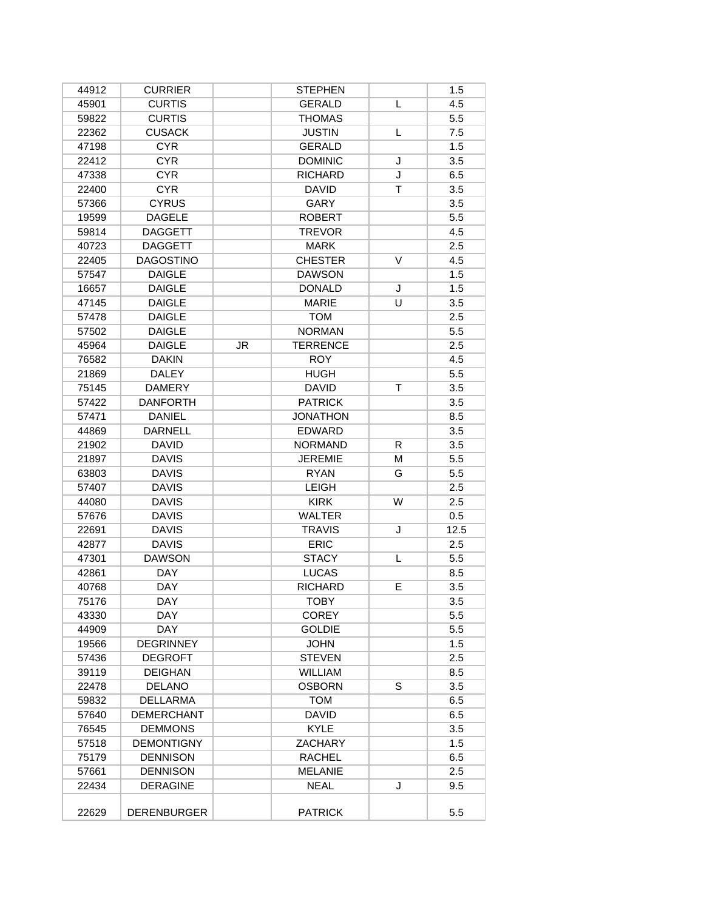| 44912 | <b>CURRIER</b>     |    | <b>STEPHEN</b>  |    | 1.5  |
|-------|--------------------|----|-----------------|----|------|
| 45901 | <b>CURTIS</b>      |    | <b>GERALD</b>   | L  | 4.5  |
| 59822 | <b>CURTIS</b>      |    | <b>THOMAS</b>   |    | 5.5  |
| 22362 | <b>CUSACK</b>      |    | <b>JUSTIN</b>   | L  | 7.5  |
| 47198 | <b>CYR</b>         |    | <b>GERALD</b>   |    | 1.5  |
| 22412 | <b>CYR</b>         |    | <b>DOMINIC</b>  | J  | 3.5  |
| 47338 | <b>CYR</b>         |    | <b>RICHARD</b>  | J  | 6.5  |
| 22400 | <b>CYR</b>         |    | <b>DAVID</b>    | т  | 3.5  |
| 57366 | <b>CYRUS</b>       |    | <b>GARY</b>     |    | 3.5  |
| 19599 | <b>DAGELE</b>      |    | <b>ROBERT</b>   |    | 5.5  |
| 59814 | <b>DAGGETT</b>     |    | <b>TREVOR</b>   |    | 4.5  |
| 40723 | <b>DAGGETT</b>     |    | <b>MARK</b>     |    | 2.5  |
| 22405 | <b>DAGOSTINO</b>   |    | <b>CHESTER</b>  | V  | 4.5  |
| 57547 | <b>DAIGLE</b>      |    | <b>DAWSON</b>   |    | 1.5  |
| 16657 | <b>DAIGLE</b>      |    | <b>DONALD</b>   | J  | 1.5  |
| 47145 | <b>DAIGLE</b>      |    | <b>MARIE</b>    | U  | 3.5  |
| 57478 | <b>DAIGLE</b>      |    | <b>TOM</b>      |    | 2.5  |
| 57502 | <b>DAIGLE</b>      |    | <b>NORMAN</b>   |    | 5.5  |
| 45964 | <b>DAIGLE</b>      | JR | <b>TERRENCE</b> |    | 2.5  |
| 76582 | <b>DAKIN</b>       |    | <b>ROY</b>      |    | 4.5  |
| 21869 | <b>DALEY</b>       |    | <b>HUGH</b>     |    | 5.5  |
| 75145 | <b>DAMERY</b>      |    | <b>DAVID</b>    | T  | 3.5  |
| 57422 | <b>DANFORTH</b>    |    | <b>PATRICK</b>  |    | 3.5  |
| 57471 | <b>DANIEL</b>      |    | <b>JONATHON</b> |    | 8.5  |
| 44869 | <b>DARNELL</b>     |    | <b>EDWARD</b>   |    | 3.5  |
| 21902 | <b>DAVID</b>       |    | <b>NORMAND</b>  | R. | 3.5  |
| 21897 | <b>DAVIS</b>       |    | <b>JEREMIE</b>  | M  | 5.5  |
| 63803 | <b>DAVIS</b>       |    | <b>RYAN</b>     | G  | 5.5  |
| 57407 | <b>DAVIS</b>       |    | <b>LEIGH</b>    |    | 2.5  |
| 44080 | <b>DAVIS</b>       |    | <b>KIRK</b>     | W  | 2.5  |
| 57676 | <b>DAVIS</b>       |    | <b>WALTER</b>   |    | 0.5  |
| 22691 | <b>DAVIS</b>       |    | <b>TRAVIS</b>   | J  | 12.5 |
| 42877 | <b>DAVIS</b>       |    | <b>ERIC</b>     |    | 2.5  |
| 47301 | <b>DAWSON</b>      |    | <b>STACY</b>    | L  | 5.5  |
| 42861 | <b>DAY</b>         |    | <b>LUCAS</b>    |    | 8.5  |
| 40768 | <b>DAY</b>         |    | <b>RICHARD</b>  | E  | 3.5  |
| 75176 | DAY                |    | TOBY            |    | 3.5  |
| 43330 | DAY.               |    | <b>COREY</b>    |    | 5.5  |
| 44909 | <b>DAY</b>         |    | <b>GOLDIE</b>   |    | 5.5  |
| 19566 | <b>DEGRINNEY</b>   |    | <b>JOHN</b>     |    | 1.5  |
| 57436 | <b>DEGROFT</b>     |    | <b>STEVEN</b>   |    | 2.5  |
| 39119 | <b>DEIGHAN</b>     |    | <b>WILLIAM</b>  |    | 8.5  |
| 22478 | <b>DELANO</b>      |    | <b>OSBORN</b>   | S  | 3.5  |
| 59832 | <b>DELLARMA</b>    |    | <b>TOM</b>      |    | 6.5  |
| 57640 | <b>DEMERCHANT</b>  |    | <b>DAVID</b>    |    | 6.5  |
| 76545 | <b>DEMMONS</b>     |    | <b>KYLE</b>     |    | 3.5  |
| 57518 | <b>DEMONTIGNY</b>  |    | <b>ZACHARY</b>  |    | 1.5  |
| 75179 | DENNISON           |    | <b>RACHEL</b>   |    | 6.5  |
| 57661 | <b>DENNISON</b>    |    | <b>MELANIE</b>  |    | 2.5  |
| 22434 | DERAGINE           |    | <b>NEAL</b>     | J  | 9.5  |
|       |                    |    |                 |    |      |
| 22629 | <b>DERENBURGER</b> |    | <b>PATRICK</b>  |    | 5.5  |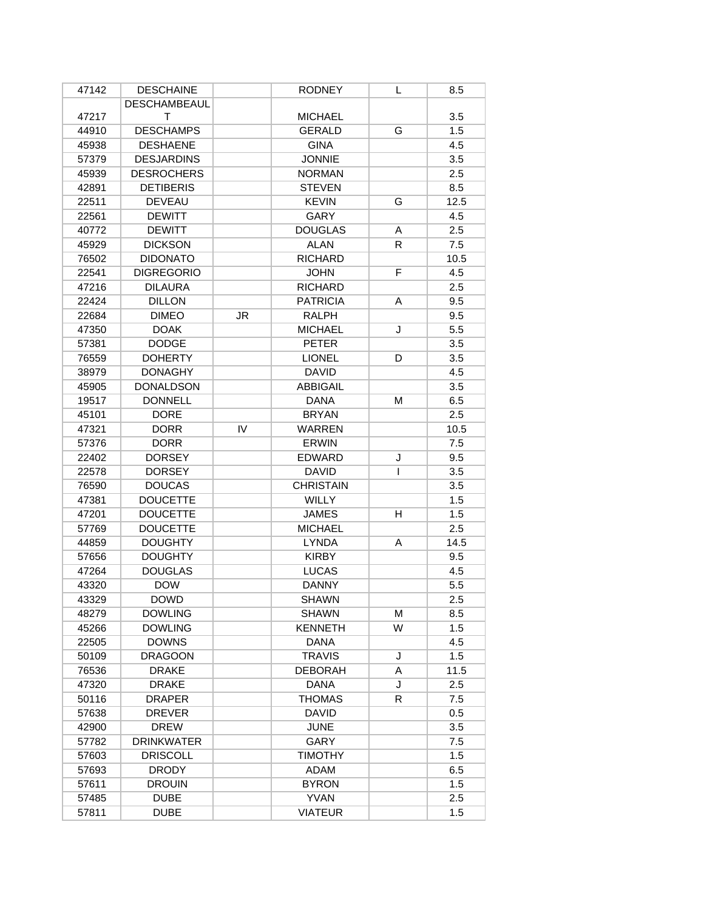| 47142 | <b>DESCHAINE</b>    |           | <b>RODNEY</b>    | L  | 8.5  |
|-------|---------------------|-----------|------------------|----|------|
|       | <b>DESCHAMBEAUL</b> |           |                  |    |      |
| 47217 | т                   |           | <b>MICHAEL</b>   |    | 3.5  |
| 44910 | <b>DESCHAMPS</b>    |           | <b>GERALD</b>    | G  | 1.5  |
| 45938 | <b>DESHAENE</b>     |           | <b>GINA</b>      |    | 4.5  |
| 57379 | <b>DESJARDINS</b>   |           | <b>JONNIE</b>    |    | 3.5  |
| 45939 | <b>DESROCHERS</b>   |           | <b>NORMAN</b>    |    | 2.5  |
| 42891 | <b>DETIBERIS</b>    |           | <b>STEVEN</b>    |    | 8.5  |
| 22511 | <b>DEVEAU</b>       |           | <b>KEVIN</b>     | G  | 12.5 |
| 22561 | <b>DEWITT</b>       |           | <b>GARY</b>      |    | 4.5  |
| 40772 | <b>DEWITT</b>       |           | <b>DOUGLAS</b>   | A  | 2.5  |
| 45929 | <b>DICKSON</b>      |           | <b>ALAN</b>      | R. | 7.5  |
| 76502 | <b>DIDONATO</b>     |           | <b>RICHARD</b>   |    | 10.5 |
| 22541 | <b>DIGREGORIO</b>   |           | <b>JOHN</b>      | F  | 4.5  |
| 47216 | <b>DILAURA</b>      |           | <b>RICHARD</b>   |    | 2.5  |
| 22424 | <b>DILLON</b>       |           | <b>PATRICIA</b>  | A  | 9.5  |
| 22684 | <b>DIMEO</b>        | <b>JR</b> | RALPH            |    | 9.5  |
| 47350 | <b>DOAK</b>         |           | <b>MICHAEL</b>   | J  | 5.5  |
| 57381 | <b>DODGE</b>        |           | <b>PETER</b>     |    | 3.5  |
| 76559 | <b>DOHERTY</b>      |           | <b>LIONEL</b>    | D  | 3.5  |
| 38979 | <b>DONAGHY</b>      |           | <b>DAVID</b>     |    | 4.5  |
| 45905 | <b>DONALDSON</b>    |           | <b>ABBIGAIL</b>  |    | 3.5  |
| 19517 | <b>DONNELL</b>      |           | <b>DANA</b>      | м  | 6.5  |
| 45101 | <b>DORE</b>         |           | <b>BRYAN</b>     |    | 2.5  |
| 47321 | <b>DORR</b>         | IV        | <b>WARREN</b>    |    | 10.5 |
| 57376 | <b>DORR</b>         |           | <b>ERWIN</b>     |    | 7.5  |
| 22402 | <b>DORSEY</b>       |           | <b>EDWARD</b>    | J  | 9.5  |
| 22578 | <b>DORSEY</b>       |           | <b>DAVID</b>     | L  | 3.5  |
| 76590 | <b>DOUCAS</b>       |           | <b>CHRISTAIN</b> |    | 3.5  |
| 47381 | <b>DOUCETTE</b>     |           | WILLY            |    | 1.5  |
| 47201 | <b>DOUCETTE</b>     |           | <b>JAMES</b>     | H  | 1.5  |
| 57769 | <b>DOUCETTE</b>     |           | <b>MICHAEL</b>   |    | 2.5  |
| 44859 | <b>DOUGHTY</b>      |           | <b>LYNDA</b>     | A  | 14.5 |
| 57656 | <b>DOUGHTY</b>      |           | <b>KIRBY</b>     |    | 9.5  |
| 47264 | <b>DOUGLAS</b>      |           | <b>LUCAS</b>     |    | 4.5  |
| 43320 | <b>DOW</b>          |           | <b>DANNY</b>     |    | 5.5  |
| 43329 | <b>DOWD</b>         |           | <b>SHAWN</b>     |    | 2.5  |
| 48279 | <b>DOWLING</b>      |           | <b>SHAWN</b>     | M  | 8.5  |
| 45266 | <b>DOWLING</b>      |           | <b>KENNETH</b>   | W  | 1.5  |
| 22505 | <b>DOWNS</b>        |           | DANA             |    | 4.5  |
| 50109 | <b>DRAGOON</b>      |           | <b>TRAVIS</b>    | J  | 1.5  |
| 76536 | <b>DRAKE</b>        |           | <b>DEBORAH</b>   | A  | 11.5 |
| 47320 | <b>DRAKE</b>        |           | DANA             | J  | 2.5  |
| 50116 | <b>DRAPER</b>       |           | <b>THOMAS</b>    | R  | 7.5  |
| 57638 | <b>DREVER</b>       |           | <b>DAVID</b>     |    | 0.5  |
| 42900 | <b>DREW</b>         |           | <b>JUNE</b>      |    | 3.5  |
| 57782 | <b>DRINKWATER</b>   |           | GARY             |    | 7.5  |
| 57603 | <b>DRISCOLL</b>     |           | TIMOTHY          |    | 1.5  |
| 57693 | <b>DRODY</b>        |           | <b>ADAM</b>      |    | 6.5  |
| 57611 | <b>DROUIN</b>       |           | <b>BYRON</b>     |    | 1.5  |
| 57485 | <b>DUBE</b>         |           | <b>YVAN</b>      |    | 2.5  |
| 57811 | <b>DUBE</b>         |           | <b>VIATEUR</b>   |    | 1.5  |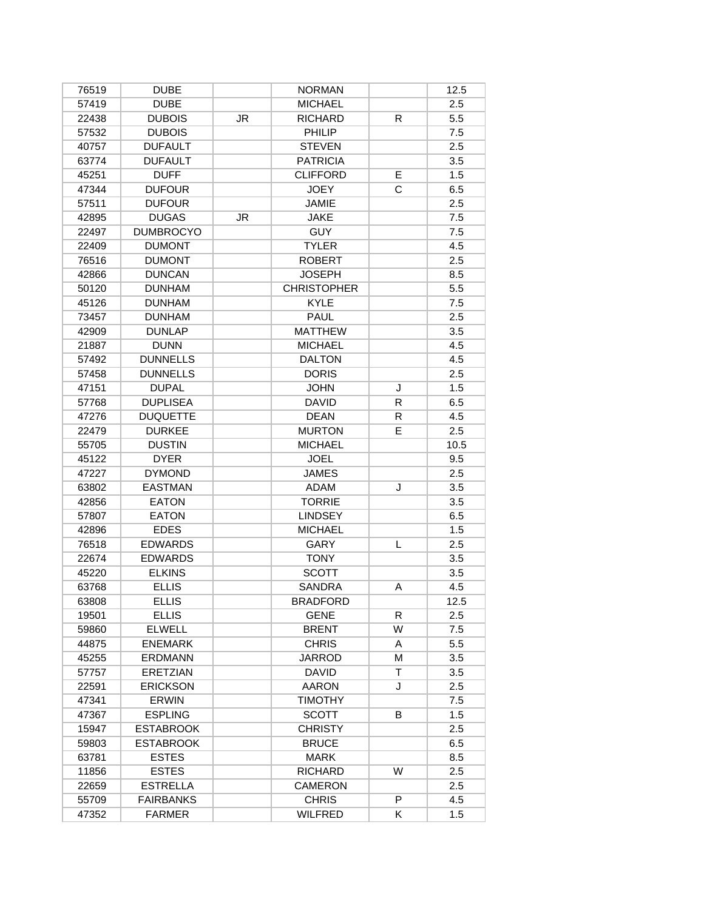| 76519 | <b>DUBE</b>      |           | <b>NORMAN</b>      |    | 12.5 |
|-------|------------------|-----------|--------------------|----|------|
| 57419 | <b>DUBE</b>      |           | <b>MICHAEL</b>     |    | 2.5  |
| 22438 | <b>DUBOIS</b>    | JR        | <b>RICHARD</b>     | R  | 5.5  |
| 57532 | <b>DUBOIS</b>    |           | PHILIP             |    | 7.5  |
| 40757 | <b>DUFAULT</b>   |           | <b>STEVEN</b>      |    | 2.5  |
| 63774 | <b>DUFAULT</b>   |           | <b>PATRICIA</b>    |    | 3.5  |
| 45251 | <b>DUFF</b>      |           | <b>CLIFFORD</b>    | E  | 1.5  |
| 47344 | <b>DUFOUR</b>    |           | <b>JOEY</b>        | C  | 6.5  |
| 57511 | <b>DUFOUR</b>    |           | <b>JAMIE</b>       |    | 2.5  |
| 42895 | <b>DUGAS</b>     | <b>JR</b> | <b>JAKE</b>        |    | 7.5  |
| 22497 | <b>DUMBROCYO</b> |           | <b>GUY</b>         |    | 7.5  |
| 22409 | <b>DUMONT</b>    |           | <b>TYLER</b>       |    | 4.5  |
| 76516 | <b>DUMONT</b>    |           | <b>ROBERT</b>      |    | 2.5  |
| 42866 | <b>DUNCAN</b>    |           | <b>JOSEPH</b>      |    | 8.5  |
| 50120 | <b>DUNHAM</b>    |           | <b>CHRISTOPHER</b> |    | 5.5  |
| 45126 | <b>DUNHAM</b>    |           | <b>KYLE</b>        |    | 7.5  |
| 73457 | <b>DUNHAM</b>    |           | PAUL               |    | 2.5  |
| 42909 | <b>DUNLAP</b>    |           | <b>MATTHEW</b>     |    | 3.5  |
| 21887 | <b>DUNN</b>      |           | <b>MICHAEL</b>     |    | 4.5  |
| 57492 | <b>DUNNELLS</b>  |           | <b>DALTON</b>      |    | 4.5  |
| 57458 | <b>DUNNELLS</b>  |           | <b>DORIS</b>       |    | 2.5  |
| 47151 | <b>DUPAL</b>     |           | <b>JOHN</b>        | J  | 1.5  |
| 57768 | <b>DUPLISEA</b>  |           | <b>DAVID</b>       | R  | 6.5  |
| 47276 | <b>DUQUETTE</b>  |           | <b>DEAN</b>        | R  | 4.5  |
| 22479 | <b>DURKEE</b>    |           | <b>MURTON</b>      | E  | 2.5  |
| 55705 | <b>DUSTIN</b>    |           | <b>MICHAEL</b>     |    | 10.5 |
| 45122 | <b>DYER</b>      |           | <b>JOEL</b>        |    | 9.5  |
| 47227 | <b>DYMOND</b>    |           | <b>JAMES</b>       |    | 2.5  |
| 63802 | <b>EASTMAN</b>   |           | <b>ADAM</b>        | J  | 3.5  |
| 42856 | <b>EATON</b>     |           | <b>TORRIE</b>      |    | 3.5  |
| 57807 | <b>EATON</b>     |           | <b>LINDSEY</b>     |    | 6.5  |
| 42896 | <b>EDES</b>      |           | <b>MICHAEL</b>     |    | 1.5  |
| 76518 | <b>EDWARDS</b>   |           | GARY               | L  | 2.5  |
| 22674 | <b>EDWARDS</b>   |           | <b>TONY</b>        |    | 3.5  |
| 45220 | <b>ELKINS</b>    |           | <b>SCOTT</b>       |    | 3.5  |
| 63768 | <b>ELLIS</b>     |           | <b>SANDRA</b>      | Α  | 4.5  |
| 63808 | <b>ELLIS</b>     |           | BRADFORD           |    | 12.5 |
| 19501 | <b>ELLIS</b>     |           | <b>GENE</b>        | R. | 2.5  |
| 59860 | <b>ELWELL</b>    |           | <b>BRENT</b>       | W  | 7.5  |
| 44875 | <b>ENEMARK</b>   |           | <b>CHRIS</b>       | A  | 5.5  |
| 45255 | <b>ERDMANN</b>   |           | <b>JARROD</b>      | M  | 3.5  |
| 57757 | <b>ERETZIAN</b>  |           | <b>DAVID</b>       | т  | 3.5  |
| 22591 | <b>ERICKSON</b>  |           | <b>AARON</b>       | J  | 2.5  |
| 47341 | <b>ERWIN</b>     |           | <b>TIMOTHY</b>     |    | 7.5  |
| 47367 | <b>ESPLING</b>   |           | <b>SCOTT</b>       | B  | 1.5  |
| 15947 | <b>ESTABROOK</b> |           | <b>CHRISTY</b>     |    | 2.5  |
| 59803 | <b>ESTABROOK</b> |           | <b>BRUCE</b>       |    | 6.5  |
| 63781 | <b>ESTES</b>     |           | <b>MARK</b>        |    | 8.5  |
| 11856 | <b>ESTES</b>     |           | <b>RICHARD</b>     | W  | 2.5  |
| 22659 | <b>ESTRELLA</b>  |           | CAMERON            |    | 2.5  |
|       |                  |           |                    | P  |      |
| 55709 | FAIRBANKS        |           | <b>CHRIS</b>       |    | 4.5  |
| 47352 | <b>FARMER</b>    |           | <b>WILFRED</b>     | K  | 1.5  |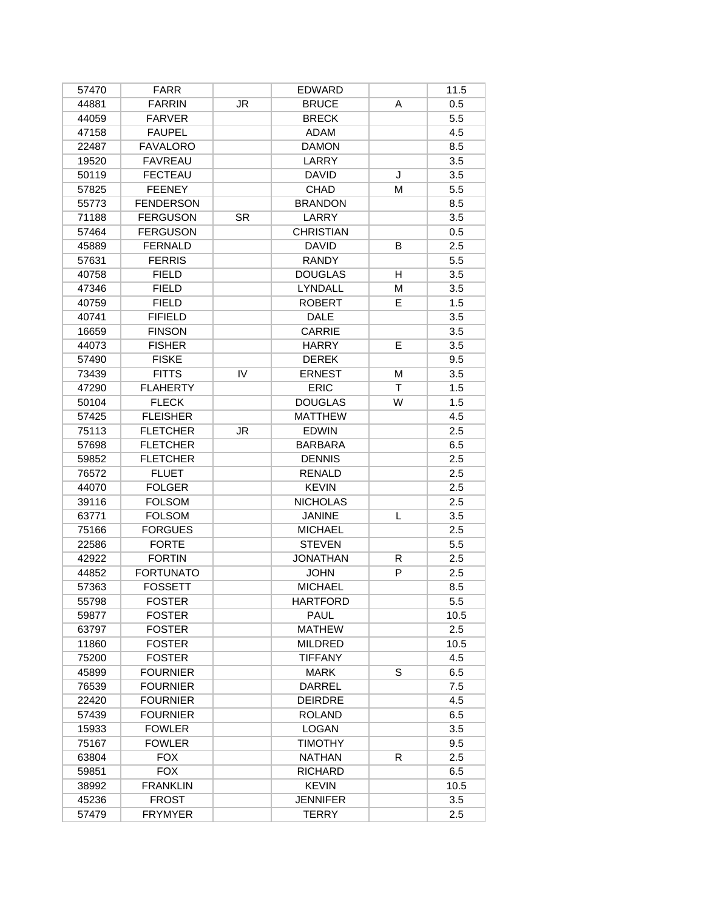| 57470 | <b>FARR</b>      |           | <b>EDWARD</b>    |    | 11.5 |
|-------|------------------|-----------|------------------|----|------|
| 44881 | <b>FARRIN</b>    | JR        | <b>BRUCE</b>     | A  | 0.5  |
| 44059 | <b>FARVER</b>    |           | <b>BRECK</b>     |    | 5.5  |
| 47158 | <b>FAUPEL</b>    |           | ADAM             |    | 4.5  |
| 22487 | <b>FAVALORO</b>  |           | <b>DAMON</b>     |    | 8.5  |
| 19520 | <b>FAVREAU</b>   |           | LARRY            |    | 3.5  |
| 50119 | <b>FECTEAU</b>   |           | <b>DAVID</b>     | J  | 3.5  |
| 57825 | <b>FEENEY</b>    |           | <b>CHAD</b>      | М  | 5.5  |
| 55773 | <b>FENDERSON</b> |           | <b>BRANDON</b>   |    | 8.5  |
| 71188 | <b>FERGUSON</b>  | <b>SR</b> | LARRY            |    | 3.5  |
| 57464 | <b>FERGUSON</b>  |           | <b>CHRISTIAN</b> |    | 0.5  |
| 45889 | <b>FERNALD</b>   |           | <b>DAVID</b>     | B  | 2.5  |
| 57631 | <b>FERRIS</b>    |           | <b>RANDY</b>     |    | 5.5  |
| 40758 | <b>FIELD</b>     |           | <b>DOUGLAS</b>   | H  | 3.5  |
| 47346 | <b>FIELD</b>     |           | <b>LYNDALL</b>   | M  | 3.5  |
| 40759 | <b>FIELD</b>     |           | <b>ROBERT</b>    | E. | 1.5  |
| 40741 | <b>FIFIELD</b>   |           | DALE             |    | 3.5  |
| 16659 | <b>FINSON</b>    |           | <b>CARRIE</b>    |    | 3.5  |
| 44073 | <b>FISHER</b>    |           | <b>HARRY</b>     | E  | 3.5  |
| 57490 | <b>FISKE</b>     |           | <b>DEREK</b>     |    | 9.5  |
| 73439 | <b>FITTS</b>     | IV        | <b>ERNEST</b>    | M  | 3.5  |
| 47290 | <b>FLAHERTY</b>  |           | <b>ERIC</b>      | Τ  | 1.5  |
| 50104 | <b>FLECK</b>     |           | <b>DOUGLAS</b>   | W  | 1.5  |
| 57425 | <b>FLEISHER</b>  |           | <b>MATTHEW</b>   |    | 4.5  |
| 75113 | <b>FLETCHER</b>  | <b>JR</b> | <b>EDWIN</b>     |    | 2.5  |
| 57698 | <b>FLETCHER</b>  |           | <b>BARBARA</b>   |    | 6.5  |
| 59852 | <b>FLETCHER</b>  |           | <b>DENNIS</b>    |    | 2.5  |
| 76572 | <b>FLUET</b>     |           | <b>RENALD</b>    |    | 2.5  |
| 44070 | <b>FOLGER</b>    |           | <b>KEVIN</b>     |    | 2.5  |
| 39116 | <b>FOLSOM</b>    |           | <b>NICHOLAS</b>  |    | 2.5  |
| 63771 | <b>FOLSOM</b>    |           | <b>JANINE</b>    | L  | 3.5  |
| 75166 | <b>FORGUES</b>   |           | <b>MICHAEL</b>   |    | 2.5  |
| 22586 | <b>FORTE</b>     |           | <b>STEVEN</b>    |    | 5.5  |
| 42922 | <b>FORTIN</b>    |           | <b>JONATHAN</b>  | R  | 2.5  |
| 44852 | <b>FORTUNATO</b> |           | <b>JOHN</b>      | P  | 2.5  |
| 57363 | <b>FOSSETT</b>   |           | <b>MICHAEL</b>   |    | 8.5  |
| 55798 | <b>FOSTER</b>    |           | <b>HARTFORD</b>  |    | 5.5  |
| 59877 | <b>FOSTER</b>    |           | <b>PAUL</b>      |    | 10.5 |
| 63797 | <b>FOSTER</b>    |           | <b>MATHEW</b>    |    | 2.5  |
| 11860 | <b>FOSTER</b>    |           | <b>MILDRED</b>   |    | 10.5 |
| 75200 | <b>FOSTER</b>    |           | <b>TIFFANY</b>   |    | 4.5  |
| 45899 | <b>FOURNIER</b>  |           | MARK             | S  | 6.5  |
| 76539 | <b>FOURNIER</b>  |           | DARREL           |    | 7.5  |
| 22420 | <b>FOURNIER</b>  |           | <b>DEIRDRE</b>   |    | 4.5  |
| 57439 | <b>FOURNIER</b>  |           | <b>ROLAND</b>    |    | 6.5  |
| 15933 | <b>FOWLER</b>    |           | LOGAN            |    | 3.5  |
| 75167 | <b>FOWLER</b>    |           | <b>TIMOTHY</b>   |    | 9.5  |
| 63804 | <b>FOX</b>       |           | <b>NATHAN</b>    | R. | 2.5  |
| 59851 | <b>FOX</b>       |           | <b>RICHARD</b>   |    | 6.5  |
| 38992 | <b>FRANKLIN</b>  |           | <b>KEVIN</b>     |    | 10.5 |
| 45236 | <b>FROST</b>     |           | <b>JENNIFER</b>  |    | 3.5  |
| 57479 | <b>FRYMYER</b>   |           | <b>TERRY</b>     |    | 2.5  |
|       |                  |           |                  |    |      |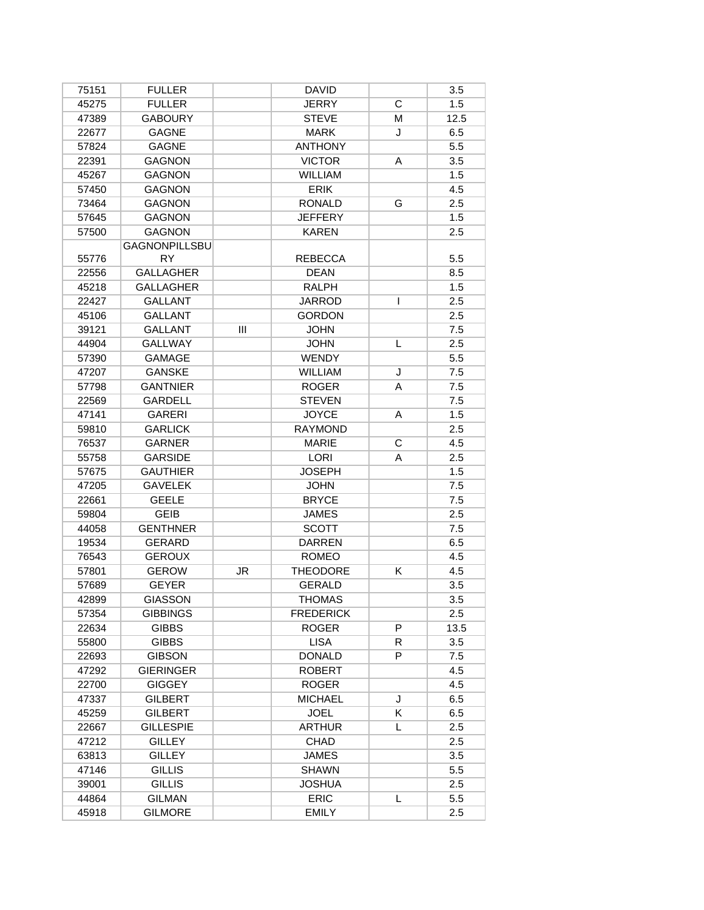| 75151 | <b>FULLER</b>        |     | <b>DAVID</b>     |   | 3.5  |
|-------|----------------------|-----|------------------|---|------|
| 45275 | <b>FULLER</b>        |     | <b>JERRY</b>     | C | 1.5  |
| 47389 | <b>GABOURY</b>       |     | <b>STEVE</b>     | M | 12.5 |
| 22677 | <b>GAGNE</b>         |     | <b>MARK</b>      | J | 6.5  |
| 57824 | <b>GAGNE</b>         |     | <b>ANTHONY</b>   |   | 5.5  |
| 22391 | <b>GAGNON</b>        |     | <b>VICTOR</b>    | A | 3.5  |
| 45267 | <b>GAGNON</b>        |     | <b>WILLIAM</b>   |   | 1.5  |
| 57450 | <b>GAGNON</b>        |     | <b>ERIK</b>      |   | 4.5  |
| 73464 | <b>GAGNON</b>        |     | <b>RONALD</b>    | G | 2.5  |
| 57645 | <b>GAGNON</b>        |     | <b>JEFFERY</b>   |   | 1.5  |
| 57500 | <b>GAGNON</b>        |     | <b>KAREN</b>     |   | 2.5  |
|       | <b>GAGNONPILLSBU</b> |     |                  |   |      |
| 55776 | <b>RY</b>            |     | <b>REBECCA</b>   |   | 5.5  |
| 22556 | <b>GALLAGHER</b>     |     | <b>DEAN</b>      |   | 8.5  |
| 45218 | <b>GALLAGHER</b>     |     | <b>RALPH</b>     |   | 1.5  |
| 22427 | <b>GALLANT</b>       |     | JARROD           | T | 2.5  |
| 45106 | <b>GALLANT</b>       |     | <b>GORDON</b>    |   | 2.5  |
| 39121 | <b>GALLANT</b>       | III | <b>JOHN</b>      |   | 7.5  |
| 44904 | <b>GALLWAY</b>       |     | <b>JOHN</b>      | L | 2.5  |
| 57390 | <b>GAMAGE</b>        |     | WENDY            |   | 5.5  |
| 47207 | <b>GANSKE</b>        |     | <b>WILLIAM</b>   | J | 7.5  |
| 57798 | <b>GANTNIER</b>      |     | <b>ROGER</b>     | A | 7.5  |
| 22569 | <b>GARDELL</b>       |     | <b>STEVEN</b>    |   | 7.5  |
| 47141 | <b>GARERI</b>        |     | <b>JOYCE</b>     | Α | 1.5  |
| 59810 | <b>GARLICK</b>       |     | <b>RAYMOND</b>   |   | 2.5  |
| 76537 | <b>GARNER</b>        |     | <b>MARIE</b>     | C | 4.5  |
| 55758 | <b>GARSIDE</b>       |     | <b>LORI</b>      | A | 2.5  |
| 57675 | <b>GAUTHIER</b>      |     | <b>JOSEPH</b>    |   | 1.5  |
| 47205 | <b>GAVELEK</b>       |     | <b>JOHN</b>      |   | 7.5  |
| 22661 | <b>GEELE</b>         |     | <b>BRYCE</b>     |   | 7.5  |
| 59804 | <b>GEIB</b>          |     | <b>JAMES</b>     |   | 2.5  |
| 44058 | <b>GENTHNER</b>      |     | <b>SCOTT</b>     |   | 7.5  |
| 19534 | <b>GERARD</b>        |     | <b>DARREN</b>    |   | 6.5  |
| 76543 | <b>GEROUX</b>        |     | <b>ROMEO</b>     |   | 4.5  |
| 57801 | <b>GEROW</b>         | JR  | <b>THEODORE</b>  | K | 4.5  |
| 57689 | <b>GEYER</b>         |     | <b>GERALD</b>    |   | 3.5  |
| 42899 | GIASSON              |     | <b>THOMAS</b>    |   | 3.5  |
| 57354 | <b>GIBBINGS</b>      |     | <b>FREDERICK</b> |   | 2.5  |
| 22634 | <b>GIBBS</b>         |     | <b>ROGER</b>     | P | 13.5 |
| 55800 | <b>GIBBS</b>         |     | <b>LISA</b>      | R | 3.5  |
| 22693 | <b>GIBSON</b>        |     | <b>DONALD</b>    | P | 7.5  |
| 47292 | <b>GIERINGER</b>     |     | <b>ROBERT</b>    |   | 4.5  |
| 22700 | <b>GIGGEY</b>        |     | <b>ROGER</b>     |   | 4.5  |
| 47337 | <b>GILBERT</b>       |     | <b>MICHAEL</b>   | J | 6.5  |
| 45259 | <b>GILBERT</b>       |     | <b>JOEL</b>      | K | 6.5  |
| 22667 | <b>GILLESPIE</b>     |     | <b>ARTHUR</b>    | L | 2.5  |
| 47212 | <b>GILLEY</b>        |     | CHAD             |   | 2.5  |
| 63813 | <b>GILLEY</b>        |     | <b>JAMES</b>     |   | 3.5  |
| 47146 | <b>GILLIS</b>        |     | <b>SHAWN</b>     |   | 5.5  |
| 39001 | <b>GILLIS</b>        |     | <b>JOSHUA</b>    |   | 2.5  |
| 44864 | <b>GILMAN</b>        |     | <b>ERIC</b>      | L | 5.5  |
| 45918 | <b>GILMORE</b>       |     | <b>EMILY</b>     |   | 2.5  |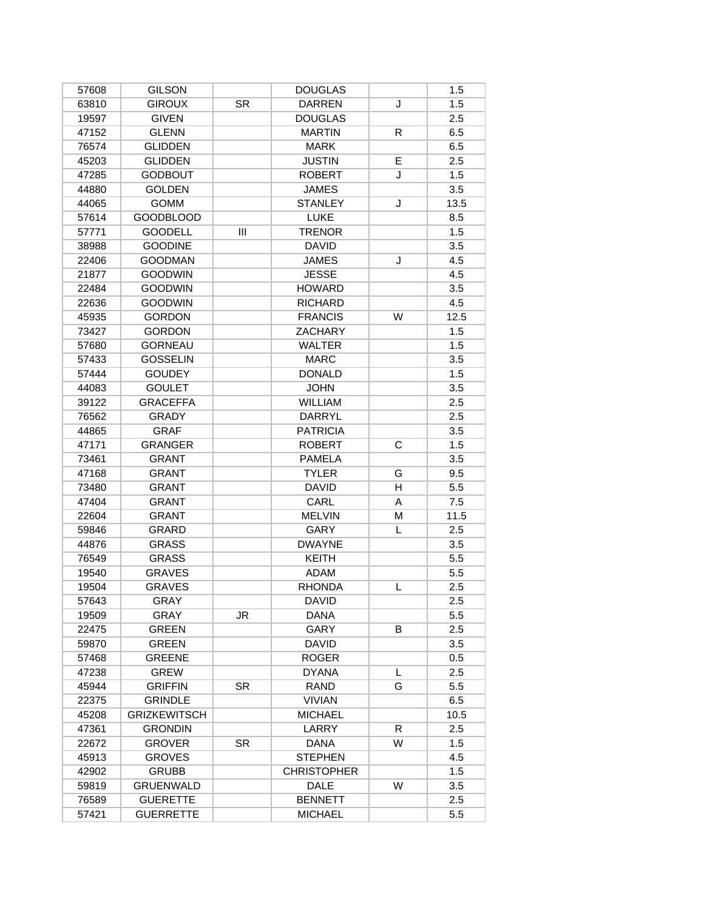| 57608 | <b>GILSON</b>       |           | <b>DOUGLAS</b>     |   | 1.5  |
|-------|---------------------|-----------|--------------------|---|------|
| 63810 | <b>GIROUX</b>       | <b>SR</b> | <b>DARREN</b>      | J | 1.5  |
| 19597 | <b>GIVEN</b>        |           | <b>DOUGLAS</b>     |   | 2.5  |
| 47152 | <b>GLENN</b>        |           | <b>MARTIN</b>      | R | 6.5  |
| 76574 | <b>GLIDDEN</b>      |           | <b>MARK</b>        |   | 6.5  |
| 45203 | <b>GLIDDEN</b>      |           | <b>JUSTIN</b>      | E | 2.5  |
| 47285 | <b>GODBOUT</b>      |           | <b>ROBERT</b>      | J | 1.5  |
| 44880 | <b>GOLDEN</b>       |           | <b>JAMES</b>       |   | 3.5  |
| 44065 | <b>GOMM</b>         |           | <b>STANLEY</b>     | J | 13.5 |
| 57614 | <b>GOODBLOOD</b>    |           | <b>LUKE</b>        |   | 8.5  |
| 57771 | <b>GOODELL</b>      | Ш         | <b>TRENOR</b>      |   | 1.5  |
| 38988 | <b>GOODINE</b>      |           | <b>DAVID</b>       |   | 3.5  |
| 22406 | <b>GOODMAN</b>      |           | <b>JAMES</b>       | J | 4.5  |
| 21877 | <b>GOODWIN</b>      |           | <b>JESSE</b>       |   | 4.5  |
| 22484 | <b>GOODWIN</b>      |           | <b>HOWARD</b>      |   | 3.5  |
| 22636 | <b>GOODWIN</b>      |           | <b>RICHARD</b>     |   | 4.5  |
| 45935 | <b>GORDON</b>       |           | <b>FRANCIS</b>     | W | 12.5 |
| 73427 | <b>GORDON</b>       |           | <b>ZACHARY</b>     |   | 1.5  |
| 57680 | <b>GORNEAU</b>      |           | <b>WALTER</b>      |   | 1.5  |
| 57433 | <b>GOSSELIN</b>     |           | <b>MARC</b>        |   | 3.5  |
| 57444 | <b>GOUDEY</b>       |           | <b>DONALD</b>      |   | 1.5  |
| 44083 | <b>GOULET</b>       |           | <b>JOHN</b>        |   | 3.5  |
| 39122 | <b>GRACEFFA</b>     |           | <b>WILLIAM</b>     |   | 2.5  |
| 76562 | <b>GRADY</b>        |           | DARRYL             |   | 2.5  |
| 44865 | <b>GRAF</b>         |           | <b>PATRICIA</b>    |   | 3.5  |
| 47171 | <b>GRANGER</b>      |           | <b>ROBERT</b>      | C | 1.5  |
| 73461 | <b>GRANT</b>        |           | <b>PAMELA</b>      |   | 3.5  |
| 47168 | <b>GRANT</b>        |           | <b>TYLER</b>       | G | 9.5  |
| 73480 | <b>GRANT</b>        |           | <b>DAVID</b>       | H | 5.5  |
| 47404 | <b>GRANT</b>        |           | CARL               | A | 7.5  |
| 22604 | <b>GRANT</b>        |           | <b>MELVIN</b>      | M | 11.5 |
| 59846 | GRARD               |           | GARY               | L | 2.5  |
| 44876 | <b>GRASS</b>        |           | <b>DWAYNE</b>      |   | 3.5  |
| 76549 | <b>GRASS</b>        |           | <b>KEITH</b>       |   | 5.5  |
| 19540 | <b>GRAVES</b>       |           | <b>ADAM</b>        |   | 5.5  |
| 19504 | <b>GRAVES</b>       |           | <b>RHONDA</b>      | L | 2.5  |
| 57643 | <b>GRAY</b>         |           | <b>DAVID</b>       |   | 2.5  |
| 19509 | GRAY                | JR        | DANA               |   | 5.5  |
| 22475 | <b>GREEN</b>        |           | GARY               | B | 2.5  |
| 59870 | <b>GREEN</b>        |           | <b>DAVID</b>       |   | 3.5  |
| 57468 | <b>GREENE</b>       |           | <b>ROGER</b>       |   | 0.5  |
| 47238 | <b>GREW</b>         |           | <b>DYANA</b>       | L | 2.5  |
| 45944 | <b>GRIFFIN</b>      | SR.       | RAND               | G | 5.5  |
| 22375 | <b>GRINDLE</b>      |           | <b>VIVIAN</b>      |   | 6.5  |
| 45208 | <b>GRIZKEWITSCH</b> |           | <b>MICHAEL</b>     |   | 10.5 |
| 47361 | <b>GRONDIN</b>      |           | LARRY              | R | 2.5  |
| 22672 | <b>GROVER</b>       | SR.       | <b>DANA</b>        | W | 1.5  |
| 45913 | <b>GROVES</b>       |           | <b>STEPHEN</b>     |   | 4.5  |
| 42902 | <b>GRUBB</b>        |           | <b>CHRISTOPHER</b> |   | 1.5  |
| 59819 | <b>GRUENWALD</b>    |           | <b>DALE</b>        | W | 3.5  |
| 76589 | <b>GUERETTE</b>     |           | <b>BENNETT</b>     |   | 2.5  |
| 57421 | <b>GUERRETTE</b>    |           | <b>MICHAEL</b>     |   | 5.5  |
|       |                     |           |                    |   |      |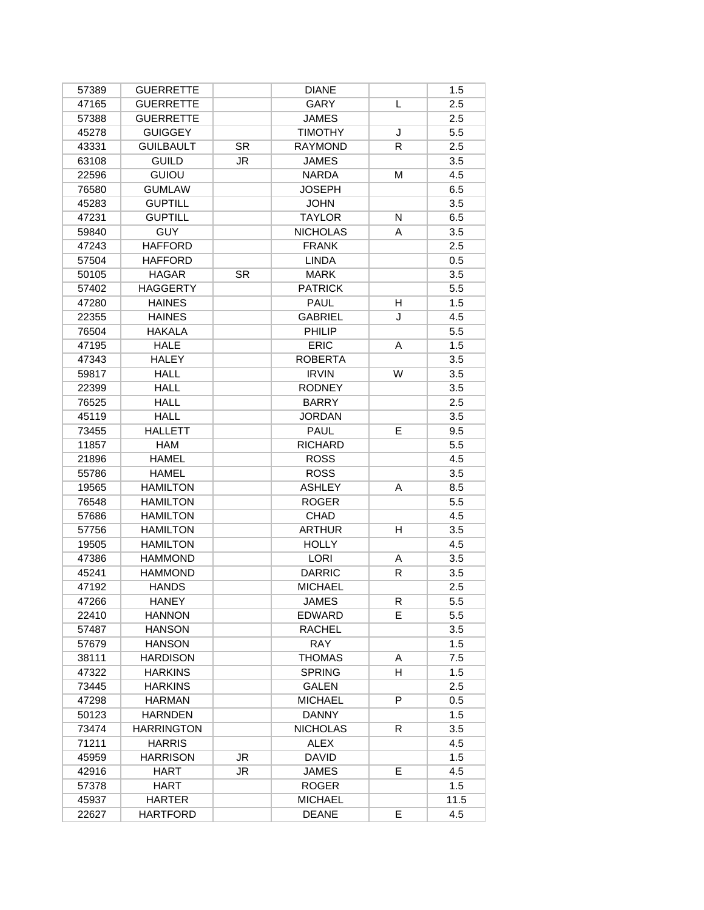| 57389 | <b>GUERRETTE</b>  |           | <b>DIANE</b>    |    | 1.5  |
|-------|-------------------|-----------|-----------------|----|------|
| 47165 | <b>GUERRETTE</b>  |           | GARY            | L  | 2.5  |
| 57388 | <b>GUERRETTE</b>  |           | <b>JAMES</b>    |    | 2.5  |
| 45278 | <b>GUIGGEY</b>    |           | <b>TIMOTHY</b>  | J  | 5.5  |
| 43331 | <b>GUILBAULT</b>  | <b>SR</b> | <b>RAYMOND</b>  | R  | 2.5  |
| 63108 | <b>GUILD</b>      | <b>JR</b> | <b>JAMES</b>    |    | 3.5  |
| 22596 | <b>GUIOU</b>      |           | <b>NARDA</b>    | М  | 4.5  |
| 76580 | <b>GUMLAW</b>     |           | <b>JOSEPH</b>   |    | 6.5  |
| 45283 | <b>GUPTILL</b>    |           | <b>JOHN</b>     |    | 3.5  |
| 47231 | <b>GUPTILL</b>    |           | <b>TAYLOR</b>   | N  | 6.5  |
| 59840 | <b>GUY</b>        |           | <b>NICHOLAS</b> | A  | 3.5  |
| 47243 | <b>HAFFORD</b>    |           | <b>FRANK</b>    |    | 2.5  |
| 57504 | <b>HAFFORD</b>    |           | <b>LINDA</b>    |    | 0.5  |
| 50105 | <b>HAGAR</b>      | <b>SR</b> | <b>MARK</b>     |    | 3.5  |
| 57402 | <b>HAGGERTY</b>   |           | <b>PATRICK</b>  |    | 5.5  |
| 47280 | <b>HAINES</b>     |           | <b>PAUL</b>     | H  | 1.5  |
| 22355 | <b>HAINES</b>     |           | <b>GABRIEL</b>  | J  | 4.5  |
| 76504 | <b>HAKALA</b>     |           | PHILIP          |    | 5.5  |
| 47195 | <b>HALE</b>       |           | <b>ERIC</b>     | A  | 1.5  |
| 47343 | <b>HALEY</b>      |           | <b>ROBERTA</b>  |    | 3.5  |
| 59817 | <b>HALL</b>       |           | <b>IRVIN</b>    | W  | 3.5  |
| 22399 | <b>HALL</b>       |           | <b>RODNEY</b>   |    | 3.5  |
| 76525 | <b>HALL</b>       |           | <b>BARRY</b>    |    | 2.5  |
| 45119 | <b>HALL</b>       |           | <b>JORDAN</b>   |    | 3.5  |
| 73455 | <b>HALLETT</b>    |           | <b>PAUL</b>     | E  | 9.5  |
| 11857 | <b>HAM</b>        |           | <b>RICHARD</b>  |    | 5.5  |
| 21896 | <b>HAMEL</b>      |           | <b>ROSS</b>     |    | 4.5  |
| 55786 | <b>HAMEL</b>      |           | <b>ROSS</b>     |    | 3.5  |
| 19565 | <b>HAMILTON</b>   |           | <b>ASHLEY</b>   | A  | 8.5  |
| 76548 | <b>HAMILTON</b>   |           | <b>ROGER</b>    |    | 5.5  |
| 57686 | <b>HAMILTON</b>   |           | <b>CHAD</b>     |    | 4.5  |
| 57756 | <b>HAMILTON</b>   |           | <b>ARTHUR</b>   | H  | 3.5  |
| 19505 | <b>HAMILTON</b>   |           | <b>HOLLY</b>    |    | 4.5  |
| 47386 | <b>HAMMOND</b>    |           | <b>LORI</b>     | Α  | 3.5  |
| 45241 | <b>HAMMOND</b>    |           | <b>DARRIC</b>   | R  | 3.5  |
| 47192 | <b>HANDS</b>      |           | <b>MICHAEL</b>  |    | 2.5  |
| 47266 | HANEY             |           | JAMES           | R  | 5.5  |
| 22410 | <b>HANNON</b>     |           | EDWARD          | E. | 5.5  |
| 57487 | <b>HANSON</b>     |           | <b>RACHEL</b>   |    | 3.5  |
| 57679 | <b>HANSON</b>     |           | <b>RAY</b>      |    | 1.5  |
| 38111 | <b>HARDISON</b>   |           | <b>THOMAS</b>   | A  | 7.5  |
| 47322 | <b>HARKINS</b>    |           | <b>SPRING</b>   | H. | 1.5  |
| 73445 | <b>HARKINS</b>    |           | <b>GALEN</b>    |    | 2.5  |
| 47298 | <b>HARMAN</b>     |           | <b>MICHAEL</b>  | P  | 0.5  |
| 50123 | <b>HARNDEN</b>    |           | <b>DANNY</b>    |    | 1.5  |
| 73474 | <b>HARRINGTON</b> |           | <b>NICHOLAS</b> | R. | 3.5  |
| 71211 | <b>HARRIS</b>     |           | <b>ALEX</b>     |    | 4.5  |
| 45959 | <b>HARRISON</b>   | JR        | <b>DAVID</b>    |    | 1.5  |
| 42916 | HART              | JR        | <b>JAMES</b>    | E. | 4.5  |
| 57378 | HART              |           | <b>ROGER</b>    |    | 1.5  |
| 45937 | <b>HARTER</b>     |           | <b>MICHAEL</b>  |    | 11.5 |
| 22627 | <b>HARTFORD</b>   |           | <b>DEANE</b>    | E  | 4.5  |
|       |                   |           |                 |    |      |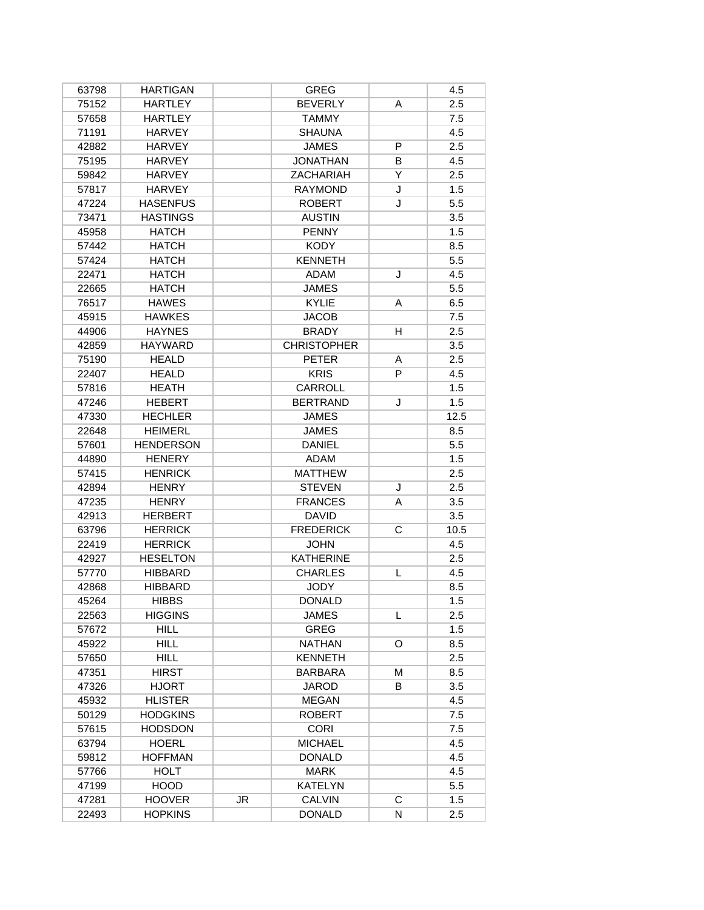| 63798 | <b>HARTIGAN</b>  |    | <b>GREG</b>        |   | 4.5  |
|-------|------------------|----|--------------------|---|------|
| 75152 | <b>HARTLEY</b>   |    | <b>BEVERLY</b>     | A | 2.5  |
| 57658 | <b>HARTLEY</b>   |    | <b>TAMMY</b>       |   | 7.5  |
| 71191 | <b>HARVEY</b>    |    | <b>SHAUNA</b>      |   | 4.5  |
| 42882 | <b>HARVEY</b>    |    | <b>JAMES</b>       | P | 2.5  |
| 75195 | <b>HARVEY</b>    |    | <b>JONATHAN</b>    | B | 4.5  |
| 59842 | <b>HARVEY</b>    |    | <b>ZACHARIAH</b>   | Y | 2.5  |
| 57817 | <b>HARVEY</b>    |    | <b>RAYMOND</b>     | J | 1.5  |
| 47224 | <b>HASENFUS</b>  |    | <b>ROBERT</b>      | J | 5.5  |
| 73471 | <b>HASTINGS</b>  |    | <b>AUSTIN</b>      |   | 3.5  |
| 45958 | <b>HATCH</b>     |    | <b>PENNY</b>       |   | 1.5  |
| 57442 | <b>HATCH</b>     |    | <b>KODY</b>        |   | 8.5  |
| 57424 | <b>HATCH</b>     |    | <b>KENNETH</b>     |   | 5.5  |
| 22471 | <b>HATCH</b>     |    | <b>ADAM</b>        | J | 4.5  |
| 22665 | <b>HATCH</b>     |    | <b>JAMES</b>       |   | 5.5  |
| 76517 | <b>HAWES</b>     |    | <b>KYLIE</b>       | A | 6.5  |
| 45915 | <b>HAWKES</b>    |    | <b>JACOB</b>       |   | 7.5  |
| 44906 | <b>HAYNES</b>    |    | <b>BRADY</b>       | H | 2.5  |
| 42859 | <b>HAYWARD</b>   |    | <b>CHRISTOPHER</b> |   | 3.5  |
| 75190 | <b>HEALD</b>     |    | <b>PETER</b>       | Α | 2.5  |
| 22407 | <b>HEALD</b>     |    | <b>KRIS</b>        | P | 4.5  |
| 57816 | <b>HEATH</b>     |    | CARROLL            |   | 1.5  |
| 47246 | <b>HEBERT</b>    |    | <b>BERTRAND</b>    | J | 1.5  |
| 47330 | <b>HECHLER</b>   |    | <b>JAMES</b>       |   | 12.5 |
| 22648 | <b>HEIMERL</b>   |    | <b>JAMES</b>       |   | 8.5  |
| 57601 | <b>HENDERSON</b> |    | <b>DANIEL</b>      |   | 5.5  |
| 44890 | <b>HENERY</b>    |    | <b>ADAM</b>        |   | 1.5  |
| 57415 | <b>HENRICK</b>   |    | <b>MATTHEW</b>     |   | 2.5  |
| 42894 | <b>HENRY</b>     |    | <b>STEVEN</b>      | J | 2.5  |
| 47235 | <b>HENRY</b>     |    | <b>FRANCES</b>     | A | 3.5  |
| 42913 | <b>HERBERT</b>   |    | <b>DAVID</b>       |   | 3.5  |
| 63796 | <b>HERRICK</b>   |    | <b>FREDERICK</b>   | C | 10.5 |
| 22419 | <b>HERRICK</b>   |    | <b>JOHN</b>        |   | 4.5  |
| 42927 | <b>HESELTON</b>  |    | <b>KATHERINE</b>   |   | 2.5  |
| 57770 | <b>HIBBARD</b>   |    | <b>CHARLES</b>     | L | 4.5  |
| 42868 | <b>HIBBARD</b>   |    | <b>JODY</b>        |   | 8.5  |
| 45264 | <b>HIBBS</b>     |    | DONALD             |   | 1.5  |
| 22563 | <b>HIGGINS</b>   |    | <b>JAMES</b>       | L | 2.5  |
| 57672 | <b>HILL</b>      |    | <b>GREG</b>        |   | 1.5  |
| 45922 | <b>HILL</b>      |    | <b>NATHAN</b>      | O | 8.5  |
| 57650 | <b>HILL</b>      |    | <b>KENNETH</b>     |   | 2.5  |
| 47351 | <b>HIRST</b>     |    | <b>BARBARA</b>     | М | 8.5  |
| 47326 | <b>HJORT</b>     |    | <b>JAROD</b>       | B | 3.5  |
| 45932 | <b>HLISTER</b>   |    | <b>MEGAN</b>       |   | 4.5  |
| 50129 | <b>HODGKINS</b>  |    | <b>ROBERT</b>      |   | 7.5  |
| 57615 | <b>HODSDON</b>   |    | <b>CORI</b>        |   | 7.5  |
| 63794 | <b>HOERL</b>     |    | <b>MICHAEL</b>     |   | 4.5  |
| 59812 | <b>HOFFMAN</b>   |    | <b>DONALD</b>      |   | 4.5  |
| 57766 | <b>HOLT</b>      |    | MARK               |   | 4.5  |
| 47199 | <b>HOOD</b>      |    | <b>KATELYN</b>     |   | 5.5  |
| 47281 | <b>HOOVER</b>    | JR | <b>CALVIN</b>      | C | 1.5  |
| 22493 | <b>HOPKINS</b>   |    | <b>DONALD</b>      | N | 2.5  |
|       |                  |    |                    |   |      |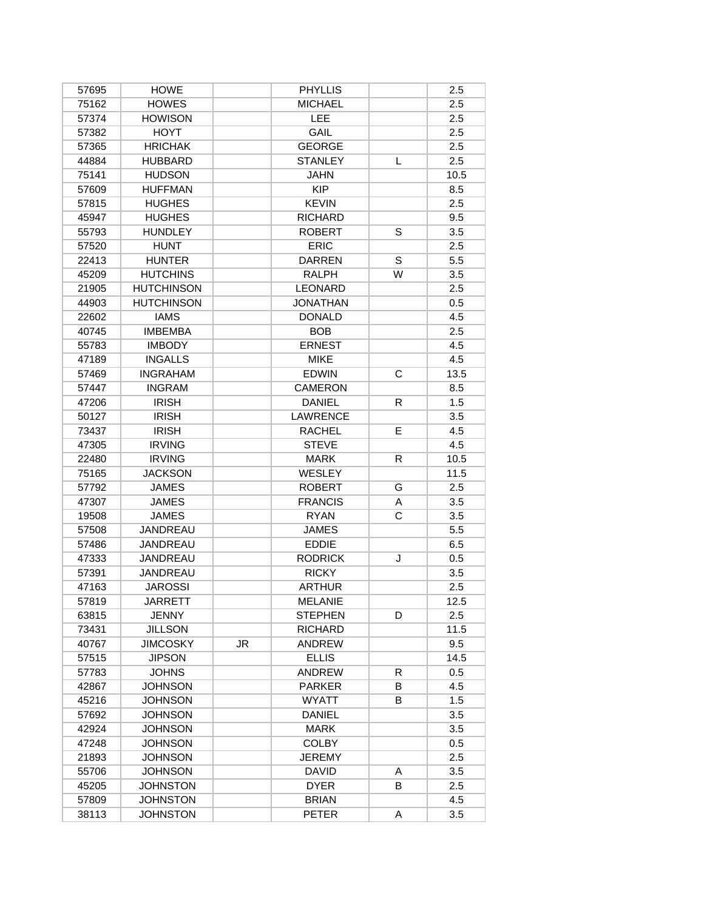| 57695 | <b>HOWE</b>       |    | <b>PHYLLIS</b>  |    | 2.5  |
|-------|-------------------|----|-----------------|----|------|
| 75162 | <b>HOWES</b>      |    | <b>MICHAEL</b>  |    | 2.5  |
| 57374 | <b>HOWISON</b>    |    | LEE             |    | 2.5  |
| 57382 | <b>HOYT</b>       |    | GAIL            |    | 2.5  |
| 57365 | <b>HRICHAK</b>    |    | <b>GEORGE</b>   |    | 2.5  |
| 44884 | <b>HUBBARD</b>    |    | <b>STANLEY</b>  | L  | 2.5  |
| 75141 | <b>HUDSON</b>     |    | <b>JAHN</b>     |    | 10.5 |
| 57609 | <b>HUFFMAN</b>    |    | <b>KIP</b>      |    | 8.5  |
| 57815 | <b>HUGHES</b>     |    | <b>KEVIN</b>    |    | 2.5  |
| 45947 | <b>HUGHES</b>     |    | <b>RICHARD</b>  |    | 9.5  |
| 55793 | <b>HUNDLEY</b>    |    | <b>ROBERT</b>   | S  | 3.5  |
| 57520 | <b>HUNT</b>       |    | <b>ERIC</b>     |    | 2.5  |
| 22413 | <b>HUNTER</b>     |    | <b>DARREN</b>   | S  | 5.5  |
| 45209 | <b>HUTCHINS</b>   |    | <b>RALPH</b>    | W  | 3.5  |
| 21905 | <b>HUTCHINSON</b> |    | <b>LEONARD</b>  |    | 2.5  |
| 44903 | <b>HUTCHINSON</b> |    | <b>JONATHAN</b> |    | 0.5  |
| 22602 | <b>IAMS</b>       |    | <b>DONALD</b>   |    | 4.5  |
| 40745 | <b>IMBEMBA</b>    |    | <b>BOB</b>      |    | 2.5  |
| 55783 | <b>IMBODY</b>     |    | <b>ERNEST</b>   |    | 4.5  |
| 47189 | <b>INGALLS</b>    |    | <b>MIKE</b>     |    | 4.5  |
| 57469 | <b>INGRAHAM</b>   |    | <b>EDWIN</b>    | C  | 13.5 |
| 57447 | <b>INGRAM</b>     |    | <b>CAMERON</b>  |    | 8.5  |
| 47206 | <b>IRISH</b>      |    | <b>DANIEL</b>   | R  | 1.5  |
| 50127 | <b>IRISH</b>      |    | <b>LAWRENCE</b> |    | 3.5  |
| 73437 | <b>IRISH</b>      |    | <b>RACHEL</b>   | E  | 4.5  |
| 47305 | <b>IRVING</b>     |    | <b>STEVE</b>    |    | 4.5  |
| 22480 | <b>IRVING</b>     |    | <b>MARK</b>     | R. | 10.5 |
| 75165 | <b>JACKSON</b>    |    | <b>WESLEY</b>   |    | 11.5 |
| 57792 | <b>JAMES</b>      |    | <b>ROBERT</b>   | G  | 2.5  |
| 47307 | <b>JAMES</b>      |    | <b>FRANCIS</b>  | A  | 3.5  |
| 19508 | <b>JAMES</b>      |    | <b>RYAN</b>     | С  | 3.5  |
| 57508 | <b>JANDREAU</b>   |    | <b>JAMES</b>    |    | 5.5  |
| 57486 | <b>JANDREAU</b>   |    | <b>EDDIE</b>    |    | 6.5  |
| 47333 | JANDREAU          |    | <b>RODRICK</b>  | J  | 0.5  |
| 57391 | JANDREAU          |    | <b>RICKY</b>    |    | 3.5  |
| 47163 | <b>JAROSSI</b>    |    | <b>ARTHUR</b>   |    | 2.5  |
| 57819 | JARRETT           |    | MELANIE         |    | 12.5 |
| 63815 | <b>JENNY</b>      |    | <b>STEPHEN</b>  | D  | 2.5  |
| 73431 | <b>JILLSON</b>    |    | <b>RICHARD</b>  |    | 11.5 |
| 40767 | <b>JIMCOSKY</b>   | JR | <b>ANDREW</b>   |    | 9.5  |
| 57515 | <b>JIPSON</b>     |    | <b>ELLIS</b>    |    | 14.5 |
| 57783 | <b>JOHNS</b>      |    | <b>ANDREW</b>   | R  | 0.5  |
| 42867 | <b>JOHNSON</b>    |    | <b>PARKER</b>   | B  | 4.5  |
| 45216 | <b>JOHNSON</b>    |    | <b>WYATT</b>    | B  | 1.5  |
| 57692 | <b>JOHNSON</b>    |    | <b>DANIEL</b>   |    | 3.5  |
| 42924 | <b>JOHNSON</b>    |    | <b>MARK</b>     |    | 3.5  |
| 47248 | <b>JOHNSON</b>    |    | <b>COLBY</b>    |    | 0.5  |
| 21893 | <b>JOHNSON</b>    |    | <b>JEREMY</b>   |    | 2.5  |
| 55706 | <b>JOHNSON</b>    |    | <b>DAVID</b>    | Α  | 3.5  |
| 45205 | JOHNSTON          |    | <b>DYER</b>     | B  | 2.5  |
| 57809 | <b>JOHNSTON</b>   |    | <b>BRIAN</b>    |    | 4.5  |
| 38113 | <b>JOHNSTON</b>   |    | <b>PETER</b>    | A  | 3.5  |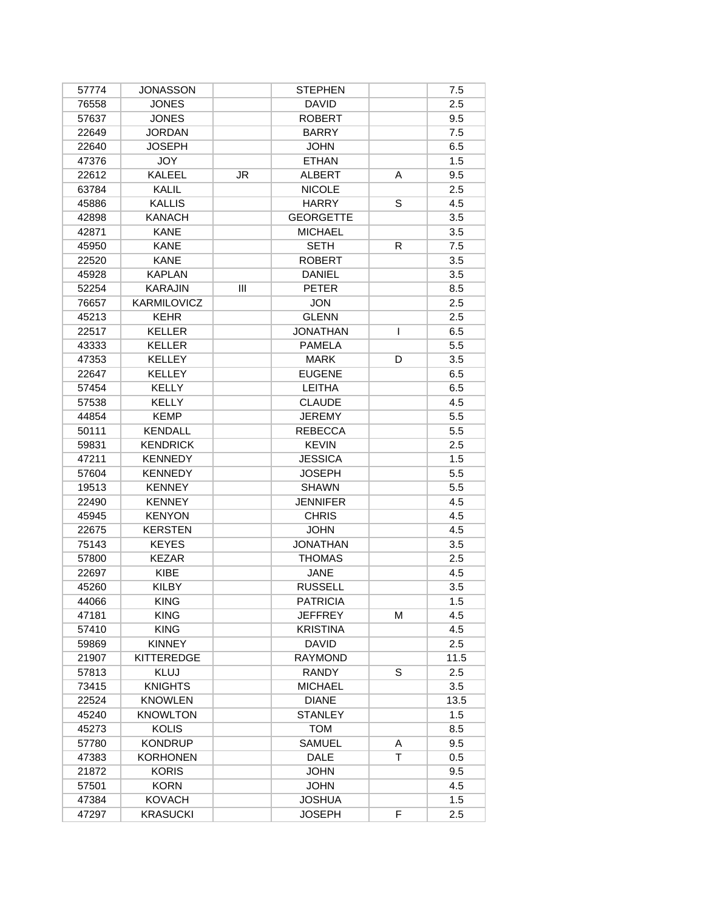| 57774 | <b>JONASSON</b>   |     | <b>STEPHEN</b>   |    | 7.5  |
|-------|-------------------|-----|------------------|----|------|
| 76558 | <b>JONES</b>      |     | <b>DAVID</b>     |    | 2.5  |
| 57637 | <b>JONES</b>      |     | <b>ROBERT</b>    |    | 9.5  |
| 22649 | <b>JORDAN</b>     |     | <b>BARRY</b>     |    | 7.5  |
| 22640 | JOSEPH            |     | <b>JOHN</b>      |    | 6.5  |
| 47376 | <b>JOY</b>        |     | <b>ETHAN</b>     |    | 1.5  |
| 22612 | <b>KALEEL</b>     | JR  | <b>ALBERT</b>    | A  | 9.5  |
| 63784 | KALIL             |     | <b>NICOLE</b>    |    | 2.5  |
| 45886 | <b>KALLIS</b>     |     | <b>HARRY</b>     | S  | 4.5  |
| 42898 | <b>KANACH</b>     |     | <b>GEORGETTE</b> |    | 3.5  |
| 42871 | <b>KANE</b>       |     | <b>MICHAEL</b>   |    | 3.5  |
| 45950 | <b>KANE</b>       |     | <b>SETH</b>      | R  | 7.5  |
| 22520 | <b>KANE</b>       |     | <b>ROBERT</b>    |    | 3.5  |
| 45928 | <b>KAPLAN</b>     |     | <b>DANIEL</b>    |    | 3.5  |
| 52254 | <b>KARAJIN</b>    | III | <b>PETER</b>     |    | 8.5  |
| 76657 | KARMILOVICZ       |     | <b>JON</b>       |    | 2.5  |
| 45213 | <b>KEHR</b>       |     | <b>GLENN</b>     |    | 2.5  |
| 22517 | KELLER            |     | <b>JONATHAN</b>  | L  | 6.5  |
| 43333 | <b>KELLER</b>     |     | <b>PAMELA</b>    |    | 5.5  |
| 47353 | <b>KELLEY</b>     |     | <b>MARK</b>      | D  | 3.5  |
| 22647 | <b>KELLEY</b>     |     | <b>EUGENE</b>    |    | 6.5  |
| 57454 | <b>KELLY</b>      |     | <b>LEITHA</b>    |    | 6.5  |
| 57538 | <b>KELLY</b>      |     | <b>CLAUDE</b>    |    | 4.5  |
| 44854 | <b>KEMP</b>       |     | <b>JEREMY</b>    |    | 5.5  |
| 50111 | <b>KENDALL</b>    |     | <b>REBECCA</b>   |    | 5.5  |
| 59831 | <b>KENDRICK</b>   |     | <b>KEVIN</b>     |    | 2.5  |
| 47211 | <b>KENNEDY</b>    |     | <b>JESSICA</b>   |    | 1.5  |
| 57604 | <b>KENNEDY</b>    |     | <b>JOSEPH</b>    |    | 5.5  |
| 19513 | <b>KENNEY</b>     |     | <b>SHAWN</b>     |    | 5.5  |
| 22490 | <b>KENNEY</b>     |     | <b>JENNIFER</b>  |    | 4.5  |
| 45945 | <b>KENYON</b>     |     | <b>CHRIS</b>     |    | 4.5  |
| 22675 | <b>KERSTEN</b>    |     | <b>JOHN</b>      |    | 4.5  |
| 75143 | <b>KEYES</b>      |     | <b>JONATHAN</b>  |    | 3.5  |
| 57800 | <b>KEZAR</b>      |     | <b>THOMAS</b>    |    | 2.5  |
| 22697 | KIBE              |     | <b>JANE</b>      |    | 4.5  |
| 45260 | <b>KILBY</b>      |     | <b>RUSSELL</b>   |    | 3.5  |
| 44066 | <b>KING</b>       |     | <b>PATRICIA</b>  |    | 1.5  |
| 47181 | <b>KING</b>       |     | <b>JEFFREY</b>   | М  | 4.5  |
| 57410 | <b>KING</b>       |     | <b>KRISTINA</b>  |    | 4.5  |
| 59869 | <b>KINNEY</b>     |     | <b>DAVID</b>     |    | 2.5  |
| 21907 | <b>KITTEREDGE</b> |     | <b>RAYMOND</b>   |    | 11.5 |
| 57813 | <b>KLUJ</b>       |     | <b>RANDY</b>     | S  | 2.5  |
| 73415 | <b>KNIGHTS</b>    |     | <b>MICHAEL</b>   |    | 3.5  |
| 22524 | <b>KNOWLEN</b>    |     | <b>DIANE</b>     |    | 13.5 |
| 45240 | <b>KNOWLTON</b>   |     | <b>STANLEY</b>   |    | 1.5  |
| 45273 | <b>KOLIS</b>      |     | <b>TOM</b>       |    | 8.5  |
| 57780 | <b>KONDRUP</b>    |     | <b>SAMUEL</b>    | A  | 9.5  |
| 47383 | <b>KORHONEN</b>   |     | <b>DALE</b>      | T. | 0.5  |
| 21872 | <b>KORIS</b>      |     | <b>JOHN</b>      |    | 9.5  |
| 57501 | <b>KORN</b>       |     | <b>JOHN</b>      |    | 4.5  |
| 47384 | <b>KOVACH</b>     |     | <b>JOSHUA</b>    |    | 1.5  |
| 47297 | <b>KRASUCKI</b>   |     | <b>JOSEPH</b>    | F  | 2.5  |
|       |                   |     |                  |    |      |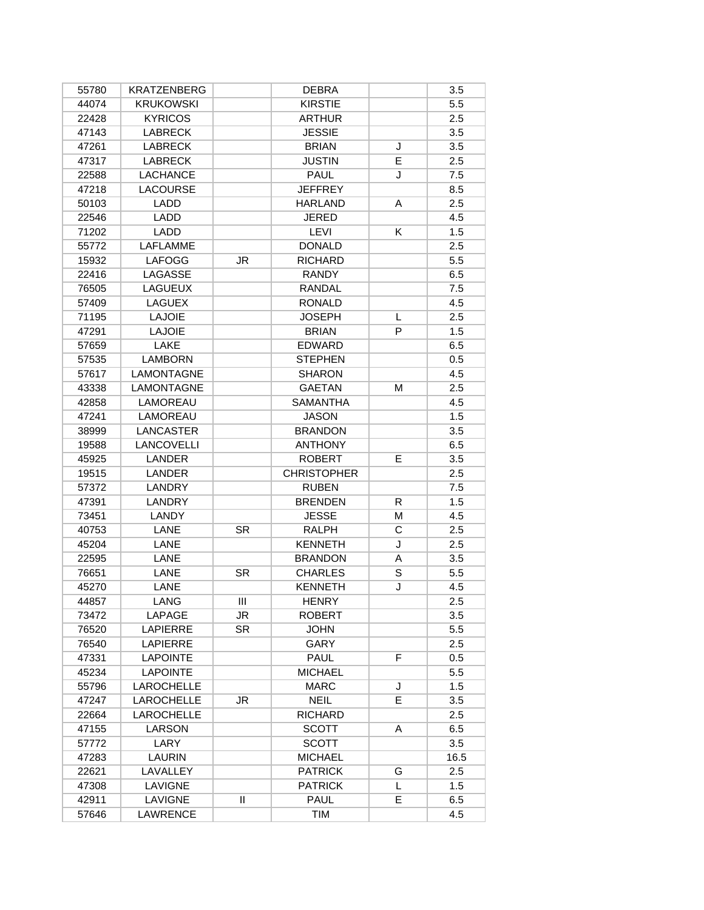| 55780          | <b>KRATZENBERG</b> |           | <b>DEBRA</b>       |    | 3.5  |
|----------------|--------------------|-----------|--------------------|----|------|
| 44074          | <b>KRUKOWSKI</b>   |           | <b>KIRSTIE</b>     |    | 5.5  |
| 22428          | <b>KYRICOS</b>     |           | <b>ARTHUR</b>      |    | 2.5  |
| 47143          | <b>LABRECK</b>     |           | <b>JESSIE</b>      |    | 3.5  |
| 47261          | <b>LABRECK</b>     |           | <b>BRIAN</b>       | J  | 3.5  |
| 47317          | <b>LABRECK</b>     |           | <b>JUSTIN</b>      | Е  | 2.5  |
| 22588          | <b>LACHANCE</b>    |           | PAUL               | J  | 7.5  |
| 47218          | <b>LACOURSE</b>    |           | <b>JEFFREY</b>     |    | 8.5  |
| 50103          | <b>LADD</b>        |           | <b>HARLAND</b>     | A  | 2.5  |
| 22546          | LADD               |           | <b>JERED</b>       |    | 4.5  |
| 71202          | LADD               |           | LEVI               | K  | 1.5  |
| 55772          | <b>LAFLAMME</b>    |           | <b>DONALD</b>      |    | 2.5  |
| 15932          | <b>LAFOGG</b>      | <b>JR</b> | <b>RICHARD</b>     |    | 5.5  |
| 22416          | LAGASSE            |           | <b>RANDY</b>       |    | 6.5  |
| 76505          | <b>LAGUEUX</b>     |           | <b>RANDAL</b>      |    | 7.5  |
| 57409          | LAGUEX             |           | <b>RONALD</b>      |    | 4.5  |
| 71195          | <b>LAJOIE</b>      |           | <b>JOSEPH</b>      | L  | 2.5  |
| 47291          | <b>LAJOIE</b>      |           | <b>BRIAN</b>       | P  | 1.5  |
| 57659          | LAKE               |           | <b>EDWARD</b>      |    | 6.5  |
| 57535          | <b>LAMBORN</b>     |           | <b>STEPHEN</b>     |    | 0.5  |
| 57617          | LAMONTAGNE         |           | <b>SHARON</b>      |    | 4.5  |
| 43338          | <b>LAMONTAGNE</b>  |           | <b>GAETAN</b>      | М  | 2.5  |
| 42858          | LAMOREAU           |           | <b>SAMANTHA</b>    |    | 4.5  |
| 47241          | LAMOREAU           |           | <b>JASON</b>       |    | 1.5  |
| 38999          | LANCASTER          |           | <b>BRANDON</b>     |    | 3.5  |
| 19588          | <b>LANCOVELLI</b>  |           | <b>ANTHONY</b>     |    | 6.5  |
| 45925          | <b>LANDER</b>      |           | <b>ROBERT</b>      | E. | 3.5  |
| 19515          | <b>LANDER</b>      |           | <b>CHRISTOPHER</b> |    | 2.5  |
| 57372          | <b>LANDRY</b>      |           | <b>RUBEN</b>       |    | 7.5  |
| 47391          | <b>LANDRY</b>      |           | <b>BRENDEN</b>     | R. | 1.5  |
| 73451          | LANDY              |           | <b>JESSE</b>       | M  | 4.5  |
| 40753          | LANE               | <b>SR</b> | <b>RALPH</b>       | С  | 2.5  |
| 45204          | LANE               |           | <b>KENNETH</b>     | J  | 2.5  |
| 22595          | LANE               |           | <b>BRANDON</b>     | A  | 3.5  |
| 76651          | LANE               | SR.       | <b>CHARLES</b>     | S  | 5.5  |
| 45270          | LANE               |           | <b>KENNETH</b>     | J  | 4.5  |
| 44857          | <b>LANG</b>        | Ш         | <b>HENRY</b>       |    | 2.5  |
| 73472          | LAPAGE             | JR        | <b>ROBERT</b>      |    | 3.5  |
| 76520          | <b>LAPIERRE</b>    | <b>SR</b> | <b>JOHN</b>        |    | 5.5  |
| 76540          | <b>LAPIERRE</b>    |           | GARY               |    | 2.5  |
| 47331          | <b>LAPOINTE</b>    |           | <b>PAUL</b>        | F  | 0.5  |
| 45234          | <b>LAPOINTE</b>    |           | <b>MICHAEL</b>     |    | 5.5  |
| 55796          | <b>LAROCHELLE</b>  |           | <b>MARC</b>        | J  | 1.5  |
| 47247          | <b>LAROCHELLE</b>  | JR.       | <b>NEIL</b>        | E. | 3.5  |
| 22664          | LAROCHELLE         |           | <b>RICHARD</b>     |    | 2.5  |
| 47155          | LARSON             |           | <b>SCOTT</b>       | A  | 6.5  |
| 57772          | LARY               |           | <b>SCOTT</b>       |    | 3.5  |
|                | LAURIN             |           | <b>MICHAEL</b>     |    | 16.5 |
| 47283<br>22621 | LAVALLEY           |           | <b>PATRICK</b>     | G  | 2.5  |
| 47308          | LAVIGNE            |           | <b>PATRICK</b>     | L  | 1.5  |
|                |                    |           |                    | E  |      |
| 42911          | LAVIGNE            | Ш         | <b>PAUL</b>        |    | 6.5  |
| 57646          | LAWRENCE           |           | <b>TIM</b>         |    | 4.5  |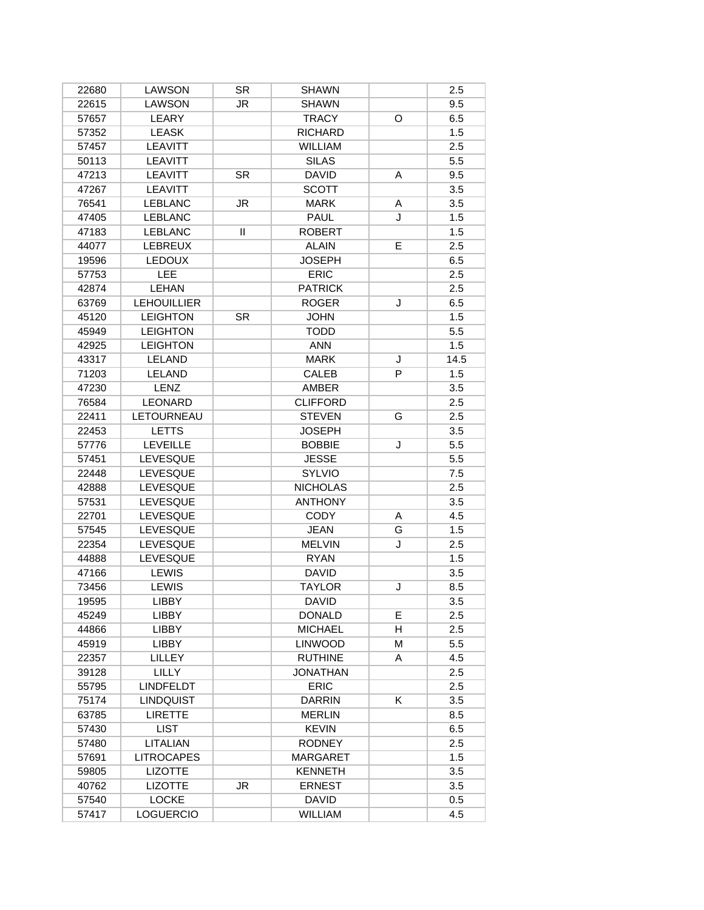| 22680 | LAWSON             | SR        | <b>SHAWN</b>    |   | 2.5  |
|-------|--------------------|-----------|-----------------|---|------|
| 22615 | <b>LAWSON</b>      | JR        | <b>SHAWN</b>    |   | 9.5  |
| 57657 | LEARY              |           | <b>TRACY</b>    | O | 6.5  |
| 57352 | <b>LEASK</b>       |           | <b>RICHARD</b>  |   | 1.5  |
| 57457 | <b>LEAVITT</b>     |           | <b>WILLIAM</b>  |   | 2.5  |
| 50113 | <b>LEAVITT</b>     |           | <b>SILAS</b>    |   | 5.5  |
| 47213 | <b>LEAVITT</b>     | <b>SR</b> | <b>DAVID</b>    | Α | 9.5  |
| 47267 | <b>LEAVITT</b>     |           | <b>SCOTT</b>    |   | 3.5  |
| 76541 | <b>LEBLANC</b>     | <b>JR</b> | <b>MARK</b>     | A | 3.5  |
| 47405 | <b>LEBLANC</b>     |           | PAUL            | J | 1.5  |
| 47183 | <b>LEBLANC</b>     | Ш         | <b>ROBERT</b>   |   | 1.5  |
| 44077 | <b>LEBREUX</b>     |           | <b>ALAIN</b>    | E | 2.5  |
| 19596 | <b>LEDOUX</b>      |           | <b>JOSEPH</b>   |   | 6.5  |
| 57753 | LEE                |           | <b>ERIC</b>     |   | 2.5  |
| 42874 | LEHAN              |           | <b>PATRICK</b>  |   | 2.5  |
| 63769 | <b>LEHOUILLIER</b> |           | <b>ROGER</b>    | J | 6.5  |
| 45120 | <b>LEIGHTON</b>    | <b>SR</b> | <b>JOHN</b>     |   | 1.5  |
| 45949 | <b>LEIGHTON</b>    |           | <b>TODD</b>     |   | 5.5  |
| 42925 | <b>LEIGHTON</b>    |           | <b>ANN</b>      |   | 1.5  |
| 43317 | LELAND             |           | <b>MARK</b>     | J | 14.5 |
| 71203 | LELAND             |           | CALEB           | P | 1.5  |
| 47230 | LENZ               |           | AMBER           |   | 3.5  |
| 76584 | <b>LEONARD</b>     |           | <b>CLIFFORD</b> |   | 2.5  |
| 22411 | LETOURNEAU         |           | <b>STEVEN</b>   | G | 2.5  |
| 22453 | <b>LETTS</b>       |           | <b>JOSEPH</b>   |   | 3.5  |
| 57776 | <b>LEVEILLE</b>    |           | <b>BOBBIE</b>   | J | 5.5  |
| 57451 | <b>LEVESQUE</b>    |           | <b>JESSE</b>    |   | 5.5  |
| 22448 | LEVESQUE           |           | <b>SYLVIO</b>   |   | 7.5  |
| 42888 | LEVESQUE           |           | <b>NICHOLAS</b> |   | 2.5  |
| 57531 | LEVESQUE           |           | <b>ANTHONY</b>  |   | 3.5  |
| 22701 | <b>LEVESQUE</b>    |           | <b>CODY</b>     | Α | 4.5  |
| 57545 | <b>LEVESQUE</b>    |           | <b>JEAN</b>     | G | 1.5  |
| 22354 | <b>LEVESQUE</b>    |           | <b>MELVIN</b>   | J | 2.5  |
| 44888 | <b>LEVESQUE</b>    |           | <b>RYAN</b>     |   | 1.5  |
| 47166 | <b>LEWIS</b>       |           | <b>DAVID</b>    |   | 3.5  |
| 73456 | <b>LEWIS</b>       |           | <b>TAYLOR</b>   | J | 8.5  |
| 19595 | <b>LIBBY</b>       |           | <b>DAVID</b>    |   | 3.5  |
| 45249 | LIBBY              |           | <b>DONALD</b>   | E | 2.5  |
| 44866 | <b>LIBBY</b>       |           | <b>MICHAEL</b>  | H | 2.5  |
| 45919 | LIBBY              |           | <b>LINWOOD</b>  | М | 5.5  |
| 22357 | LILLEY             |           | <b>RUTHINE</b>  | A | 4.5  |
| 39128 | <b>LILLY</b>       |           | <b>JONATHAN</b> |   | 2.5  |
| 55795 | <b>LINDFELDT</b>   |           | <b>ERIC</b>     |   | 2.5  |
| 75174 | <b>LINDQUIST</b>   |           | <b>DARRIN</b>   | K | 3.5  |
| 63785 | <b>LIRETTE</b>     |           | <b>MERLIN</b>   |   | 8.5  |
| 57430 | <b>LIST</b>        |           | <b>KEVIN</b>    |   | 6.5  |
| 57480 | <b>LITALIAN</b>    |           | <b>RODNEY</b>   |   | 2.5  |
| 57691 | <b>LITROCAPES</b>  |           | <b>MARGARET</b> |   | 1.5  |
| 59805 | <b>LIZOTTE</b>     |           | <b>KENNETH</b>  |   | 3.5  |
| 40762 | <b>LIZOTTE</b>     | JR        | <b>ERNEST</b>   |   | 3.5  |
|       |                    |           |                 |   |      |
| 57540 | <b>LOCKE</b>       |           | <b>DAVID</b>    |   | 0.5  |
| 57417 | <b>LOGUERCIO</b>   |           | <b>WILLIAM</b>  |   | 4.5  |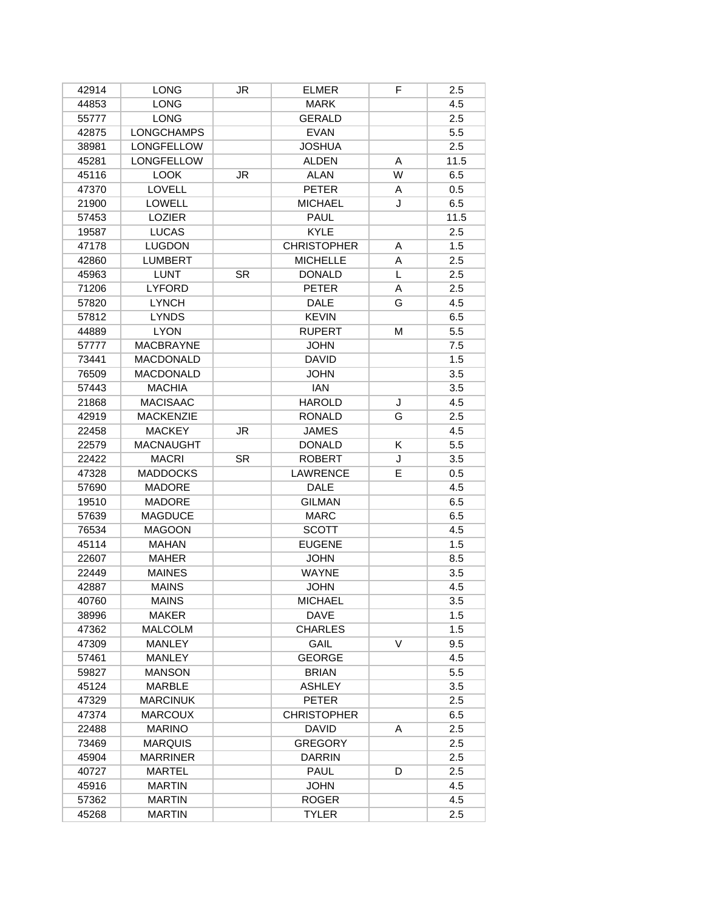| 42914 | <b>LONG</b>       | JR.       | <b>ELMER</b>       | F | 2.5  |
|-------|-------------------|-----------|--------------------|---|------|
| 44853 | <b>LONG</b>       |           | <b>MARK</b>        |   | 4.5  |
| 55777 | <b>LONG</b>       |           | <b>GERALD</b>      |   | 2.5  |
| 42875 | <b>LONGCHAMPS</b> |           | <b>EVAN</b>        |   | 5.5  |
| 38981 | <b>LONGFELLOW</b> |           | <b>JOSHUA</b>      |   | 2.5  |
| 45281 | <b>LONGFELLOW</b> |           | <b>ALDEN</b>       | A | 11.5 |
| 45116 | <b>LOOK</b>       | JR        | <b>ALAN</b>        | W | 6.5  |
| 47370 | LOVELL            |           | <b>PETER</b>       | A | 0.5  |
| 21900 | <b>LOWELL</b>     |           | <b>MICHAEL</b>     | J | 6.5  |
| 57453 | <b>LOZIER</b>     |           | PAUL               |   | 11.5 |
| 19587 | <b>LUCAS</b>      |           | <b>KYLE</b>        |   | 2.5  |
| 47178 | <b>LUGDON</b>     |           | <b>CHRISTOPHER</b> | A | 1.5  |
| 42860 | <b>LUMBERT</b>    |           | <b>MICHELLE</b>    | A | 2.5  |
| 45963 | <b>LUNT</b>       | <b>SR</b> | <b>DONALD</b>      | L | 2.5  |
| 71206 | <b>LYFORD</b>     |           | <b>PETER</b>       | A | 2.5  |
| 57820 | <b>LYNCH</b>      |           | <b>DALE</b>        | G | 4.5  |
| 57812 | <b>LYNDS</b>      |           | <b>KEVIN</b>       |   | 6.5  |
| 44889 | <b>LYON</b>       |           | <b>RUPERT</b>      | М | 5.5  |
| 57777 | <b>MACBRAYNE</b>  |           | <b>JOHN</b>        |   | 7.5  |
| 73441 | <b>MACDONALD</b>  |           | <b>DAVID</b>       |   | 1.5  |
| 76509 | <b>MACDONALD</b>  |           | <b>JOHN</b>        |   | 3.5  |
| 57443 | <b>MACHIA</b>     |           | IAN                |   | 3.5  |
| 21868 | <b>MACISAAC</b>   |           | <b>HAROLD</b>      | J | 4.5  |
| 42919 | <b>MACKENZIE</b>  |           | <b>RONALD</b>      | G | 2.5  |
| 22458 | <b>MACKEY</b>     | JR        | <b>JAMES</b>       |   | 4.5  |
| 22579 | <b>MACNAUGHT</b>  |           | <b>DONALD</b>      | K | 5.5  |
| 22422 | <b>MACRI</b>      | <b>SR</b> | <b>ROBERT</b>      | J | 3.5  |
| 47328 | <b>MADDOCKS</b>   |           | <b>LAWRENCE</b>    | E | 0.5  |
| 57690 | <b>MADORE</b>     |           | <b>DALE</b>        |   | 4.5  |
| 19510 | <b>MADORE</b>     |           | <b>GILMAN</b>      |   | 6.5  |
| 57639 | <b>MAGDUCE</b>    |           | <b>MARC</b>        |   | 6.5  |
| 76534 | <b>MAGOON</b>     |           | <b>SCOTT</b>       |   | 4.5  |
| 45114 | MAHAN             |           | <b>EUGENE</b>      |   | 1.5  |
| 22607 | MAHER             |           | <b>JOHN</b>        |   | 8.5  |
| 22449 | <b>MAINES</b>     |           | <b>WAYNE</b>       |   | 3.5  |
| 42887 | <b>MAINS</b>      |           | <b>JOHN</b>        |   | 4.5  |
| 40760 | <b>MAINS</b>      |           | <b>MICHAEL</b>     |   | 3.5  |
| 38996 | <b>MAKER</b>      |           | <b>DAVE</b>        |   | 1.5  |
| 47362 | <b>MALCOLM</b>    |           | <b>CHARLES</b>     |   | 1.5  |
| 47309 | MANLEY            |           | GAIL               | V | 9.5  |
| 57461 | MANLEY            |           | <b>GEORGE</b>      |   | 4.5  |
| 59827 | <b>MANSON</b>     |           | <b>BRIAN</b>       |   | 5.5  |
| 45124 | <b>MARBLE</b>     |           | <b>ASHLEY</b>      |   | 3.5  |
| 47329 | <b>MARCINUK</b>   |           | <b>PETER</b>       |   | 2.5  |
| 47374 | <b>MARCOUX</b>    |           | <b>CHRISTOPHER</b> |   | 6.5  |
| 22488 | <b>MARINO</b>     |           | <b>DAVID</b>       | A | 2.5  |
| 73469 | <b>MARQUIS</b>    |           | <b>GREGORY</b>     |   | 2.5  |
| 45904 | <b>MARRINER</b>   |           | <b>DARRIN</b>      |   | 2.5  |
| 40727 | MARTEL            |           | PAUL               | D | 2.5  |
| 45916 | <b>MARTIN</b>     |           | <b>JOHN</b>        |   | 4.5  |
| 57362 | <b>MARTIN</b>     |           | <b>ROGER</b>       |   | 4.5  |
| 45268 | <b>MARTIN</b>     |           | <b>TYLER</b>       |   | 2.5  |
|       |                   |           |                    |   |      |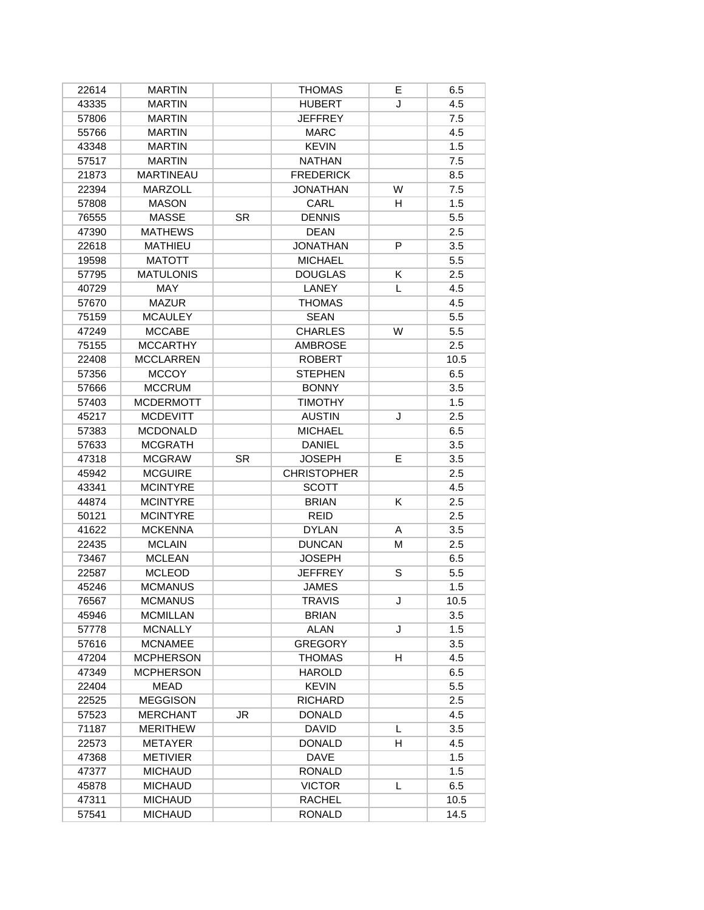| 22614 | <b>MARTIN</b>    |           | <b>THOMAS</b>      | E. | 6.5  |
|-------|------------------|-----------|--------------------|----|------|
| 43335 | <b>MARTIN</b>    |           | <b>HUBERT</b>      | J  | 4.5  |
| 57806 | <b>MARTIN</b>    |           | <b>JEFFREY</b>     |    | 7.5  |
| 55766 | <b>MARTIN</b>    |           | <b>MARC</b>        |    | 4.5  |
| 43348 | <b>MARTIN</b>    |           | <b>KEVIN</b>       |    | 1.5  |
| 57517 | <b>MARTIN</b>    |           | <b>NATHAN</b>      |    | 7.5  |
| 21873 | <b>MARTINEAU</b> |           | <b>FREDERICK</b>   |    | 8.5  |
| 22394 | <b>MARZOLL</b>   |           | <b>JONATHAN</b>    | W  | 7.5  |
| 57808 | <b>MASON</b>     |           | CARL               | H  | 1.5  |
| 76555 | <b>MASSE</b>     | <b>SR</b> | <b>DENNIS</b>      |    | 5.5  |
| 47390 | <b>MATHEWS</b>   |           | <b>DEAN</b>        |    | 2.5  |
| 22618 | <b>MATHIEU</b>   |           | <b>JONATHAN</b>    | P  | 3.5  |
| 19598 | <b>MATOTT</b>    |           | <b>MICHAEL</b>     |    | 5.5  |
| 57795 | <b>MATULONIS</b> |           | <b>DOUGLAS</b>     | K  | 2.5  |
| 40729 | <b>MAY</b>       |           | LANEY              | L  | 4.5  |
| 57670 | <b>MAZUR</b>     |           | <b>THOMAS</b>      |    | 4.5  |
| 75159 | <b>MCAULEY</b>   |           | <b>SEAN</b>        |    | 5.5  |
| 47249 | <b>MCCABE</b>    |           | <b>CHARLES</b>     | W  | 5.5  |
| 75155 | <b>MCCARTHY</b>  |           | <b>AMBROSE</b>     |    | 2.5  |
| 22408 | <b>MCCLARREN</b> |           | <b>ROBERT</b>      |    | 10.5 |
| 57356 | <b>MCCOY</b>     |           | <b>STEPHEN</b>     |    | 6.5  |
| 57666 | <b>MCCRUM</b>    |           | <b>BONNY</b>       |    | 3.5  |
| 57403 | <b>MCDERMOTT</b> |           | <b>TIMOTHY</b>     |    | 1.5  |
| 45217 | <b>MCDEVITT</b>  |           | <b>AUSTIN</b>      | J  | 2.5  |
| 57383 | <b>MCDONALD</b>  |           | <b>MICHAEL</b>     |    | 6.5  |
| 57633 | <b>MCGRATH</b>   |           | <b>DANIEL</b>      |    | 3.5  |
| 47318 | <b>MCGRAW</b>    | <b>SR</b> | <b>JOSEPH</b>      | E  | 3.5  |
| 45942 | <b>MCGUIRE</b>   |           | <b>CHRISTOPHER</b> |    | 2.5  |
| 43341 | <b>MCINTYRE</b>  |           | <b>SCOTT</b>       |    | 4.5  |
| 44874 | <b>MCINTYRE</b>  |           | <b>BRIAN</b>       | Κ  | 2.5  |
| 50121 | <b>MCINTYRE</b>  |           | <b>REID</b>        |    | 2.5  |
| 41622 | <b>MCKENNA</b>   |           | <b>DYLAN</b>       | A  | 3.5  |
| 22435 | <b>MCLAIN</b>    |           | <b>DUNCAN</b>      | М  | 2.5  |
| 73467 | <b>MCLEAN</b>    |           | <b>JOSEPH</b>      |    | 6.5  |
| 22587 | <b>MCLEOD</b>    |           | <b>JEFFREY</b>     | S  | 5.5  |
| 45246 | <b>MCMANUS</b>   |           | <b>JAMES</b>       |    | 1.5  |
| 76567 | <b>MCMANUS</b>   |           | TRAVIS             | J  | 10.5 |
| 45946 | <b>MCMILLAN</b>  |           | <b>BRIAN</b>       |    | 3.5  |
| 57778 | <b>MCNALLY</b>   |           | ALAN               | J  | 1.5  |
| 57616 | <b>MCNAMEE</b>   |           | <b>GREGORY</b>     |    | 3.5  |
| 47204 | <b>MCPHERSON</b> |           | <b>THOMAS</b>      | н  | 4.5  |
| 47349 | <b>MCPHERSON</b> |           | <b>HAROLD</b>      |    | 6.5  |
| 22404 | MEAD             |           | <b>KEVIN</b>       |    | 5.5  |
| 22525 | <b>MEGGISON</b>  |           | <b>RICHARD</b>     |    | 2.5  |
| 57523 | <b>MERCHANT</b>  | JR        | <b>DONALD</b>      |    | 4.5  |
| 71187 | <b>MERITHEW</b>  |           | <b>DAVID</b>       | L  | 3.5  |
| 22573 | <b>METAYER</b>   |           | <b>DONALD</b>      | H  | 4.5  |
| 47368 | <b>METIVIER</b>  |           | <b>DAVE</b>        |    | 1.5  |
| 47377 | <b>MICHAUD</b>   |           | <b>RONALD</b>      |    | 1.5  |
| 45878 | <b>MICHAUD</b>   |           | <b>VICTOR</b>      | L  | 6.5  |
| 47311 | <b>MICHAUD</b>   |           | RACHEL             |    | 10.5 |
| 57541 | <b>MICHAUD</b>   |           | <b>RONALD</b>      |    | 14.5 |
|       |                  |           |                    |    |      |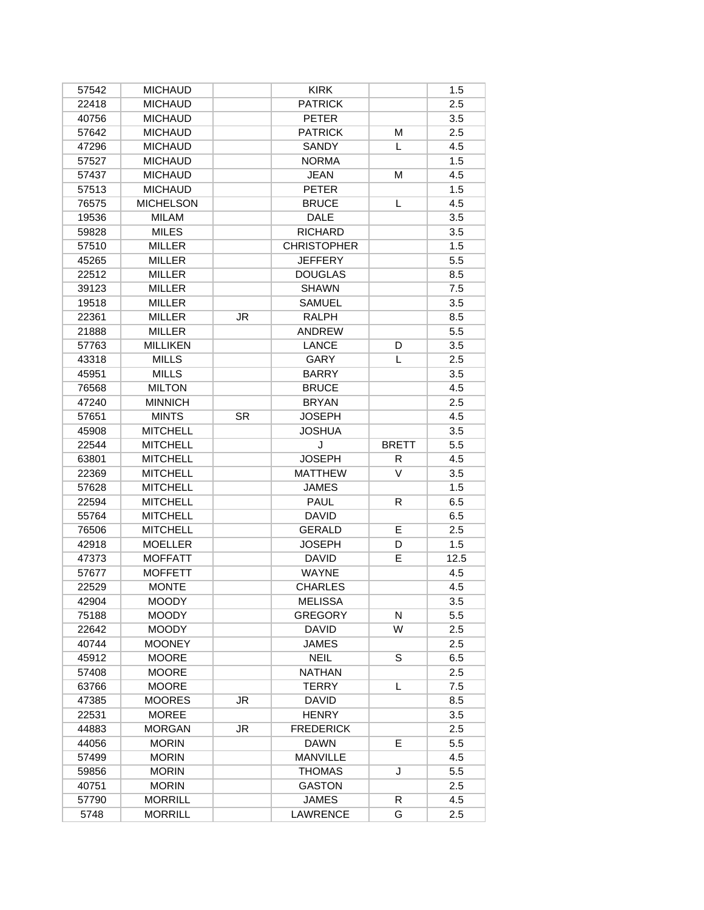| 57542         | <b>MICHAUD</b>                   |           | <b>KIRK</b>                     |              | 1.5        |
|---------------|----------------------------------|-----------|---------------------------------|--------------|------------|
| 22418         | <b>MICHAUD</b>                   |           | <b>PATRICK</b>                  |              | 2.5        |
| 40756         | <b>MICHAUD</b>                   |           | <b>PETER</b>                    |              | 3.5        |
| 57642         | <b>MICHAUD</b>                   |           | <b>PATRICK</b>                  | М            | 2.5        |
| 47296         | <b>MICHAUD</b>                   |           | <b>SANDY</b>                    | L            | 4.5        |
| 57527         | <b>MICHAUD</b>                   |           | <b>NORMA</b>                    |              | 1.5        |
| 57437         | <b>MICHAUD</b>                   |           | <b>JEAN</b>                     | М            | 4.5        |
| 57513         | <b>MICHAUD</b>                   |           | <b>PETER</b>                    |              | 1.5        |
| 76575         | <b>MICHELSON</b>                 |           | <b>BRUCE</b>                    | L            | 4.5        |
| 19536         | <b>MILAM</b>                     |           | <b>DALE</b>                     |              | 3.5        |
| 59828         | <b>MILES</b>                     |           | <b>RICHARD</b>                  |              | 3.5        |
| 57510         | <b>MILLER</b>                    |           | <b>CHRISTOPHER</b>              |              | 1.5        |
| 45265         | <b>MILLER</b>                    |           | <b>JEFFERY</b>                  |              | 5.5        |
| 22512         | <b>MILLER</b>                    |           | <b>DOUGLAS</b>                  |              | 8.5        |
| 39123         | <b>MILLER</b>                    |           | <b>SHAWN</b>                    |              | 7.5        |
| 19518         | MILLER                           |           | <b>SAMUEL</b>                   |              | 3.5        |
| 22361         | <b>MILLER</b>                    | JR        | <b>RALPH</b>                    |              | 8.5        |
| 21888         | <b>MILLER</b>                    |           | <b>ANDREW</b>                   |              | 5.5        |
| 57763         | <b>MILLIKEN</b>                  |           | <b>LANCE</b>                    | D            | 3.5        |
| 43318         | <b>MILLS</b>                     |           | GARY                            | L            | 2.5        |
| 45951         | <b>MILLS</b>                     |           | <b>BARRY</b>                    |              | 3.5        |
| 76568         | <b>MILTON</b>                    |           | <b>BRUCE</b>                    |              | 4.5        |
| 47240         | <b>MINNICH</b>                   |           | <b>BRYAN</b>                    |              | 2.5        |
| 57651         | <b>MINTS</b>                     | <b>SR</b> | <b>JOSEPH</b>                   |              | 4.5        |
| 45908         | <b>MITCHELL</b>                  |           | <b>JOSHUA</b>                   |              | 3.5        |
| 22544         | <b>MITCHELL</b>                  |           | J                               | <b>BRETT</b> | 5.5        |
| 63801         | <b>MITCHELL</b>                  |           | <b>JOSEPH</b>                   | R            | 4.5        |
|               |                                  |           |                                 |              |            |
|               |                                  |           |                                 |              |            |
| 22369         | <b>MITCHELL</b>                  |           | <b>MATTHEW</b>                  | V            | 3.5        |
| 57628         | <b>MITCHELL</b>                  |           | <b>JAMES</b>                    |              | 1.5        |
| 22594         | <b>MITCHELL</b>                  |           | PAUL                            | R            | 6.5        |
| 55764         | <b>MITCHELL</b>                  |           | <b>DAVID</b>                    |              | 6.5        |
| 76506         | <b>MITCHELL</b>                  |           | <b>GERALD</b>                   | E            | 2.5        |
| 42918         | <b>MOELLER</b>                   |           | <b>JOSEPH</b>                   | D            | 1.5        |
| 47373         | <b>MOFFATT</b>                   |           | <b>DAVID</b>                    | E.           | 12.5       |
| 57677         | <b>MOFFETT</b>                   |           | <b>WAYNE</b>                    |              | 4.5        |
| 22529         | <b>MONTE</b>                     |           | <b>CHARLES</b>                  |              | 4.5        |
| 42904         | <b>MOODY</b>                     |           | <b>MELISSA</b>                  |              | 3.5        |
| 75188         | <b>MOODY</b>                     |           | <b>GREGORY</b>                  | N            | 5.5        |
| 22642         | <b>MOODY</b>                     |           | <b>DAVID</b>                    | W            | 2.5        |
| 40744         | <b>MOONEY</b>                    |           | <b>JAMES</b>                    |              | 2.5        |
| 45912         | <b>MOORE</b>                     |           | <b>NEIL</b>                     | S            | 6.5        |
| 57408         | <b>MOORE</b>                     |           | <b>NATHAN</b>                   |              | 2.5        |
| 63766         | <b>MOORE</b>                     |           | <b>TERRY</b>                    | L            | 7.5        |
| 47385         | <b>MOORES</b>                    | JR        | <b>DAVID</b>                    |              | 8.5        |
| 22531         | <b>MOREE</b>                     |           | <b>HENRY</b>                    |              | 3.5        |
| 44883         | <b>MORGAN</b>                    | JR        | <b>FREDERICK</b>                |              | 2.5        |
| 44056         | <b>MORIN</b>                     |           | <b>DAWN</b>                     | E.           | 5.5        |
| 57499         | <b>MORIN</b>                     |           | <b>MANVILLE</b>                 |              | 4.5        |
| 59856         | <b>MORIN</b>                     |           | <b>THOMAS</b>                   | J            | 5.5        |
| 40751         | <b>MORIN</b>                     |           | <b>GASTON</b>                   |              | 2.5        |
| 57790<br>5748 | <b>MORRILL</b><br><b>MORRILL</b> |           | <b>JAMES</b><br><b>LAWRENCE</b> | R<br>G       | 4.5<br>2.5 |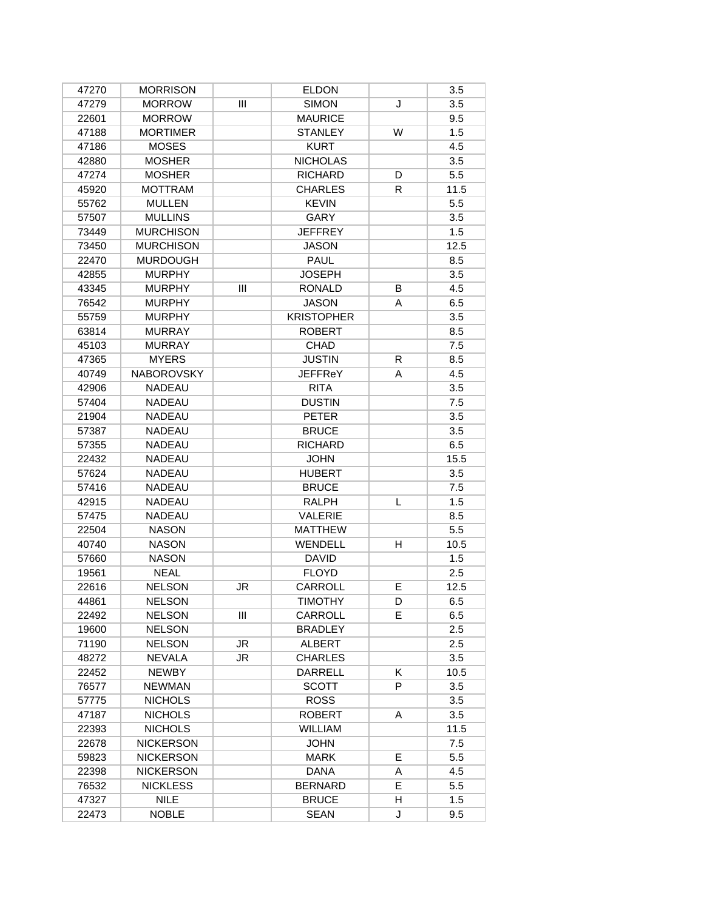| 47270 | <b>MORRISON</b>   |     | <b>ELDON</b>      |    | 3.5  |
|-------|-------------------|-----|-------------------|----|------|
| 47279 | <b>MORROW</b>     | Ш   | <b>SIMON</b>      | J  | 3.5  |
| 22601 | <b>MORROW</b>     |     | <b>MAURICE</b>    |    | 9.5  |
| 47188 | <b>MORTIMER</b>   |     | <b>STANLEY</b>    | W  | 1.5  |
| 47186 | <b>MOSES</b>      |     | <b>KURT</b>       |    | 4.5  |
| 42880 | <b>MOSHER</b>     |     | <b>NICHOLAS</b>   |    | 3.5  |
| 47274 | <b>MOSHER</b>     |     | <b>RICHARD</b>    | D  | 5.5  |
| 45920 | <b>MOTTRAM</b>    |     | <b>CHARLES</b>    | R. | 11.5 |
| 55762 | <b>MULLEN</b>     |     | <b>KEVIN</b>      |    | 5.5  |
| 57507 | <b>MULLINS</b>    |     | GARY              |    | 3.5  |
| 73449 | <b>MURCHISON</b>  |     | <b>JEFFREY</b>    |    | 1.5  |
| 73450 | <b>MURCHISON</b>  |     | <b>JASON</b>      |    | 12.5 |
| 22470 | <b>MURDOUGH</b>   |     | PAUL              |    | 8.5  |
| 42855 | <b>MURPHY</b>     |     | <b>JOSEPH</b>     |    | 3.5  |
| 43345 | <b>MURPHY</b>     | III | <b>RONALD</b>     | B  | 4.5  |
| 76542 | <b>MURPHY</b>     |     | <b>JASON</b>      | A  | 6.5  |
| 55759 | <b>MURPHY</b>     |     | <b>KRISTOPHER</b> |    | 3.5  |
| 63814 | <b>MURRAY</b>     |     | <b>ROBERT</b>     |    | 8.5  |
| 45103 | <b>MURRAY</b>     |     | <b>CHAD</b>       |    | 7.5  |
| 47365 | <b>MYERS</b>      |     | <b>JUSTIN</b>     | R  | 8.5  |
| 40749 | <b>NABOROVSKY</b> |     | <b>JEFFReY</b>    | A  | 4.5  |
| 42906 | <b>NADEAU</b>     |     | <b>RITA</b>       |    | 3.5  |
| 57404 | <b>NADEAU</b>     |     | <b>DUSTIN</b>     |    | 7.5  |
| 21904 | <b>NADEAU</b>     |     | <b>PETER</b>      |    | 3.5  |
| 57387 | <b>NADEAU</b>     |     | <b>BRUCE</b>      |    | 3.5  |
| 57355 | <b>NADEAU</b>     |     | <b>RICHARD</b>    |    | 6.5  |
| 22432 | <b>NADEAU</b>     |     | <b>JOHN</b>       |    | 15.5 |
| 57624 | <b>NADEAU</b>     |     | <b>HUBERT</b>     |    | 3.5  |
| 57416 | <b>NADEAU</b>     |     | <b>BRUCE</b>      |    | 7.5  |
| 42915 | <b>NADEAU</b>     |     | <b>RALPH</b>      | L  | 1.5  |
| 57475 | <b>NADEAU</b>     |     | <b>VALERIE</b>    |    | 8.5  |
| 22504 | <b>NASON</b>      |     | <b>MATTHEW</b>    |    | 5.5  |
| 40740 | <b>NASON</b>      |     | <b>WENDELL</b>    | H  | 10.5 |
| 57660 | <b>NASON</b>      |     | <b>DAVID</b>      |    | 1.5  |
| 19561 | <b>NEAL</b>       |     | <b>FLOYD</b>      |    | 2.5  |
| 22616 | <b>NELSON</b>     | JR  | CARROLL           | E  | 12.5 |
| 44861 | <b>NELSON</b>     |     | TIMOTHY           | D  | 6.5  |
| 22492 | <b>NELSON</b>     | Ш   | CARROLL           | E. | 6.5  |
| 19600 | <b>NELSON</b>     |     | <b>BRADLEY</b>    |    | 2.5  |
| 71190 | <b>NELSON</b>     | JR  | <b>ALBERT</b>     |    | 2.5  |
| 48272 | <b>NEVALA</b>     | JR. | <b>CHARLES</b>    |    | 3.5  |
| 22452 | <b>NEWBY</b>      |     | DARRELL           | K  | 10.5 |
| 76577 | <b>NEWMAN</b>     |     | <b>SCOTT</b>      | P  | 3.5  |
| 57775 | <b>NICHOLS</b>    |     | <b>ROSS</b>       |    | 3.5  |
| 47187 | <b>NICHOLS</b>    |     | <b>ROBERT</b>     | A  | 3.5  |
| 22393 | <b>NICHOLS</b>    |     | <b>WILLIAM</b>    |    | 11.5 |
| 22678 | <b>NICKERSON</b>  |     | <b>JOHN</b>       |    | 7.5  |
| 59823 | <b>NICKERSON</b>  |     | <b>MARK</b>       | E  | 5.5  |
| 22398 | <b>NICKERSON</b>  |     | DANA              | A  | 4.5  |
| 76532 | <b>NICKLESS</b>   |     | <b>BERNARD</b>    | E  | 5.5  |
| 47327 | <b>NILE</b>       |     | <b>BRUCE</b>      | н  | 1.5  |
| 22473 | <b>NOBLE</b>      |     | <b>SEAN</b>       | J  | 9.5  |
|       |                   |     |                   |    |      |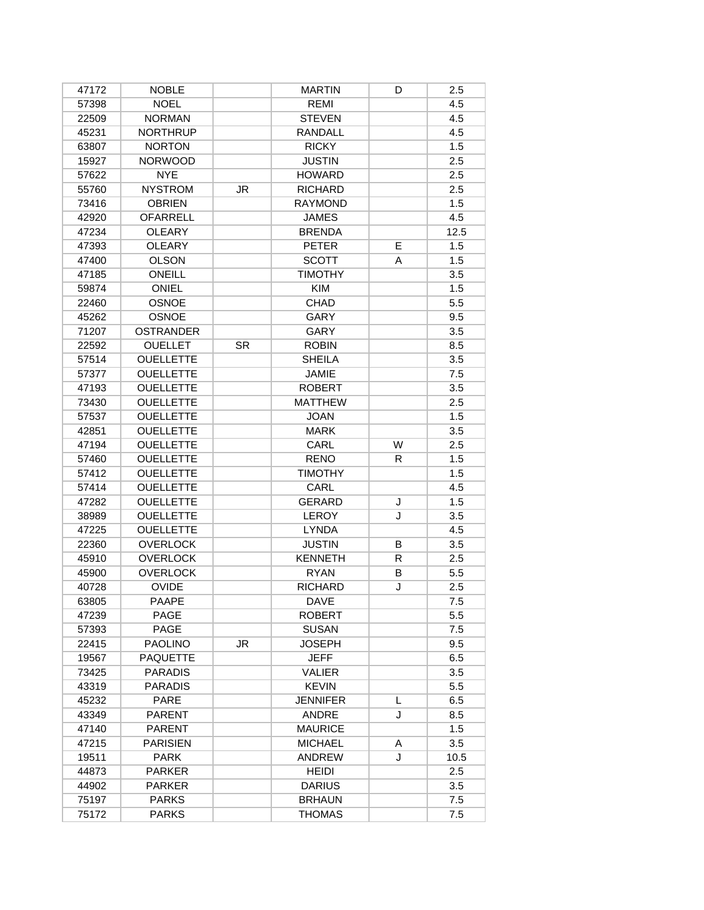| 47172 | <b>NOBLE</b>     |           | <b>MARTIN</b>   | D  | 2.5  |
|-------|------------------|-----------|-----------------|----|------|
| 57398 | <b>NOEL</b>      |           | REMI            |    | 4.5  |
| 22509 | <b>NORMAN</b>    |           | <b>STEVEN</b>   |    | 4.5  |
| 45231 | <b>NORTHRUP</b>  |           | <b>RANDALL</b>  |    | 4.5  |
| 63807 | <b>NORTON</b>    |           | <b>RICKY</b>    |    | 1.5  |
| 15927 | <b>NORWOOD</b>   |           | <b>JUSTIN</b>   |    | 2.5  |
| 57622 | <b>NYE</b>       |           | <b>HOWARD</b>   |    | 2.5  |
| 55760 | <b>NYSTROM</b>   | JR.       | <b>RICHARD</b>  |    | 2.5  |
| 73416 | <b>OBRIEN</b>    |           | <b>RAYMOND</b>  |    | 1.5  |
| 42920 | <b>OFARRELL</b>  |           | <b>JAMES</b>    |    | 4.5  |
| 47234 | <b>OLEARY</b>    |           | <b>BRENDA</b>   |    | 12.5 |
| 47393 | <b>OLEARY</b>    |           | <b>PETER</b>    | E  | 1.5  |
| 47400 | <b>OLSON</b>     |           | <b>SCOTT</b>    | A  | 1.5  |
| 47185 | ONEILL           |           | <b>TIMOTHY</b>  |    | 3.5  |
| 59874 | <b>ONIEL</b>     |           | <b>KIM</b>      |    | 1.5  |
| 22460 | <b>OSNOE</b>     |           | <b>CHAD</b>     |    | 5.5  |
| 45262 | <b>OSNOE</b>     |           | GARY            |    | 9.5  |
| 71207 | <b>OSTRANDER</b> |           | GARY            |    | 3.5  |
| 22592 | <b>OUELLET</b>   | <b>SR</b> | <b>ROBIN</b>    |    | 8.5  |
| 57514 | <b>OUELLETTE</b> |           | <b>SHEILA</b>   |    | 3.5  |
| 57377 | <b>OUELLETTE</b> |           | <b>JAMIE</b>    |    | 7.5  |
| 47193 | <b>OUELLETTE</b> |           | <b>ROBERT</b>   |    | 3.5  |
| 73430 | <b>OUELLETTE</b> |           | <b>MATTHEW</b>  |    | 2.5  |
| 57537 | <b>OUELLETTE</b> |           | <b>JOAN</b>     |    | 1.5  |
| 42851 | <b>OUELLETTE</b> |           | <b>MARK</b>     |    | 3.5  |
| 47194 | <b>OUELLETTE</b> |           | CARL            | W  | 2.5  |
| 57460 | <b>OUELLETTE</b> |           | <b>RENO</b>     | R. | 1.5  |
| 57412 | <b>OUELLETTE</b> |           | <b>TIMOTHY</b>  |    | 1.5  |
| 57414 | <b>OUELLETTE</b> |           | CARL            |    | 4.5  |
| 47282 | <b>OUELLETTE</b> |           | <b>GERARD</b>   | J  | 1.5  |
| 38989 | <b>OUELLETTE</b> |           | <b>LEROY</b>    | J  | 3.5  |
| 47225 | <b>OUELLETTE</b> |           | <b>LYNDA</b>    |    | 4.5  |
| 22360 | <b>OVERLOCK</b>  |           | <b>JUSTIN</b>   | B  | 3.5  |
| 45910 | <b>OVERLOCK</b>  |           | <b>KENNETH</b>  | R  | 2.5  |
| 45900 | <b>OVERLOCK</b>  |           | <b>RYAN</b>     | В  | 5.5  |
| 40728 | <b>OVIDE</b>     |           | <b>RICHARD</b>  | J  | 2.5  |
| 63805 | PAAPE            |           | <b>DAVE</b>     |    | 7.5  |
| 47239 | <b>PAGE</b>      |           | <b>ROBERT</b>   |    | 5.5  |
| 57393 | PAGE             |           | <b>SUSAN</b>    |    | 7.5  |
| 22415 | <b>PAOLINO</b>   | JR        | <b>JOSEPH</b>   |    | 9.5  |
| 19567 | <b>PAQUETTE</b>  |           | <b>JEFF</b>     |    | 6.5  |
| 73425 | <b>PARADIS</b>   |           | <b>VALIER</b>   |    | 3.5  |
| 43319 | PARADIS          |           | <b>KEVIN</b>    |    | 5.5  |
| 45232 | <b>PARE</b>      |           | <b>JENNIFER</b> | L  | 6.5  |
| 43349 | <b>PARENT</b>    |           | <b>ANDRE</b>    | J  | 8.5  |
| 47140 | <b>PARENT</b>    |           | <b>MAURICE</b>  |    | 1.5  |
| 47215 | <b>PARISIEN</b>  |           | <b>MICHAEL</b>  | A  | 3.5  |
| 19511 | PARK             |           | <b>ANDREW</b>   | J  | 10.5 |
| 44873 | <b>PARKER</b>    |           | <b>HEIDI</b>    |    | 2.5  |
| 44902 | <b>PARKER</b>    |           | <b>DARIUS</b>   |    | 3.5  |
| 75197 | <b>PARKS</b>     |           | <b>BRHAUN</b>   |    | 7.5  |
| 75172 | <b>PARKS</b>     |           | <b>THOMAS</b>   |    | 7.5  |
|       |                  |           |                 |    |      |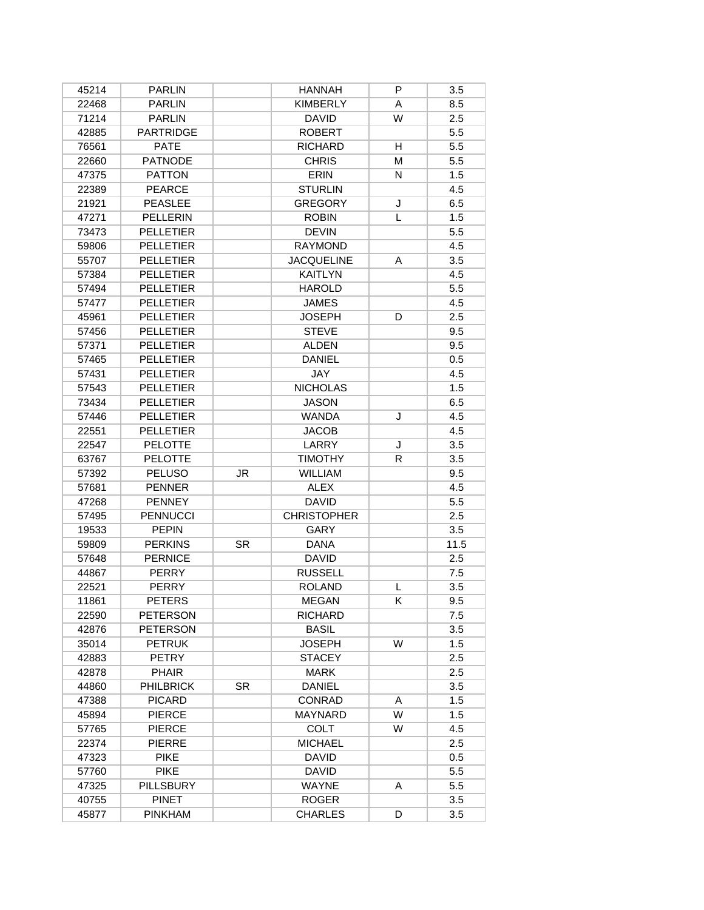| 45214 | <b>PARLIN</b>    |           | <b>HANNAH</b>      | P | 3.5  |
|-------|------------------|-----------|--------------------|---|------|
| 22468 | <b>PARLIN</b>    |           | <b>KIMBERLY</b>    | Α | 8.5  |
| 71214 | <b>PARLIN</b>    |           | <b>DAVID</b>       | W | 2.5  |
| 42885 | <b>PARTRIDGE</b> |           | <b>ROBERT</b>      |   | 5.5  |
| 76561 | <b>PATE</b>      |           | <b>RICHARD</b>     | H | 5.5  |
| 22660 | <b>PATNODE</b>   |           | <b>CHRIS</b>       | м | 5.5  |
| 47375 | <b>PATTON</b>    |           | <b>ERIN</b>        | N | 1.5  |
| 22389 | <b>PEARCE</b>    |           | <b>STURLIN</b>     |   | 4.5  |
| 21921 | <b>PEASLEE</b>   |           | <b>GREGORY</b>     | J | 6.5  |
| 47271 | <b>PELLERIN</b>  |           | <b>ROBIN</b>       | L | 1.5  |
| 73473 | <b>PELLETIER</b> |           | <b>DEVIN</b>       |   | 5.5  |
| 59806 | <b>PELLETIER</b> |           | <b>RAYMOND</b>     |   | 4.5  |
| 55707 | <b>PELLETIER</b> |           | <b>JACQUELINE</b>  | A | 3.5  |
| 57384 | <b>PELLETIER</b> |           | <b>KAITLYN</b>     |   | 4.5  |
| 57494 | <b>PELLETIER</b> |           | <b>HAROLD</b>      |   | 5.5  |
| 57477 | <b>PELLETIER</b> |           | <b>JAMES</b>       |   | 4.5  |
| 45961 | <b>PELLETIER</b> |           | <b>JOSEPH</b>      | D | 2.5  |
| 57456 | <b>PELLETIER</b> |           | <b>STEVE</b>       |   | 9.5  |
| 57371 | <b>PELLETIER</b> |           | <b>ALDEN</b>       |   | 9.5  |
| 57465 | <b>PELLETIER</b> |           | <b>DANIEL</b>      |   | 0.5  |
| 57431 | <b>PELLETIER</b> |           | JAY                |   | 4.5  |
| 57543 | <b>PELLETIER</b> |           | <b>NICHOLAS</b>    |   | 1.5  |
| 73434 | <b>PELLETIER</b> |           | <b>JASON</b>       |   | 6.5  |
| 57446 | <b>PELLETIER</b> |           | <b>WANDA</b>       | J | 4.5  |
| 22551 | <b>PELLETIER</b> |           | <b>JACOB</b>       |   | 4.5  |
| 22547 | <b>PELOTTE</b>   |           | LARRY              | J | 3.5  |
| 63767 | <b>PELOTTE</b>   |           | <b>TIMOTHY</b>     | R | 3.5  |
| 57392 | <b>PELUSO</b>    | <b>JR</b> | <b>WILLIAM</b>     |   | 9.5  |
| 57681 | <b>PENNER</b>    |           | <b>ALEX</b>        |   | 4.5  |
| 47268 | <b>PENNEY</b>    |           | <b>DAVID</b>       |   | 5.5  |
| 57495 | <b>PENNUCCI</b>  |           | <b>CHRISTOPHER</b> |   | 2.5  |
| 19533 | <b>PEPIN</b>     |           | <b>GARY</b>        |   | 3.5  |
| 59809 | <b>PERKINS</b>   | <b>SR</b> | <b>DANA</b>        |   | 11.5 |
| 57648 | <b>PERNICE</b>   |           | <b>DAVID</b>       |   | 2.5  |
| 44867 | <b>PERRY</b>     |           | <b>RUSSELL</b>     |   | 7.5  |
| 22521 | <b>PERRY</b>     |           | <b>ROLAND</b>      | L | 3.5  |
| 11861 | <b>PETERS</b>    |           | <b>MEGAN</b>       | ĸ | 9.5  |
| 22590 | <b>PETERSON</b>  |           | <b>RICHARD</b>     |   | 7.5  |
| 42876 | <b>PETERSON</b>  |           | <b>BASIL</b>       |   | 3.5  |
| 35014 | <b>PETRUK</b>    |           | <b>JOSEPH</b>      | W | 1.5  |
| 42883 | <b>PETRY</b>     |           | <b>STACEY</b>      |   | 2.5  |
| 42878 | <b>PHAIR</b>     |           | <b>MARK</b>        |   | 2.5  |
| 44860 | <b>PHILBRICK</b> | <b>SR</b> | <b>DANIEL</b>      |   | 3.5  |
| 47388 | <b>PICARD</b>    |           | <b>CONRAD</b>      | A | 1.5  |
| 45894 | <b>PIERCE</b>    |           | MAYNARD            | W | 1.5  |
| 57765 | <b>PIERCE</b>    |           | <b>COLT</b>        | W | 4.5  |
| 22374 | <b>PIERRE</b>    |           | <b>MICHAEL</b>     |   | 2.5  |
| 47323 | <b>PIKE</b>      |           | <b>DAVID</b>       |   | 0.5  |
| 57760 | <b>PIKE</b>      |           | <b>DAVID</b>       |   | 5.5  |
| 47325 | <b>PILLSBURY</b> |           | <b>WAYNE</b>       | A | 5.5  |
| 40755 | <b>PINET</b>     |           | <b>ROGER</b>       |   | 3.5  |
| 45877 | <b>PINKHAM</b>   |           | <b>CHARLES</b>     | D | 3.5  |
|       |                  |           |                    |   |      |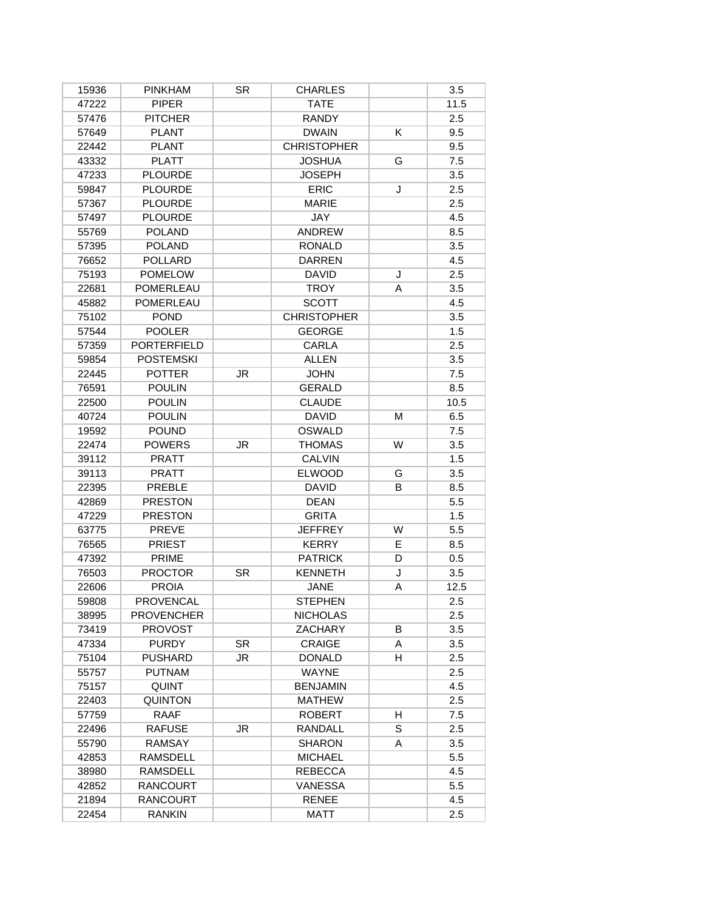| 15936 | <b>PINKHAM</b>     | SR.       | <b>CHARLES</b>     |   | 3.5  |
|-------|--------------------|-----------|--------------------|---|------|
| 47222 | <b>PIPER</b>       |           | <b>TATE</b>        |   | 11.5 |
| 57476 | <b>PITCHER</b>     |           | <b>RANDY</b>       |   | 2.5  |
| 57649 | <b>PLANT</b>       |           | <b>DWAIN</b>       | Κ | 9.5  |
| 22442 | <b>PLANT</b>       |           | <b>CHRISTOPHER</b> |   | 9.5  |
| 43332 | <b>PLATT</b>       |           | <b>JOSHUA</b>      | G | 7.5  |
| 47233 | <b>PLOURDE</b>     |           | <b>JOSEPH</b>      |   | 3.5  |
| 59847 | <b>PLOURDE</b>     |           | <b>ERIC</b>        | J | 2.5  |
| 57367 | <b>PLOURDE</b>     |           | <b>MARIE</b>       |   | 2.5  |
| 57497 | <b>PLOURDE</b>     |           | <b>JAY</b>         |   | 4.5  |
| 55769 | <b>POLAND</b>      |           | <b>ANDREW</b>      |   | 8.5  |
| 57395 | <b>POLAND</b>      |           | <b>RONALD</b>      |   | 3.5  |
| 76652 | <b>POLLARD</b>     |           | <b>DARREN</b>      |   | 4.5  |
| 75193 | <b>POMELOW</b>     |           | <b>DAVID</b>       | J | 2.5  |
| 22681 | POMERLEAU          |           | <b>TROY</b>        | A | 3.5  |
| 45882 | POMERLEAU          |           | <b>SCOTT</b>       |   | 4.5  |
| 75102 | <b>POND</b>        |           | <b>CHRISTOPHER</b> |   | 3.5  |
| 57544 | <b>POOLER</b>      |           | <b>GEORGE</b>      |   | 1.5  |
| 57359 | <b>PORTERFIELD</b> |           | <b>CARLA</b>       |   | 2.5  |
| 59854 | <b>POSTEMSKI</b>   |           | <b>ALLEN</b>       |   | 3.5  |
| 22445 | <b>POTTER</b>      | JR        | <b>JOHN</b>        |   | 7.5  |
| 76591 | <b>POULIN</b>      |           | <b>GERALD</b>      |   | 8.5  |
| 22500 | <b>POULIN</b>      |           | <b>CLAUDE</b>      |   | 10.5 |
| 40724 | <b>POULIN</b>      |           | <b>DAVID</b>       | M | 6.5  |
| 19592 | <b>POUND</b>       |           | <b>OSWALD</b>      |   | 7.5  |
| 22474 | <b>POWERS</b>      | <b>JR</b> | <b>THOMAS</b>      | W | 3.5  |
| 39112 | <b>PRATT</b>       |           | <b>CALVIN</b>      |   | 1.5  |
| 39113 | <b>PRATT</b>       |           | <b>ELWOOD</b>      | G | 3.5  |
| 22395 | PREBLE             |           | <b>DAVID</b>       | В | 8.5  |
| 42869 | <b>PRESTON</b>     |           | <b>DEAN</b>        |   | 5.5  |
| 47229 | <b>PRESTON</b>     |           | <b>GRITA</b>       |   | 1.5  |
| 63775 | PREVE              |           | <b>JEFFREY</b>     | W | 5.5  |
| 76565 | <b>PRIEST</b>      |           | <b>KERRY</b>       | E | 8.5  |
| 47392 | PRIME              |           | <b>PATRICK</b>     | D | 0.5  |
| 76503 | <b>PROCTOR</b>     | SR.       | <b>KENNETH</b>     | J | 3.5  |
| 22606 | <b>PROIA</b>       |           | <b>JANE</b>        | A | 12.5 |
| 59808 | PROVENCAL          |           | <b>STEPHEN</b>     |   | 2.5  |
| 38995 | <b>PROVENCHER</b>  |           | <b>NICHOLAS</b>    |   | 2.5  |
| 73419 | <b>PROVOST</b>     |           | ZACHARY            | B | 3.5  |
| 47334 | <b>PURDY</b>       | <b>SR</b> | <b>CRAIGE</b>      | A | 3.5  |
| 75104 | <b>PUSHARD</b>     | JR        | <b>DONALD</b>      | H | 2.5  |
| 55757 | <b>PUTNAM</b>      |           | <b>WAYNE</b>       |   | 2.5  |
| 75157 | QUINT              |           | <b>BENJAMIN</b>    |   | 4.5  |
| 22403 | <b>QUINTON</b>     |           | <b>MATHEW</b>      |   | 2.5  |
| 57759 | <b>RAAF</b>        |           | <b>ROBERT</b>      | H | 7.5  |
| 22496 | <b>RAFUSE</b>      | JR        | RANDALL            | S | 2.5  |
| 55790 | RAMSAY             |           | <b>SHARON</b>      | A | 3.5  |
| 42853 | RAMSDELL           |           | <b>MICHAEL</b>     |   | 5.5  |
| 38980 | RAMSDELL           |           | <b>REBECCA</b>     |   | 4.5  |
| 42852 | <b>RANCOURT</b>    |           | VANESSA            |   | 5.5  |
| 21894 | <b>RANCOURT</b>    |           | <b>RENEE</b>       |   | 4.5  |
| 22454 | <b>RANKIN</b>      |           | <b>MATT</b>        |   | 2.5  |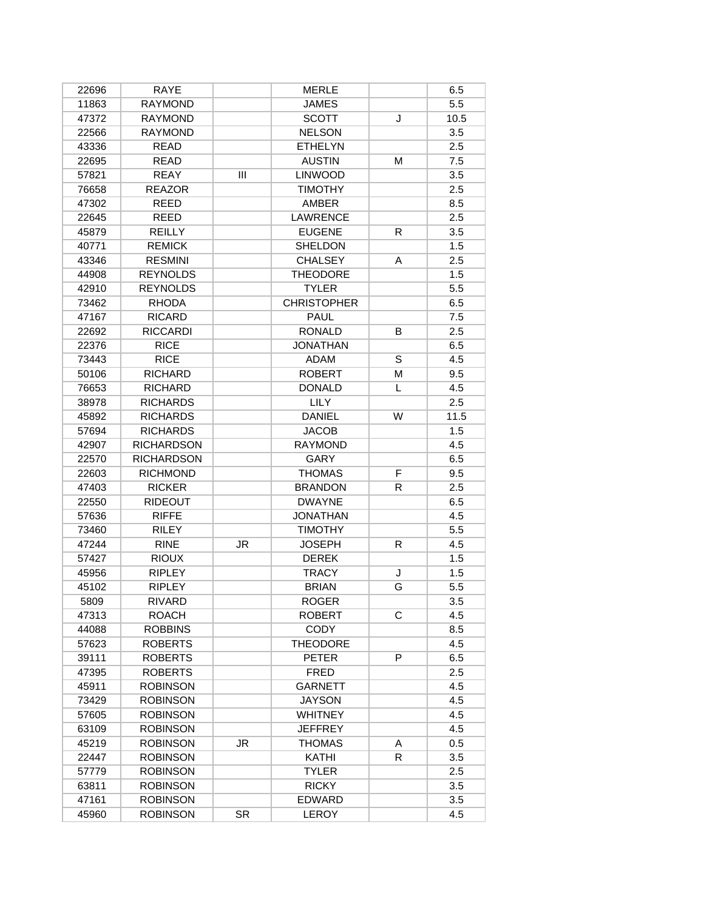| 22696 | <b>RAYE</b>       |           | <b>MERLE</b>       |    | 6.5  |
|-------|-------------------|-----------|--------------------|----|------|
| 11863 | <b>RAYMOND</b>    |           | <b>JAMES</b>       |    | 5.5  |
| 47372 | <b>RAYMOND</b>    |           | <b>SCOTT</b>       | J  | 10.5 |
| 22566 | RAYMOND           |           | <b>NELSON</b>      |    | 3.5  |
| 43336 | <b>READ</b>       |           | <b>ETHELYN</b>     |    | 2.5  |
| 22695 | <b>READ</b>       |           | <b>AUSTIN</b>      | М  | 7.5  |
| 57821 | <b>REAY</b>       | Ш         | <b>LINWOOD</b>     |    | 3.5  |
| 76658 | <b>REAZOR</b>     |           | <b>TIMOTHY</b>     |    | 2.5  |
| 47302 | <b>REED</b>       |           | <b>AMBER</b>       |    | 8.5  |
| 22645 | <b>REED</b>       |           | <b>LAWRENCE</b>    |    | 2.5  |
| 45879 | <b>REILLY</b>     |           | <b>EUGENE</b>      | R  | 3.5  |
| 40771 | <b>REMICK</b>     |           | <b>SHELDON</b>     |    | 1.5  |
| 43346 | <b>RESMINI</b>    |           | <b>CHALSEY</b>     | A  | 2.5  |
| 44908 | <b>REYNOLDS</b>   |           | <b>THEODORE</b>    |    | 1.5  |
| 42910 | <b>REYNOLDS</b>   |           | <b>TYLER</b>       |    | 5.5  |
| 73462 | <b>RHODA</b>      |           | <b>CHRISTOPHER</b> |    | 6.5  |
| 47167 | <b>RICARD</b>     |           | PAUL               |    | 7.5  |
| 22692 | <b>RICCARDI</b>   |           | <b>RONALD</b>      | B  | 2.5  |
| 22376 | <b>RICE</b>       |           | <b>JONATHAN</b>    |    | 6.5  |
| 73443 | <b>RICE</b>       |           | ADAM               | S  | 4.5  |
| 50106 | <b>RICHARD</b>    |           | <b>ROBERT</b>      | М  | 9.5  |
| 76653 | <b>RICHARD</b>    |           | <b>DONALD</b>      | L  | 4.5  |
| 38978 | <b>RICHARDS</b>   |           | <b>LILY</b>        |    | 2.5  |
| 45892 | <b>RICHARDS</b>   |           | <b>DANIEL</b>      | W  | 11.5 |
| 57694 | <b>RICHARDS</b>   |           | <b>JACOB</b>       |    | 1.5  |
| 42907 | <b>RICHARDSON</b> |           | <b>RAYMOND</b>     |    | 4.5  |
| 22570 | <b>RICHARDSON</b> |           | GARY               |    | 6.5  |
| 22603 | <b>RICHMOND</b>   |           | <b>THOMAS</b>      | F  | 9.5  |
| 47403 | <b>RICKER</b>     |           | <b>BRANDON</b>     | R  | 2.5  |
| 22550 | <b>RIDEOUT</b>    |           | <b>DWAYNE</b>      |    | 6.5  |
| 57636 | <b>RIFFE</b>      |           | <b>JONATHAN</b>    |    | 4.5  |
| 73460 | <b>RILEY</b>      |           | <b>TIMOTHY</b>     |    | 5.5  |
| 47244 | <b>RINE</b>       | JR        | <b>JOSEPH</b>      | R  | 4.5  |
| 57427 | <b>RIOUX</b>      |           | <b>DEREK</b>       |    | 1.5  |
| 45956 | <b>RIPLEY</b>     |           | <b>TRACY</b>       | J  | 1.5  |
| 45102 | <b>RIPLEY</b>     |           | <b>BRIAN</b>       | G  | 5.5  |
| 5809  | <b>RIVARD</b>     |           | <b>ROGER</b>       |    | 3.5  |
| 47313 | <b>ROACH</b>      |           | <b>ROBERT</b>      | C  | 4.5  |
| 44088 | <b>ROBBINS</b>    |           | <b>CODY</b>        |    | 8.5  |
| 57623 | <b>ROBERTS</b>    |           | <b>THEODORE</b>    |    | 4.5  |
| 39111 | <b>ROBERTS</b>    |           | <b>PETER</b>       | P  | 6.5  |
| 47395 | <b>ROBERTS</b>    |           | <b>FRED</b>        |    | 2.5  |
| 45911 | <b>ROBINSON</b>   |           | <b>GARNETT</b>     |    | 4.5  |
| 73429 | <b>ROBINSON</b>   |           | <b>JAYSON</b>      |    | 4.5  |
| 57605 | <b>ROBINSON</b>   |           | <b>WHITNEY</b>     |    | 4.5  |
| 63109 | <b>ROBINSON</b>   |           | <b>JEFFREY</b>     |    | 4.5  |
| 45219 | <b>ROBINSON</b>   | JR        | <b>THOMAS</b>      | A  | 0.5  |
| 22447 | <b>ROBINSON</b>   |           | KATHI              | R. | 3.5  |
| 57779 | <b>ROBINSON</b>   |           | <b>TYLER</b>       |    | 2.5  |
| 63811 | <b>ROBINSON</b>   |           | <b>RICKY</b>       |    | 3.5  |
| 47161 | <b>ROBINSON</b>   |           | EDWARD             |    | 3.5  |
|       |                   |           |                    |    |      |
| 45960 | <b>ROBINSON</b>   | <b>SR</b> | LEROY              |    | 4.5  |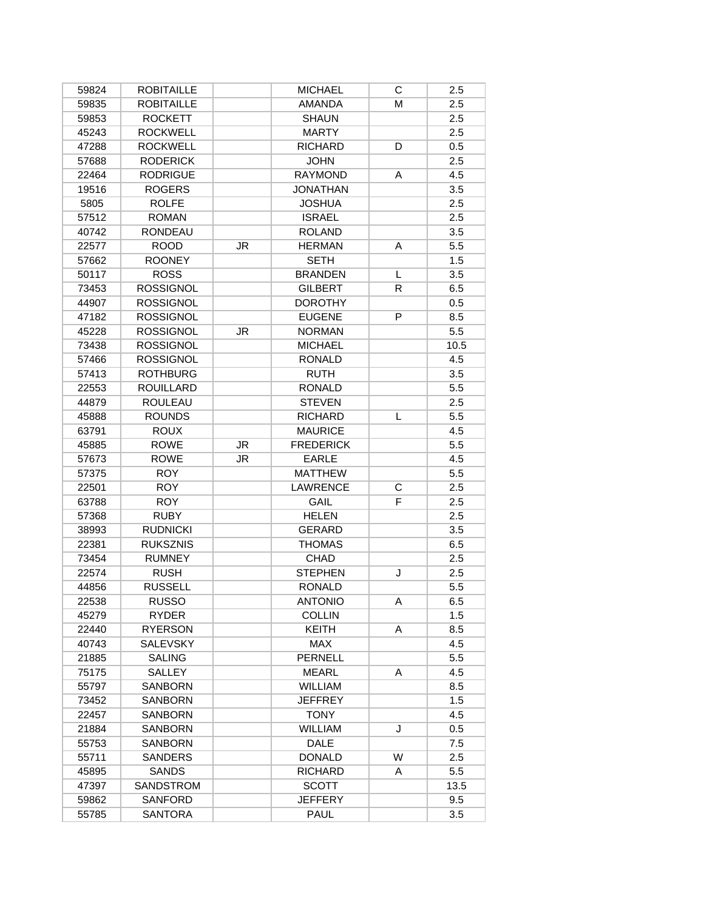| 59824 | <b>ROBITAILLE</b> |           | <b>MICHAEL</b>   | С  | 2.5  |
|-------|-------------------|-----------|------------------|----|------|
| 59835 | <b>ROBITAILLE</b> |           | <b>AMANDA</b>    | M  | 2.5  |
| 59853 | <b>ROCKETT</b>    |           | <b>SHAUN</b>     |    | 2.5  |
| 45243 | <b>ROCKWELL</b>   |           | <b>MARTY</b>     |    | 2.5  |
| 47288 | <b>ROCKWELL</b>   |           | <b>RICHARD</b>   | D  | 0.5  |
| 57688 | <b>RODERICK</b>   |           | <b>JOHN</b>      |    | 2.5  |
| 22464 | <b>RODRIGUE</b>   |           | <b>RAYMOND</b>   | Α  | 4.5  |
| 19516 | <b>ROGERS</b>     |           | <b>JONATHAN</b>  |    | 3.5  |
| 5805  | <b>ROLFE</b>      |           | <b>JOSHUA</b>    |    | 2.5  |
| 57512 | <b>ROMAN</b>      |           | <b>ISRAEL</b>    |    | 2.5  |
| 40742 | <b>RONDEAU</b>    |           | <b>ROLAND</b>    |    | 3.5  |
| 22577 | <b>ROOD</b>       | <b>JR</b> | <b>HERMAN</b>    | A  | 5.5  |
| 57662 | <b>ROONEY</b>     |           | <b>SETH</b>      |    | 1.5  |
| 50117 | <b>ROSS</b>       |           | <b>BRANDEN</b>   | L  | 3.5  |
| 73453 | <b>ROSSIGNOL</b>  |           | <b>GILBERT</b>   | R. | 6.5  |
| 44907 | <b>ROSSIGNOL</b>  |           | <b>DOROTHY</b>   |    | 0.5  |
| 47182 | <b>ROSSIGNOL</b>  |           | <b>EUGENE</b>    | P  | 8.5  |
| 45228 | <b>ROSSIGNOL</b>  | JR        | <b>NORMAN</b>    |    | 5.5  |
| 73438 | <b>ROSSIGNOL</b>  |           | <b>MICHAEL</b>   |    | 10.5 |
| 57466 | <b>ROSSIGNOL</b>  |           | <b>RONALD</b>    |    | 4.5  |
| 57413 | <b>ROTHBURG</b>   |           | <b>RUTH</b>      |    | 3.5  |
| 22553 | <b>ROUILLARD</b>  |           | <b>RONALD</b>    |    | 5.5  |
| 44879 | <b>ROULEAU</b>    |           | <b>STEVEN</b>    |    | 2.5  |
| 45888 | <b>ROUNDS</b>     |           | <b>RICHARD</b>   | L  | 5.5  |
| 63791 | <b>ROUX</b>       |           | <b>MAURICE</b>   |    | 4.5  |
| 45885 | <b>ROWE</b>       | JR        | <b>FREDERICK</b> |    | 5.5  |
| 57673 | <b>ROWE</b>       | JR.       | <b>EARLE</b>     |    | 4.5  |
| 57375 | <b>ROY</b>        |           | <b>MATTHEW</b>   |    | 5.5  |
| 22501 | <b>ROY</b>        |           | <b>LAWRENCE</b>  | С  | 2.5  |
| 63788 | <b>ROY</b>        |           | GAIL             | F  | 2.5  |
| 57368 | <b>RUBY</b>       |           | <b>HELEN</b>     |    | 2.5  |
| 38993 | <b>RUDNICKI</b>   |           | GERARD           |    | 3.5  |
| 22381 | <b>RUKSZNIS</b>   |           | <b>THOMAS</b>    |    | 6.5  |
| 73454 | <b>RUMNEY</b>     |           | <b>CHAD</b>      |    | 2.5  |
| 22574 | <b>RUSH</b>       |           | <b>STEPHEN</b>   | J  | 2.5  |
| 44856 | <b>RUSSELL</b>    |           | <b>RONALD</b>    |    | 5.5  |
| 22538 | <b>RUSSO</b>      |           | <b>ANTONIO</b>   | A  | 6.5  |
| 45279 | <b>RYDER</b>      |           | <b>COLLIN</b>    |    | 1.5  |
| 22440 | <b>RYERSON</b>    |           | KEITH            | A  | 8.5  |
| 40743 | <b>SALEVSKY</b>   |           | MAX              |    | 4.5  |
| 21885 | <b>SALING</b>     |           | <b>PERNELL</b>   |    | 5.5  |
| 75175 | <b>SALLEY</b>     |           | <b>MEARL</b>     | A  | 4.5  |
| 55797 | <b>SANBORN</b>    |           | <b>WILLIAM</b>   |    | 8.5  |
| 73452 | <b>SANBORN</b>    |           | <b>JEFFREY</b>   |    | 1.5  |
| 22457 | <b>SANBORN</b>    |           | <b>TONY</b>      |    | 4.5  |
| 21884 | <b>SANBORN</b>    |           | WILLIAM          | J  | 0.5  |
|       | SANBORN           |           | <b>DALE</b>      |    |      |
| 55753 |                   |           |                  | W  | 7.5  |
| 55711 | <b>SANDERS</b>    |           | <b>DONALD</b>    |    | 2.5  |
| 45895 | <b>SANDS</b>      |           | <b>RICHARD</b>   | A  | 5.5  |
| 47397 | SANDSTROM         |           | <b>SCOTT</b>     |    | 13.5 |
| 59862 | SANFORD           |           | <b>JEFFERY</b>   |    | 9.5  |
| 55785 | <b>SANTORA</b>    |           | <b>PAUL</b>      |    | 3.5  |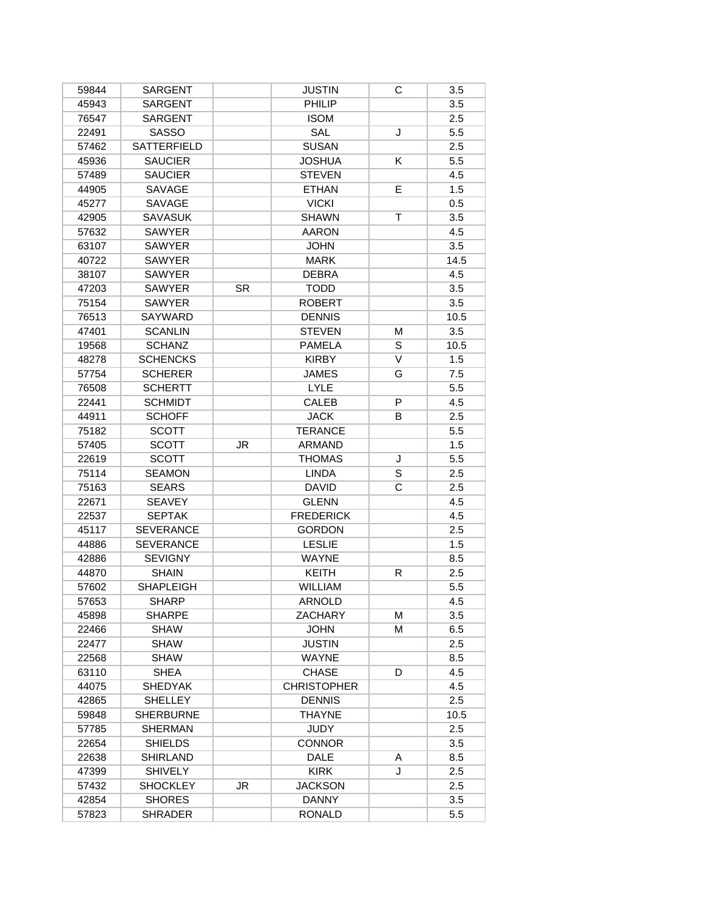| 59844 | <b>SARGENT</b>     |           | <b>JUSTIN</b>      | С  | 3.5  |
|-------|--------------------|-----------|--------------------|----|------|
| 45943 | <b>SARGENT</b>     |           | PHILIP             |    | 3.5  |
| 76547 | <b>SARGENT</b>     |           | <b>ISOM</b>        |    | 2.5  |
| 22491 | <b>SASSO</b>       |           | SAL                | J  | 5.5  |
| 57462 | <b>SATTERFIELD</b> |           | <b>SUSAN</b>       |    | 2.5  |
| 45936 | <b>SAUCIER</b>     |           | <b>JOSHUA</b>      | K  | 5.5  |
| 57489 | <b>SAUCIER</b>     |           | <b>STEVEN</b>      |    | 4.5  |
| 44905 | SAVAGE             |           | <b>ETHAN</b>       | E  | 1.5  |
| 45277 | SAVAGE             |           | <b>VICKI</b>       |    | 0.5  |
| 42905 | <b>SAVASUK</b>     |           | <b>SHAWN</b>       | T. | 3.5  |
| 57632 | <b>SAWYER</b>      |           | <b>AARON</b>       |    | 4.5  |
| 63107 | <b>SAWYER</b>      |           | <b>JOHN</b>        |    | 3.5  |
| 40722 | <b>SAWYER</b>      |           | <b>MARK</b>        |    | 14.5 |
| 38107 | <b>SAWYER</b>      |           | <b>DEBRA</b>       |    | 4.5  |
| 47203 | <b>SAWYER</b>      | <b>SR</b> | <b>TODD</b>        |    | 3.5  |
| 75154 | <b>SAWYER</b>      |           | <b>ROBERT</b>      |    | 3.5  |
| 76513 | <b>SAYWARD</b>     |           | <b>DENNIS</b>      |    | 10.5 |
| 47401 | <b>SCANLIN</b>     |           | <b>STEVEN</b>      | M  | 3.5  |
| 19568 | <b>SCHANZ</b>      |           | <b>PAMELA</b>      | S  | 10.5 |
| 48278 | <b>SCHENCKS</b>    |           | <b>KIRBY</b>       | V  | 1.5  |
| 57754 | <b>SCHERER</b>     |           | JAMES              | G  | 7.5  |
| 76508 | <b>SCHERTT</b>     |           | <b>LYLE</b>        |    | 5.5  |
| 22441 | <b>SCHMIDT</b>     |           | CALEB              | P  | 4.5  |
| 44911 | <b>SCHOFF</b>      |           | <b>JACK</b>        | B  | 2.5  |
| 75182 | <b>SCOTT</b>       |           | <b>TERANCE</b>     |    | 5.5  |
| 57405 | <b>SCOTT</b>       | <b>JR</b> | ARMAND             |    | 1.5  |
| 22619 | <b>SCOTT</b>       |           | <b>THOMAS</b>      | J  | 5.5  |
| 75114 | <b>SEAMON</b>      |           | <b>LINDA</b>       | S  | 2.5  |
| 75163 | <b>SEARS</b>       |           | <b>DAVID</b>       | C  | 2.5  |
| 22671 | <b>SEAVEY</b>      |           | <b>GLENN</b>       |    | 4.5  |
| 22537 | <b>SEPTAK</b>      |           | <b>FREDERICK</b>   |    | 4.5  |
| 45117 | <b>SEVERANCE</b>   |           | <b>GORDON</b>      |    | 2.5  |
| 44886 | <b>SEVERANCE</b>   |           | <b>LESLIE</b>      |    | 1.5  |
| 42886 | <b>SEVIGNY</b>     |           | <b>WAYNE</b>       |    | 8.5  |
| 44870 | <b>SHAIN</b>       |           | KEITH              | R  | 2.5  |
| 57602 | <b>SHAPLEIGH</b>   |           | <b>WILLIAM</b>     |    | 5.5  |
| 57653 | <b>SHARP</b>       |           | <b>ARNOLD</b>      |    | 4.5  |
| 45898 | <b>SHARPE</b>      |           | ZACHARY            | М  | 3.5  |
| 22466 | <b>SHAW</b>        |           | <b>JOHN</b>        | м  | 6.5  |
| 22477 | <b>SHAW</b>        |           | <b>JUSTIN</b>      |    | 2.5  |
| 22568 | <b>SHAW</b>        |           | <b>WAYNE</b>       |    | 8.5  |
| 63110 | <b>SHEA</b>        |           | <b>CHASE</b>       | D  | 4.5  |
| 44075 | <b>SHEDYAK</b>     |           | <b>CHRISTOPHER</b> |    | 4.5  |
| 42865 | <b>SHELLEY</b>     |           | <b>DENNIS</b>      |    | 2.5  |
| 59848 | <b>SHERBURNE</b>   |           | <b>THAYNE</b>      |    | 10.5 |
| 57785 | <b>SHERMAN</b>     |           | <b>JUDY</b>        |    | 2.5  |
| 22654 | <b>SHIELDS</b>     |           | <b>CONNOR</b>      |    | 3.5  |
| 22638 | SHIRLAND           |           | <b>DALE</b>        | Α  | 8.5  |
| 47399 | <b>SHIVELY</b>     |           | <b>KIRK</b>        | J  | 2.5  |
| 57432 | <b>SHOCKLEY</b>    | JR        | <b>JACKSON</b>     |    | 2.5  |
| 42854 | <b>SHORES</b>      |           | <b>DANNY</b>       |    | 3.5  |
| 57823 | <b>SHRADER</b>     |           | <b>RONALD</b>      |    | 5.5  |
|       |                    |           |                    |    |      |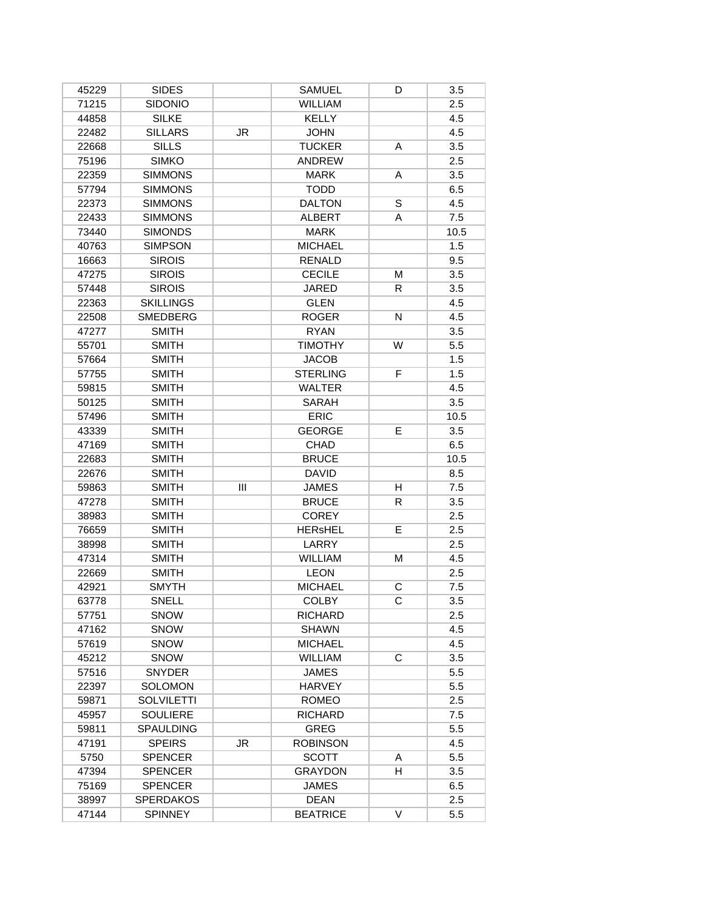| 45229          | <b>SIDES</b>      |     | <b>SAMUEL</b>   | D      | 3.5  |
|----------------|-------------------|-----|-----------------|--------|------|
| 71215          | <b>SIDONIO</b>    |     | WILLIAM         |        | 2.5  |
| 44858          | <b>SILKE</b>      |     | <b>KELLY</b>    |        | 4.5  |
| 22482          | <b>SILLARS</b>    | JR. | <b>JOHN</b>     |        | 4.5  |
| 22668          | <b>SILLS</b>      |     | <b>TUCKER</b>   | Α      | 3.5  |
| 75196          | <b>SIMKO</b>      |     | ANDREW          |        | 2.5  |
| 22359          | <b>SIMMONS</b>    |     | <b>MARK</b>     | A      | 3.5  |
| 57794          | <b>SIMMONS</b>    |     | <b>TODD</b>     |        | 6.5  |
| 22373          | <b>SIMMONS</b>    |     | <b>DALTON</b>   | S      | 4.5  |
| 22433          | <b>SIMMONS</b>    |     | <b>ALBERT</b>   | A      | 7.5  |
| 73440          | <b>SIMONDS</b>    |     | <b>MARK</b>     |        | 10.5 |
| 40763          | <b>SIMPSON</b>    |     | <b>MICHAEL</b>  |        | 1.5  |
| 16663          | <b>SIROIS</b>     |     | <b>RENALD</b>   |        | 9.5  |
| 47275          | <b>SIROIS</b>     |     | <b>CECILE</b>   | М      | 3.5  |
| 57448          | <b>SIROIS</b>     |     | <b>JARED</b>    | R.     | 3.5  |
| 22363          | <b>SKILLINGS</b>  |     | <b>GLEN</b>     |        | 4.5  |
| 22508          | <b>SMEDBERG</b>   |     | <b>ROGER</b>    | N      | 4.5  |
| 47277          | <b>SMITH</b>      |     | <b>RYAN</b>     |        | 3.5  |
| 55701          | <b>SMITH</b>      |     | <b>TIMOTHY</b>  | W      | 5.5  |
| 57664          | <b>SMITH</b>      |     | <b>JACOB</b>    |        | 1.5  |
| 57755          | <b>SMITH</b>      |     | <b>STERLING</b> | F      | 1.5  |
| 59815          | <b>SMITH</b>      |     | <b>WALTER</b>   |        | 4.5  |
| 50125          | <b>SMITH</b>      |     | SARAH           |        | 3.5  |
| 57496          | <b>SMITH</b>      |     | <b>ERIC</b>     |        | 10.5 |
| 43339          | <b>SMITH</b>      |     | <b>GEORGE</b>   | Е      | 3.5  |
| 47169          | <b>SMITH</b>      |     | CHAD            |        | 6.5  |
| 22683          | <b>SMITH</b>      |     | <b>BRUCE</b>    |        | 10.5 |
| 22676          | <b>SMITH</b>      |     | <b>DAVID</b>    |        | 8.5  |
| 59863          | <b>SMITH</b>      | III | <b>JAMES</b>    | H      | 7.5  |
| 47278          | <b>SMITH</b>      |     | <b>BRUCE</b>    | R.     | 3.5  |
| 38983          | <b>SMITH</b>      |     | <b>COREY</b>    |        | 2.5  |
|                |                   |     | <b>HERsHEL</b>  | E      |      |
| 76659          | <b>SMITH</b>      |     | LARRY           |        | 2.5  |
| 38998<br>47314 | <b>SMITH</b>      |     | <b>WILLIAM</b>  |        | 2.5  |
|                | <b>SMITH</b>      |     |                 | М      | 4.5  |
| 22669          | <b>SMITH</b>      |     | <b>LEON</b>     |        | 2.5  |
| 42921          | <b>SMYTH</b>      |     | <b>MICHAEL</b>  | C      | 7.5  |
| 63778          | SNELL             |     | <b>COLBY</b>    | С      | 3.5  |
| 57751          | <b>SNOW</b>       |     | <b>RICHARD</b>  |        | 2.5  |
| 47162          | SNOW              |     | <b>SHAWN</b>    |        | 4.5  |
| 57619          | <b>SNOW</b>       |     | <b>MICHAEL</b>  |        | 4.5  |
| 45212          | <b>SNOW</b>       |     | <b>WILLIAM</b>  | C      | 3.5  |
| 57516          | <b>SNYDER</b>     |     | <b>JAMES</b>    |        | 5.5  |
| 22397          | <b>SOLOMON</b>    |     | <b>HARVEY</b>   |        | 5.5  |
| 59871          | <b>SOLVILETTI</b> |     | <b>ROMEO</b>    |        | 2.5  |
| 45957          | <b>SOULIERE</b>   |     | <b>RICHARD</b>  |        | 7.5  |
| 59811          | <b>SPAULDING</b>  |     | <b>GREG</b>     |        | 5.5  |
| 47191          | <b>SPEIRS</b>     | JR  | <b>ROBINSON</b> |        | 4.5  |
| 5750           | <b>SPENCER</b>    |     | <b>SCOTT</b>    | Α      | 5.5  |
| 47394          | <b>SPENCER</b>    |     | <b>GRAYDON</b>  | H      | 3.5  |
| 75169          | <b>SPENCER</b>    |     | JAMES           |        | 6.5  |
| 38997          | <b>SPERDAKOS</b>  |     | <b>DEAN</b>     |        | 2.5  |
| 47144          | <b>SPINNEY</b>    |     | <b>BEATRICE</b> | $\vee$ | 5.5  |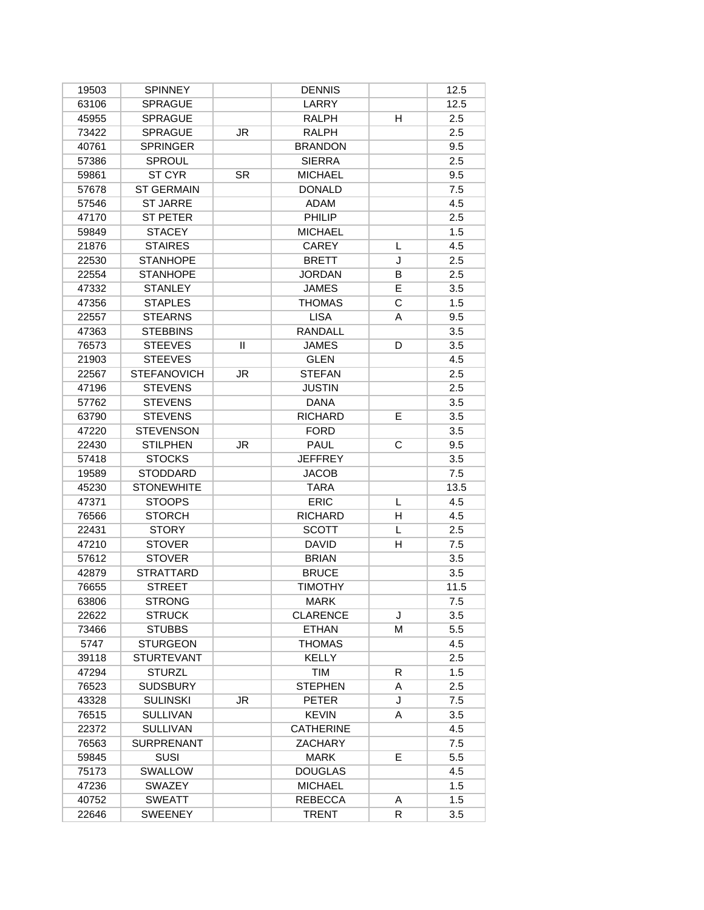| 19503          | <b>SPINNEY</b>     |              | <b>DENNIS</b>    |    | 12.5 |
|----------------|--------------------|--------------|------------------|----|------|
| 63106          | <b>SPRAGUE</b>     |              | <b>LARRY</b>     |    | 12.5 |
| 45955          | <b>SPRAGUE</b>     |              | <b>RALPH</b>     | н  | 2.5  |
| 73422          | <b>SPRAGUE</b>     | JR           | RALPH            |    | 2.5  |
| 40761          | <b>SPRINGER</b>    |              | <b>BRANDON</b>   |    | 9.5  |
| 57386          | <b>SPROUL</b>      |              | <b>SIERRA</b>    |    | 2.5  |
| 59861          | ST CYR             | <b>SR</b>    | <b>MICHAEL</b>   |    | 9.5  |
| 57678          | <b>ST GERMAIN</b>  |              | <b>DONALD</b>    |    | 7.5  |
| 57546          | <b>ST JARRE</b>    |              | <b>ADAM</b>      |    | 4.5  |
| 47170          | <b>ST PETER</b>    |              | PHILIP           |    | 2.5  |
| 59849          | <b>STACEY</b>      |              | <b>MICHAEL</b>   |    | 1.5  |
| 21876          | <b>STAIRES</b>     |              | <b>CAREY</b>     | L  | 4.5  |
| 22530          | <b>STANHOPE</b>    |              | <b>BRETT</b>     | J  | 2.5  |
| 22554          | <b>STANHOPE</b>    |              | <b>JORDAN</b>    | В  | 2.5  |
| 47332          | <b>STANLEY</b>     |              | <b>JAMES</b>     | E  | 3.5  |
| 47356          | <b>STAPLES</b>     |              | <b>THOMAS</b>    | C  | 1.5  |
| 22557          | <b>STEARNS</b>     |              | <b>LISA</b>      | A  | 9.5  |
| 47363          | <b>STEBBINS</b>    |              | <b>RANDALL</b>   |    | 3.5  |
| 76573          | <b>STEEVES</b>     | $\mathbf{H}$ | <b>JAMES</b>     | D  | 3.5  |
| 21903          | <b>STEEVES</b>     |              | <b>GLEN</b>      |    | 4.5  |
| 22567          | <b>STEFANOVICH</b> | JR           | <b>STEFAN</b>    |    | 2.5  |
| 47196          | <b>STEVENS</b>     |              | <b>JUSTIN</b>    |    | 2.5  |
| 57762          | <b>STEVENS</b>     |              | <b>DANA</b>      |    | 3.5  |
| 63790          | <b>STEVENS</b>     |              | <b>RICHARD</b>   | E. | 3.5  |
| 47220          | <b>STEVENSON</b>   |              | <b>FORD</b>      |    | 3.5  |
| 22430          | <b>STILPHEN</b>    | JR           | PAUL             | C  | 9.5  |
| 57418          | <b>STOCKS</b>      |              | <b>JEFFREY</b>   |    | 3.5  |
| 19589          | STODDARD           |              | <b>JACOB</b>     |    | 7.5  |
| 45230          | <b>STONEWHITE</b>  |              | <b>TARA</b>      |    | 13.5 |
| 47371          | <b>STOOPS</b>      |              | <b>ERIC</b>      | L  | 4.5  |
| 76566          | <b>STORCH</b>      |              | <b>RICHARD</b>   | н  | 4.5  |
| 22431          | <b>STORY</b>       |              | <b>SCOTT</b>     | L  | 2.5  |
| 47210          | <b>STOVER</b>      |              | <b>DAVID</b>     | H  | 7.5  |
| 57612          | <b>STOVER</b>      |              | <b>BRIAN</b>     |    | 3.5  |
| 42879          | <b>STRATTARD</b>   |              | <b>BRUCE</b>     |    | 3.5  |
|                |                    |              |                  |    |      |
| 76655          | <b>STREET</b>      |              | <b>TIMOTHY</b>   |    | 11.5 |
| 63806<br>22622 | <b>STRONG</b>      |              | <b>MARK</b>      |    | 7.5  |
|                | <b>STRUCK</b>      |              | <b>CLARENCE</b>  | J  | 3.5  |
| 73466          | <b>STUBBS</b>      |              | <b>ETHAN</b>     | м  | 5.5  |
| 5747           | <b>STURGEON</b>    |              | <b>THOMAS</b>    |    | 4.5  |
| 39118          | <b>STURTEVANT</b>  |              | <b>KELLY</b>     |    | 2.5  |
| 47294          | <b>STURZL</b>      |              | <b>TIM</b>       | R  | 1.5  |
| 76523          | <b>SUDSBURY</b>    |              | <b>STEPHEN</b>   | A  | 2.5  |
| 43328          | <b>SULINSKI</b>    | JR.          | <b>PETER</b>     | J  | 7.5  |
| 76515          | <b>SULLIVAN</b>    |              | <b>KEVIN</b>     | A  | 3.5  |
| 22372          | <b>SULLIVAN</b>    |              | <b>CATHERINE</b> |    | 4.5  |
| 76563          | <b>SURPRENANT</b>  |              | <b>ZACHARY</b>   |    | 7.5  |
| 59845          | <b>SUSI</b>        |              | <b>MARK</b>      | E. | 5.5  |
| 75173          | SWALLOW            |              | <b>DOUGLAS</b>   |    | 4.5  |
| 47236          | SWAZEY             |              | <b>MICHAEL</b>   |    | 1.5  |
| 40752          | <b>SWEATT</b>      |              | <b>REBECCA</b>   | A  | 1.5  |
| 22646          | <b>SWEENEY</b>     |              | <b>TRENT</b>     | R  | 3.5  |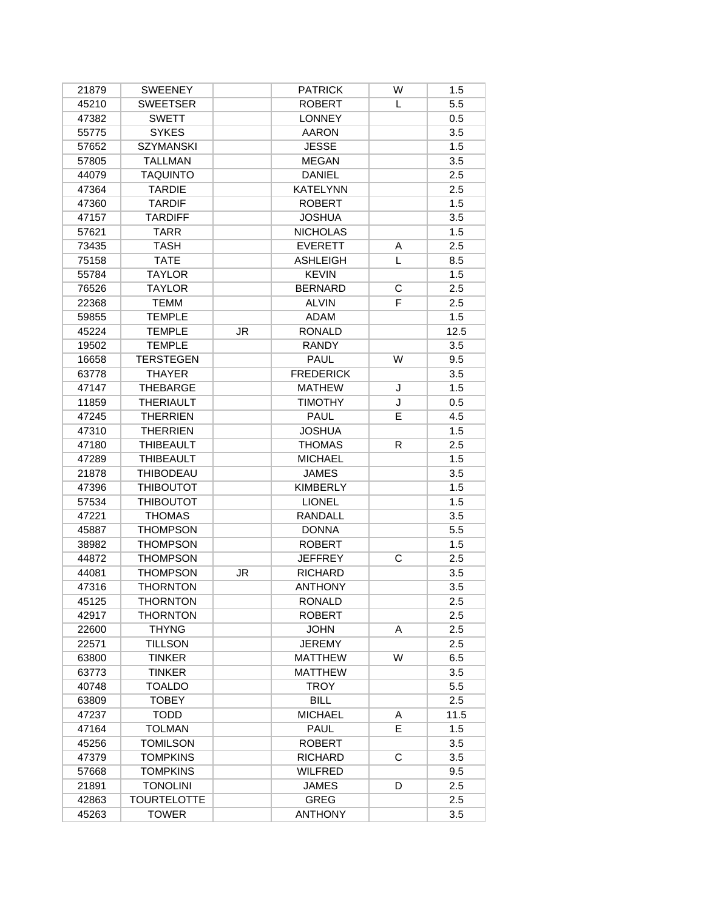| 21879 | <b>SWEENEY</b>     |    | <b>PATRICK</b>   | W | 1.5  |
|-------|--------------------|----|------------------|---|------|
| 45210 | <b>SWEETSER</b>    |    | <b>ROBERT</b>    | L | 5.5  |
| 47382 | <b>SWETT</b>       |    | <b>LONNEY</b>    |   | 0.5  |
| 55775 | <b>SYKES</b>       |    | <b>AARON</b>     |   | 3.5  |
| 57652 | <b>SZYMANSKI</b>   |    | <b>JESSE</b>     |   | 1.5  |
| 57805 | <b>TALLMAN</b>     |    | <b>MEGAN</b>     |   | 3.5  |
| 44079 | <b>TAQUINTO</b>    |    | <b>DANIEL</b>    |   | 2.5  |
| 47364 | <b>TARDIE</b>      |    | <b>KATELYNN</b>  |   | 2.5  |
| 47360 | <b>TARDIF</b>      |    | <b>ROBERT</b>    |   | 1.5  |
| 47157 | <b>TARDIFF</b>     |    | <b>JOSHUA</b>    |   | 3.5  |
| 57621 | <b>TARR</b>        |    | <b>NICHOLAS</b>  |   | 1.5  |
| 73435 | <b>TASH</b>        |    | <b>EVERETT</b>   | Α | 2.5  |
| 75158 | <b>TATE</b>        |    | <b>ASHLEIGH</b>  | L | 8.5  |
| 55784 | <b>TAYLOR</b>      |    | <b>KEVIN</b>     |   | 1.5  |
| 76526 | <b>TAYLOR</b>      |    | <b>BERNARD</b>   | С | 2.5  |
| 22368 | <b>TEMM</b>        |    | <b>ALVIN</b>     | F | 2.5  |
| 59855 | <b>TEMPLE</b>      |    | <b>ADAM</b>      |   | 1.5  |
| 45224 | <b>TEMPLE</b>      | JR | <b>RONALD</b>    |   | 12.5 |
| 19502 | <b>TEMPLE</b>      |    | <b>RANDY</b>     |   | 3.5  |
| 16658 | <b>TERSTEGEN</b>   |    | <b>PAUL</b>      | W | 9.5  |
| 63778 | <b>THAYER</b>      |    | <b>FREDERICK</b> |   | 3.5  |
| 47147 | THEBARGE           |    | <b>MATHEW</b>    | J | 1.5  |
| 11859 | <b>THERIAULT</b>   |    | <b>TIMOTHY</b>   | J | 0.5  |
| 47245 | <b>THERRIEN</b>    |    | <b>PAUL</b>      | E | 4.5  |
| 47310 | <b>THERRIEN</b>    |    | <b>JOSHUA</b>    |   | 1.5  |
| 47180 | <b>THIBEAULT</b>   |    | <b>THOMAS</b>    | R | 2.5  |
| 47289 | <b>THIBEAULT</b>   |    | <b>MICHAEL</b>   |   | 1.5  |
| 21878 | <b>THIBODEAU</b>   |    | <b>JAMES</b>     |   | 3.5  |
| 47396 | <b>THIBOUTOT</b>   |    | <b>KIMBERLY</b>  |   | 1.5  |
| 57534 | <b>THIBOUTOT</b>   |    | <b>LIONEL</b>    |   | 1.5  |
| 47221 | <b>THOMAS</b>      |    | RANDALL          |   | 3.5  |
| 45887 | <b>THOMPSON</b>    |    | <b>DONNA</b>     |   | 5.5  |
| 38982 | <b>THOMPSON</b>    |    | <b>ROBERT</b>    |   | 1.5  |
| 44872 | <b>THOMPSON</b>    |    | <b>JEFFREY</b>   | C | 2.5  |
| 44081 | <b>THOMPSON</b>    | JR | <b>RICHARD</b>   |   | 3.5  |
| 47316 | <b>THORNTON</b>    |    | <b>ANTHONY</b>   |   | 3.5  |
| 45125 | THORNTON           |    | <b>RONALD</b>    |   | 2.5  |
| 42917 | <b>THORNTON</b>    |    | <b>ROBERT</b>    |   | 2.5  |
| 22600 | <b>THYNG</b>       |    | <b>JOHN</b>      | A | 2.5  |
| 22571 | <b>TILLSON</b>     |    | <b>JEREMY</b>    |   | 2.5  |
| 63800 | <b>TINKER</b>      |    | <b>MATTHEW</b>   | W | 6.5  |
| 63773 | <b>TINKER</b>      |    | <b>MATTHEW</b>   |   | 3.5  |
| 40748 | <b>TOALDO</b>      |    | <b>TROY</b>      |   | 5.5  |
| 63809 | <b>TOBEY</b>       |    | <b>BILL</b>      |   | 2.5  |
| 47237 | <b>TODD</b>        |    | <b>MICHAEL</b>   | A | 11.5 |
| 47164 | <b>TOLMAN</b>      |    | <b>PAUL</b>      | E | 1.5  |
| 45256 | <b>TOMILSON</b>    |    | <b>ROBERT</b>    |   | 3.5  |
| 47379 | <b>TOMPKINS</b>    |    | <b>RICHARD</b>   | C | 3.5  |
| 57668 | <b>TOMPKINS</b>    |    | <b>WILFRED</b>   |   | 9.5  |
| 21891 | <b>TONOLINI</b>    |    | <b>JAMES</b>     | D | 2.5  |
| 42863 | <b>TOURTELOTTE</b> |    | <b>GREG</b>      |   | 2.5  |
| 45263 | <b>TOWER</b>       |    | <b>ANTHONY</b>   |   | 3.5  |
|       |                    |    |                  |   |      |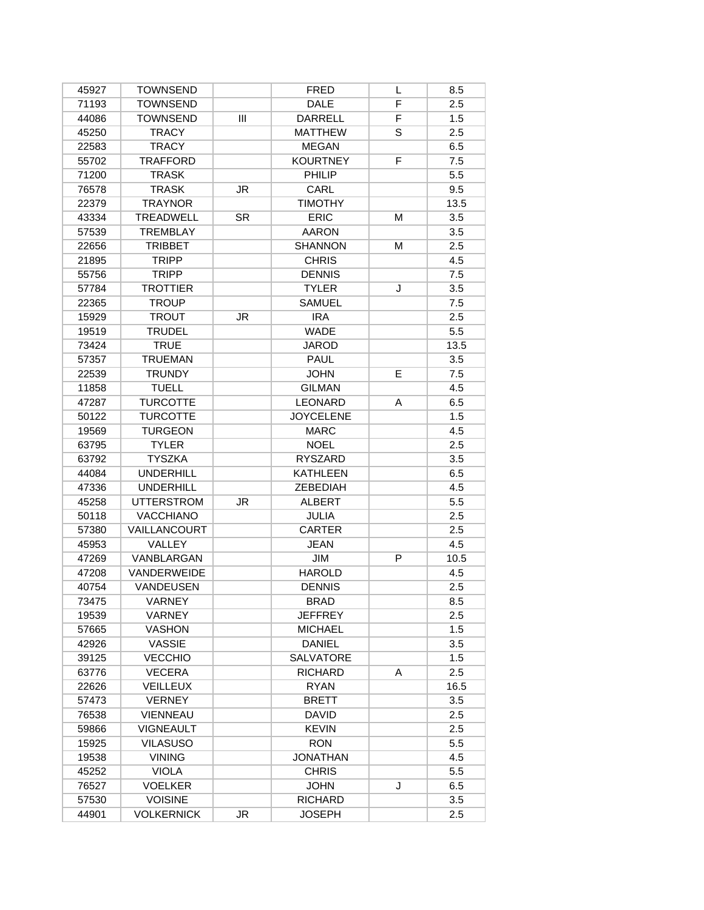| 45927 | <b>TOWNSEND</b>   |           | <b>FRED</b>      | L | 8.5  |
|-------|-------------------|-----------|------------------|---|------|
| 71193 | <b>TOWNSEND</b>   |           | <b>DALE</b>      | F | 2.5  |
| 44086 | <b>TOWNSEND</b>   | Ш         | <b>DARRELL</b>   | F | 1.5  |
| 45250 | <b>TRACY</b>      |           | <b>MATTHEW</b>   | S | 2.5  |
| 22583 | <b>TRACY</b>      |           | <b>MEGAN</b>     |   | 6.5  |
| 55702 | <b>TRAFFORD</b>   |           | <b>KOURTNEY</b>  | F | 7.5  |
| 71200 | <b>TRASK</b>      |           | PHILIP           |   | 5.5  |
| 76578 | <b>TRASK</b>      | JR        | CARL             |   | 9.5  |
| 22379 | <b>TRAYNOR</b>    |           | <b>TIMOTHY</b>   |   | 13.5 |
| 43334 | <b>TREADWELL</b>  | <b>SR</b> | <b>ERIC</b>      | м | 3.5  |
| 57539 | <b>TREMBLAY</b>   |           | <b>AARON</b>     |   | 3.5  |
| 22656 | <b>TRIBBET</b>    |           | <b>SHANNON</b>   | M | 2.5  |
| 21895 | <b>TRIPP</b>      |           | <b>CHRIS</b>     |   | 4.5  |
| 55756 | <b>TRIPP</b>      |           | <b>DENNIS</b>    |   | 7.5  |
| 57784 | <b>TROTTIER</b>   |           | <b>TYLER</b>     | J | 3.5  |
| 22365 | <b>TROUP</b>      |           | <b>SAMUEL</b>    |   | 7.5  |
| 15929 | <b>TROUT</b>      | JR        | <b>IRA</b>       |   | 2.5  |
| 19519 | <b>TRUDEL</b>     |           | <b>WADE</b>      |   | 5.5  |
| 73424 | <b>TRUE</b>       |           | <b>JAROD</b>     |   | 13.5 |
| 57357 | <b>TRUEMAN</b>    |           | <b>PAUL</b>      |   | 3.5  |
| 22539 | <b>TRUNDY</b>     |           | <b>JOHN</b>      | Е | 7.5  |
| 11858 | <b>TUELL</b>      |           | <b>GILMAN</b>    |   | 4.5  |
| 47287 | <b>TURCOTTE</b>   |           | <b>LEONARD</b>   | A | 6.5  |
| 50122 | <b>TURCOTTE</b>   |           | <b>JOYCELENE</b> |   | 1.5  |
| 19569 | <b>TURGEON</b>    |           | <b>MARC</b>      |   | 4.5  |
| 63795 | <b>TYLER</b>      |           | <b>NOEL</b>      |   | 2.5  |
| 63792 | <b>TYSZKA</b>     |           | RYSZARD          |   | 3.5  |
| 44084 | <b>UNDERHILL</b>  |           | <b>KATHLEEN</b>  |   | 6.5  |
| 47336 | <b>UNDERHILL</b>  |           | ZEBEDIAH         |   | 4.5  |
| 45258 | <b>UTTERSTROM</b> | <b>JR</b> | <b>ALBERT</b>    |   | 5.5  |
| 50118 | <b>VACCHIANO</b>  |           | JULIA            |   | 2.5  |
| 57380 | VAILLANCOURT      |           | <b>CARTER</b>    |   | 2.5  |
| 45953 | <b>VALLEY</b>     |           | <b>JEAN</b>      |   | 4.5  |
| 47269 | VANBLARGAN        |           | JIM              | P | 10.5 |
| 47208 | VANDERWEIDE       |           | <b>HAROLD</b>    |   | 4.5  |
| 40754 | <b>VANDEUSEN</b>  |           | <b>DENNIS</b>    |   | 2.5  |
| 73475 | VARNEY            |           | BRAD             |   | 8.5  |
| 19539 | VARNEY            |           | <b>JEFFREY</b>   |   | 2.5  |
| 57665 | <b>VASHON</b>     |           | <b>MICHAEL</b>   |   | 1.5  |
| 42926 | <b>VASSIE</b>     |           | <b>DANIEL</b>    |   | 3.5  |
| 39125 | <b>VECCHIO</b>    |           | <b>SALVATORE</b> |   | 1.5  |
| 63776 | <b>VECERA</b>     |           | <b>RICHARD</b>   | A | 2.5  |
| 22626 | <b>VEILLEUX</b>   |           | <b>RYAN</b>      |   | 16.5 |
| 57473 | <b>VERNEY</b>     |           | <b>BRETT</b>     |   | 3.5  |
| 76538 | <b>VIENNEAU</b>   |           | <b>DAVID</b>     |   | 2.5  |
| 59866 | <b>VIGNEAULT</b>  |           | <b>KEVIN</b>     |   | 2.5  |
| 15925 | <b>VILASUSO</b>   |           | <b>RON</b>       |   | 5.5  |
| 19538 | <b>VINING</b>     |           | <b>JONATHAN</b>  |   | 4.5  |
| 45252 | <b>VIOLA</b>      |           | <b>CHRIS</b>     |   | 5.5  |
| 76527 | <b>VOELKER</b>    |           | <b>JOHN</b>      | J | 6.5  |
| 57530 | <b>VOISINE</b>    |           | <b>RICHARD</b>   |   | 3.5  |
| 44901 | <b>VOLKERNICK</b> | JR        | <b>JOSEPH</b>    |   | 2.5  |
|       |                   |           |                  |   |      |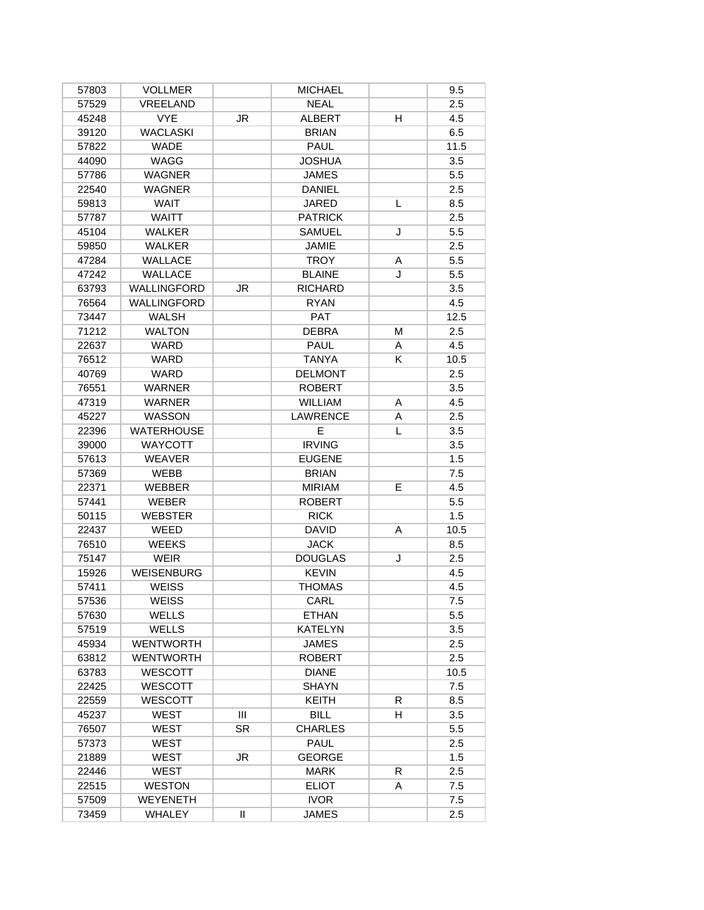| 57803 | <b>VOLLMER</b>     |           | <b>MICHAEL</b>  |    | 9.5  |
|-------|--------------------|-----------|-----------------|----|------|
| 57529 | VREELAND           |           | <b>NEAL</b>     |    | 2.5  |
| 45248 | <b>VYE</b>         | JR        | <b>ALBERT</b>   | H  | 4.5  |
| 39120 | <b>WACLASKI</b>    |           | <b>BRIAN</b>    |    | 6.5  |
| 57822 | <b>WADE</b>        |           | <b>PAUL</b>     |    | 11.5 |
| 44090 | WAGG               |           | <b>JOSHUA</b>   |    | 3.5  |
| 57786 | <b>WAGNER</b>      |           | <b>JAMES</b>    |    | 5.5  |
| 22540 | <b>WAGNER</b>      |           | <b>DANIEL</b>   |    | 2.5  |
| 59813 | <b>WAIT</b>        |           | JARED           | L  | 8.5  |
| 57787 | <b>WAITT</b>       |           | <b>PATRICK</b>  |    | 2.5  |
| 45104 | <b>WALKER</b>      |           | <b>SAMUEL</b>   | J  | 5.5  |
| 59850 | <b>WALKER</b>      |           | JAMIE           |    | 2.5  |
| 47284 | <b>WALLACE</b>     |           | <b>TROY</b>     | A  | 5.5  |
| 47242 | WALLACE            |           | <b>BLAINE</b>   | J  | 5.5  |
| 63793 | <b>WALLINGFORD</b> | JR        | <b>RICHARD</b>  |    | 3.5  |
| 76564 | <b>WALLINGFORD</b> |           | <b>RYAN</b>     |    | 4.5  |
| 73447 | <b>WALSH</b>       |           | <b>PAT</b>      |    | 12.5 |
| 71212 | <b>WALTON</b>      |           | <b>DEBRA</b>    | M  | 2.5  |
| 22637 | WARD               |           | <b>PAUL</b>     | A  | 4.5  |
| 76512 | WARD               |           | <b>TANYA</b>    | K  | 10.5 |
| 40769 | <b>WARD</b>        |           | <b>DELMONT</b>  |    | 2.5  |
| 76551 | <b>WARNER</b>      |           | <b>ROBERT</b>   |    | 3.5  |
| 47319 | <b>WARNER</b>      |           | <b>WILLIAM</b>  | Α  | 4.5  |
| 45227 | <b>WASSON</b>      |           | <b>LAWRENCE</b> | A  | 2.5  |
| 22396 | <b>WATERHOUSE</b>  |           | E               | L  | 3.5  |
| 39000 | <b>WAYCOTT</b>     |           | <b>IRVING</b>   |    | 3.5  |
| 57613 | <b>WEAVER</b>      |           | <b>EUGENE</b>   |    | 1.5  |
| 57369 | <b>WEBB</b>        |           | <b>BRIAN</b>    |    | 7.5  |
| 22371 | <b>WEBBER</b>      |           | <b>MIRIAM</b>   | E  | 4.5  |
| 57441 | <b>WEBER</b>       |           | <b>ROBERT</b>   |    | 5.5  |
| 50115 | <b>WEBSTER</b>     |           | <b>RICK</b>     |    | 1.5  |
| 22437 | WEED               |           | <b>DAVID</b>    | A  | 10.5 |
| 76510 | <b>WEEKS</b>       |           | <b>JACK</b>     |    | 8.5  |
| 75147 | <b>WEIR</b>        |           | <b>DOUGLAS</b>  | J  | 2.5  |
| 15926 | <b>WEISENBURG</b>  |           | <b>KEVIN</b>    |    | 4.5  |
| 57411 | <b>WEISS</b>       |           | <b>THOMAS</b>   |    | 4.5  |
| 57536 | WEISS              |           | CARL            |    | 7.5  |
| 57630 | <b>WELLS</b>       |           | <b>ETHAN</b>    |    | 5.5  |
| 57519 | <b>WELLS</b>       |           | <b>KATELYN</b>  |    | 3.5  |
| 45934 | <b>WENTWORTH</b>   |           | <b>JAMES</b>    |    | 2.5  |
| 63812 | <b>WENTWORTH</b>   |           | <b>ROBERT</b>   |    | 2.5  |
| 63783 | <b>WESCOTT</b>     |           | <b>DIANE</b>    |    | 10.5 |
| 22425 | WESCOTT            |           | <b>SHAYN</b>    |    | 7.5  |
| 22559 | <b>WESCOTT</b>     |           | <b>KEITH</b>    | R. | 8.5  |
| 45237 | WEST               | Ш         | <b>BILL</b>     | H  | 3.5  |
| 76507 | WEST               | <b>SR</b> | <b>CHARLES</b>  |    | 5.5  |
| 57373 | WEST               |           | PAUL            |    | 2.5  |
| 21889 | WEST               | JR        | <b>GEORGE</b>   |    | 1.5  |
| 22446 | <b>WEST</b>        |           | <b>MARK</b>     | R  | 2.5  |
|       | <b>WESTON</b>      |           | <b>ELIOT</b>    | A  | 7.5  |
| 22515 |                    |           |                 |    |      |
| 57509 | WEYENETH           |           | <b>IVOR</b>     |    | 7.5  |
| 73459 | <b>WHALEY</b>      | Ш         | <b>JAMES</b>    |    | 2.5  |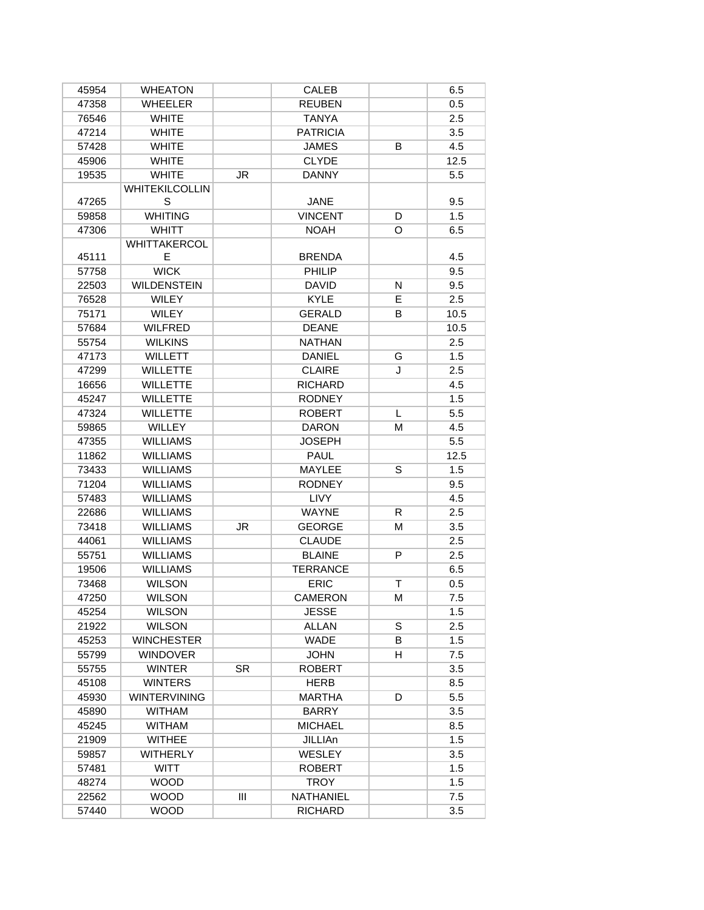| 45954 | <b>WHEATON</b>        |     | CALEB           |    | 6.5  |
|-------|-----------------------|-----|-----------------|----|------|
| 47358 | <b>WHEELER</b>        |     | <b>REUBEN</b>   |    | 0.5  |
| 76546 | <b>WHITE</b>          |     | <b>TANYA</b>    |    | 2.5  |
| 47214 | <b>WHITE</b>          |     | <b>PATRICIA</b> |    | 3.5  |
| 57428 | <b>WHITE</b>          |     | <b>JAMES</b>    | B  | 4.5  |
| 45906 | <b>WHITE</b>          |     | <b>CLYDE</b>    |    | 12.5 |
| 19535 | <b>WHITE</b>          | JR  | <b>DANNY</b>    |    | 5.5  |
|       | <b>WHITEKILCOLLIN</b> |     |                 |    |      |
| 47265 | S                     |     | <b>JANE</b>     |    | 9.5  |
| 59858 | <b>WHITING</b>        |     | <b>VINCENT</b>  | D  | 1.5  |
| 47306 | <b>WHITT</b>          |     | <b>NOAH</b>     | O  | 6.5  |
|       | WHITTAKERCOL          |     |                 |    |      |
| 45111 | E                     |     | <b>BRENDA</b>   |    | 4.5  |
| 57758 | <b>WICK</b>           |     | PHILIP          |    | 9.5  |
| 22503 | <b>WILDENSTEIN</b>    |     | <b>DAVID</b>    | N  | 9.5  |
| 76528 | WILEY                 |     | <b>KYLE</b>     | E. | 2.5  |
| 75171 | WILEY                 |     | <b>GERALD</b>   | В  | 10.5 |
| 57684 | <b>WILFRED</b>        |     | <b>DEANE</b>    |    | 10.5 |
| 55754 | <b>WILKINS</b>        |     | <b>NATHAN</b>   |    | 2.5  |
| 47173 | <b>WILLETT</b>        |     | <b>DANIEL</b>   | G  | 1.5  |
| 47299 | <b>WILLETTE</b>       |     | <b>CLAIRE</b>   | J  | 2.5  |
| 16656 | <b>WILLETTE</b>       |     | <b>RICHARD</b>  |    | 4.5  |
| 45247 | <b>WILLETTE</b>       |     | <b>RODNEY</b>   |    | 1.5  |
| 47324 | <b>WILLETTE</b>       |     | <b>ROBERT</b>   | L  | 5.5  |
| 59865 | <b>WILLEY</b>         |     | <b>DARON</b>    | м  | 4.5  |
| 47355 | <b>WILLIAMS</b>       |     | JOSEPH          |    | 5.5  |
| 11862 | <b>WILLIAMS</b>       |     | PAUL            |    | 12.5 |
| 73433 | <b>WILLIAMS</b>       |     | MAYLEE          | S  | 1.5  |
| 71204 | <b>WILLIAMS</b>       |     | <b>RODNEY</b>   |    | 9.5  |
| 57483 | <b>WILLIAMS</b>       |     | <b>LIVY</b>     |    | 4.5  |
| 22686 | <b>WILLIAMS</b>       |     | <b>WAYNE</b>    | R. | 2.5  |
| 73418 | <b>WILLIAMS</b>       | JR  | <b>GEORGE</b>   | м  | 3.5  |
| 44061 | <b>WILLIAMS</b>       |     | <b>CLAUDE</b>   |    | 2.5  |
| 55751 | <b>WILLIAMS</b>       |     | <b>BLAINE</b>   | P  | 2.5  |
| 19506 | <b>WILLIAMS</b>       |     | <b>TERRANCE</b> |    | 6.5  |
| 73468 | <b>WILSON</b>         |     | <b>ERIC</b>     | T. | 0.5  |
| 47250 | <b>WILSON</b>         |     | <b>CAMERON</b>  | M  | 7.5  |
| 45254 | <b>WILSON</b>         |     | <b>JESSE</b>    |    | 1.5  |
| 21922 | <b>WILSON</b>         |     | <b>ALLAN</b>    | S  | 2.5  |
| 45253 | <b>WINCHESTER</b>     |     | WADE            | В  | 1.5  |
| 55799 | <b>WINDOVER</b>       |     | <b>JOHN</b>     | н  | 7.5  |
| 55755 | <b>WINTER</b>         | SR. | <b>ROBERT</b>   |    | 3.5  |
| 45108 | <b>WINTERS</b>        |     | <b>HERB</b>     |    | 8.5  |
| 45930 | <b>WINTERVINING</b>   |     | MARTHA          | D  | 5.5  |
| 45890 | <b>WITHAM</b>         |     | BARRY           |    | 3.5  |
| 45245 | <b>WITHAM</b>         |     | <b>MICHAEL</b>  |    | 8.5  |
| 21909 | <b>WITHEE</b>         |     | JILLIAn         |    | 1.5  |
| 59857 | <b>WITHERLY</b>       |     | WESLEY          |    | 3.5  |
| 57481 | <b>WITT</b>           |     | <b>ROBERT</b>   |    | 1.5  |
| 48274 | <b>WOOD</b>           |     | <b>TROY</b>     |    | 1.5  |
| 22562 | <b>WOOD</b>           | Ш   | NATHANIEL       |    | 7.5  |
| 57440 | <b>WOOD</b>           |     | <b>RICHARD</b>  |    | 3.5  |
|       |                       |     |                 |    |      |